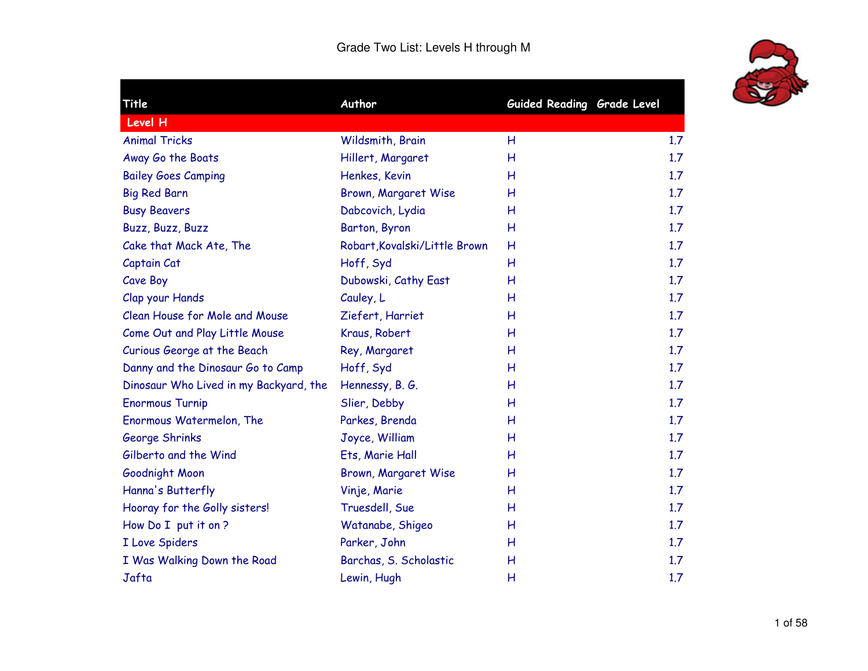

٠

| Title                                  | Author                        | Guided Reading Grade Level |     |
|----------------------------------------|-------------------------------|----------------------------|-----|
| Level H                                |                               |                            |     |
| <b>Animal Tricks</b>                   | Wildsmith, Brain              | Н                          | 1.7 |
| Away Go the Boats                      | Hillert, Margaret             | Н                          | 1.7 |
| <b>Bailey Goes Camping</b>             | Henkes, Kevin                 | н                          | 1.7 |
| <b>Big Red Barn</b>                    | Brown, Margaret Wise          | Н                          | 1.7 |
| <b>Busy Beavers</b>                    | Dabcovich, Lydia              | H                          | 1.7 |
| Buzz, Buzz, Buzz                       | Barton, Byron                 | Н                          | 1.7 |
| Cake that Mack Ate, The                | Robart, Kovalski/Little Brown | Н                          | 1.7 |
| Captain Cat                            | Hoff, Syd                     | Н                          | 1.7 |
| Cave Boy                               | Dubowski, Cathy East          | Н                          | 1.7 |
| Clap your Hands                        | Cauley, L                     | H                          | 1.7 |
| Clean House for Mole and Mouse         | Ziefert, Harriet              | Н                          | 1.7 |
| Come Out and Play Little Mouse         | Kraus, Robert                 | Н                          | 1.7 |
| Curious George at the Beach            | Rey, Margaret                 | Н                          | 1.7 |
| Danny and the Dinosaur Go to Camp      | Hoff, Syd                     | H                          | 1.7 |
| Dinosaur Who Lived in my Backyard, the | Hennessy, B. G.               | Н                          | 1.7 |
| <b>Enormous Turnip</b>                 | Slier, Debby                  | Н                          | 1.7 |
| Enormous Watermelon, The               | Parkes, Brenda                | Н                          | 1.7 |
| George Shrinks                         | Joyce, William                | н                          | 1.7 |
| Gilberto and the Wind                  | Ets, Marie Hall               | H                          | 1.7 |
| Goodnight Moon                         | Brown, Margaret Wise          | н                          | 1.7 |
| Hanna's Butterfly                      | Vinje, Marie                  | Н                          | 1.7 |
| Hooray for the Golly sisters!          | Truesdell, Sue                | Н                          | 1.7 |
| How Do I put it on ?                   | Watanabe, Shigeo              | Н                          | 1.7 |
| I Love Spiders                         | Parker, John                  | H                          | 1.7 |
| I Was Walking Down the Road            | Barchas, S. Scholastic        | Н                          | 1.7 |
| Jafta                                  | Lewin, Hugh                   | Н                          | 1.7 |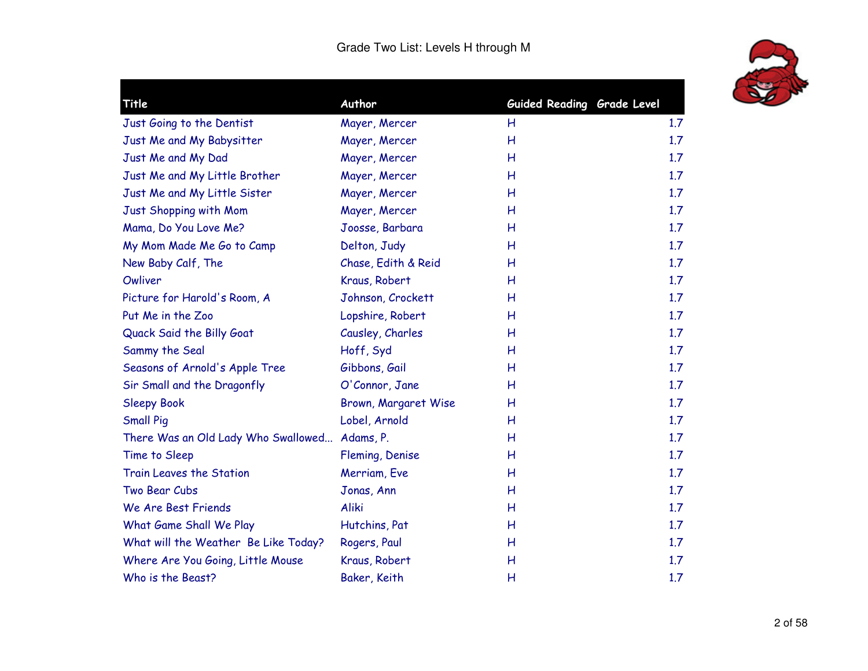

| <b>Title</b>                                  | Author               | Guided Reading Grade Level |     |
|-----------------------------------------------|----------------------|----------------------------|-----|
| Just Going to the Dentist                     | Mayer, Mercer        | H                          | 1.7 |
| Just Me and My Babysitter                     | Mayer, Mercer        | Н                          | 1.7 |
| Just Me and My Dad                            | Mayer, Mercer        | Н                          | 1.7 |
| Just Me and My Little Brother                 | Mayer, Mercer        | Н                          | 1.7 |
| Just Me and My Little Sister                  | Mayer, Mercer        | Н                          | 1.7 |
| Just Shopping with Mom                        | Mayer, Mercer        | Η                          | 1.7 |
| Mama, Do You Love Me?                         | Joosse, Barbara      | н                          | 1.7 |
| My Mom Made Me Go to Camp                     | Delton, Judy         | H                          | 1.7 |
| New Baby Calf, The                            | Chase, Edith & Reid  | Н                          | 1.7 |
| Owliver                                       | Kraus, Robert        | Η                          | 1.7 |
| Picture for Harold's Room, A                  | Johnson, Crockett    | Η                          | 1.7 |
| Put Me in the Zoo                             | Lopshire, Robert     | Η                          | 1.7 |
| Quack Said the Billy Goat                     | Causley, Charles     | Н                          | 1.7 |
| Sammy the Seal                                | Hoff, Syd            | Н                          | 1.7 |
| Seasons of Arnold's Apple Tree                | Gibbons, Gail        | Н                          | 1.7 |
| Sir Small and the Dragonfly                   | O'Connor, Jane       | Η                          | 1.7 |
| <b>Sleepy Book</b>                            | Brown, Margaret Wise | Η                          | 1.7 |
| <b>Small Pig</b>                              | Lobel, Arnold        | Н                          | 1.7 |
| There Was an Old Lady Who Swallowed Adams, P. |                      | Н                          | 1.7 |
| Time to Sleep                                 | Fleming, Denise      | Н                          | 1.7 |
| Train Leaves the Station                      | Merriam, Eve         | Н                          | 1.7 |
| Two Bear Cubs                                 | Jonas, Ann           | Н                          | 1.7 |
| We Are Best Friends                           | Aliki                | Н                          | 1.7 |
| What Game Shall We Play                       | Hutchins, Pat        | Н                          | 1.7 |
| What will the Weather Be Like Today?          | Rogers, Paul         | Н                          | 1.7 |
| Where Are You Going, Little Mouse             | Kraus, Robert        | Н                          | 1.7 |
| Who is the Beast?                             | Baker, Keith         | Н                          | 1.7 |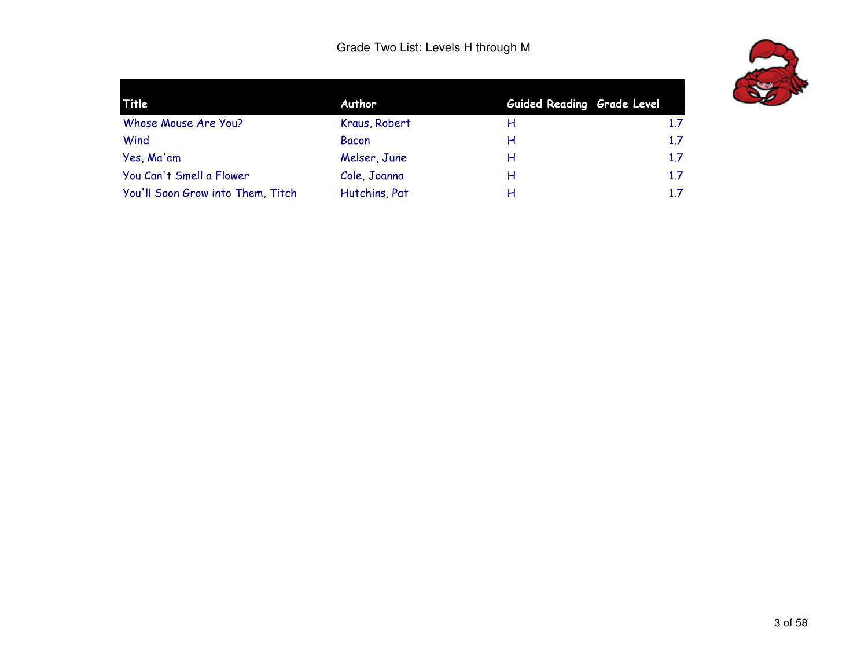

| Title                             | Author        | Guided Reading Grade Level |     |
|-----------------------------------|---------------|----------------------------|-----|
| Whose Mouse Are You?              | Kraus, Robert | н                          | 1.7 |
| Wind                              | <b>Bacon</b>  | н                          | 1.7 |
| Yes, Ma'am                        | Melser, June  | н                          | 1.7 |
| You Can't Smell a Flower          | Cole, Joanna  | н                          | 1.7 |
| You'll Soon Grow into Them, Titch | Hutchins, Pat | н                          | 1.7 |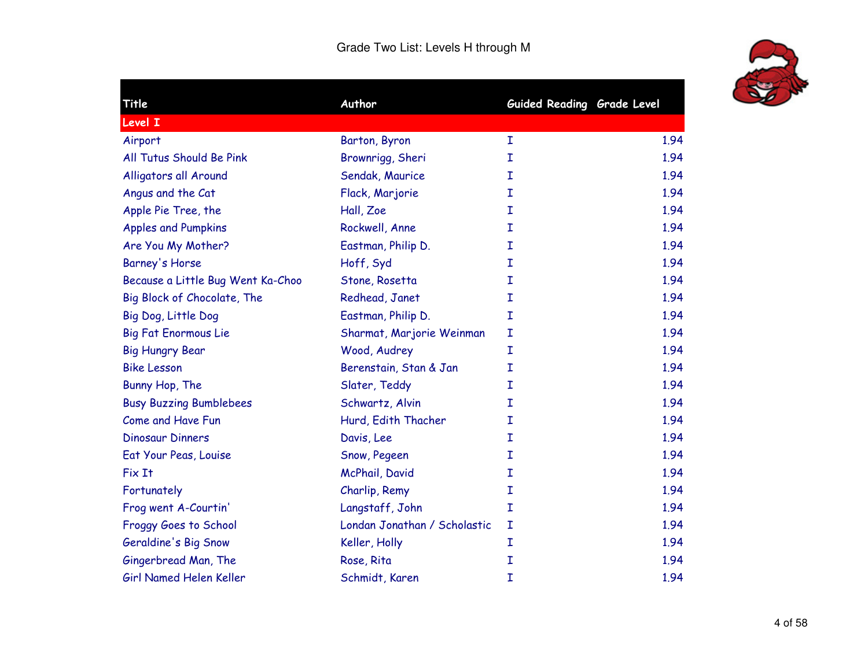

| Title                             | Author                       | Guided Reading Grade Level |      |
|-----------------------------------|------------------------------|----------------------------|------|
| Level I                           |                              |                            |      |
| Airport                           | Barton, Byron                | I                          | 1.94 |
| All Tutus Should Be Pink          | Brownrigg, Sheri             | I                          | 1.94 |
| Alligators all Around             | Sendak, Maurice              | I                          | 1.94 |
| Angus and the Cat                 | Flack, Marjorie              | I                          | 1.94 |
| Apple Pie Tree, the               | Hall, Zoe                    | I                          | 1.94 |
| <b>Apples and Pumpkins</b>        | Rockwell, Anne               | I                          | 1.94 |
| Are You My Mother?                | Eastman, Philip D.           | I                          | 1.94 |
| Barney's Horse                    | Hoff, Syd                    | I                          | 1.94 |
| Because a Little Bug Went Ka-Choo | Stone, Rosetta               | I                          | 1.94 |
| Big Block of Chocolate, The       | Redhead, Janet               | I                          | 1.94 |
| Big Dog, Little Dog               | Eastman, Philip D.           | I                          | 1.94 |
| <b>Big Fat Enormous Lie</b>       | Sharmat, Marjorie Weinman    | I                          | 1.94 |
| <b>Big Hungry Bear</b>            | Wood, Audrey                 | I                          | 1.94 |
| <b>Bike Lesson</b>                | Berenstain, Stan & Jan       | I                          | 1.94 |
| Bunny Hop, The                    | Slater, Teddy                | I                          | 1.94 |
| <b>Busy Buzzing Bumblebees</b>    | Schwartz, Alvin              | I                          | 1.94 |
| Come and Have Fun                 | Hurd, Edith Thacher          | I                          | 1.94 |
| <b>Dinosaur Dinners</b>           | Davis, Lee                   | I                          | 1.94 |
| Eat Your Peas, Louise             | Snow, Pegeen                 | I                          | 1.94 |
| Fix It                            | McPhail, David               | I                          | 1.94 |
| Fortunately                       | Charlip, Remy                | I                          | 1.94 |
| Frog went A-Courtin'              | Langstaff, John              | $\mathbf I$                | 1.94 |
| Froggy Goes to School             | Londan Jonathan / Scholastic | I                          | 1.94 |
| Geraldine's Big Snow              | Keller, Holly                | I                          | 1.94 |
| Gingerbread Man, The              | Rose, Rita                   | $\mathbf I$                | 1.94 |
| Girl Named Helen Keller           | Schmidt, Karen               | I                          | 1.94 |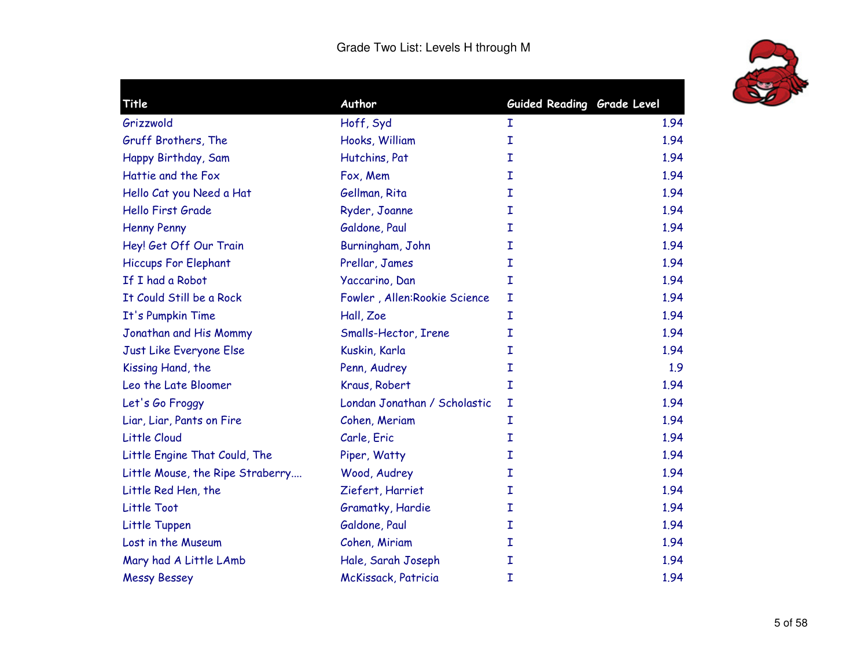

| Title                            | Author                       | Guided Reading Grade Level |      |
|----------------------------------|------------------------------|----------------------------|------|
| Grizzwold                        | Hoff, Syd                    | I                          | 1.94 |
| Gruff Brothers, The              | Hooks, William               | I                          | 1.94 |
| Happy Birthday, Sam              | Hutchins, Pat                | I                          | 1.94 |
| Hattie and the Fox               | Fox, Mem                     | I                          | 1.94 |
| Hello Cat you Need a Hat         | Gellman, Rita                | $\mathbf I$                | 1.94 |
| <b>Hello First Grade</b>         | Ryder, Joanne                | I                          | 1.94 |
| <b>Henny Penny</b>               | Galdone, Paul                | I                          | 1.94 |
| Hey! Get Off Our Train           | Burningham, John             | I                          | 1.94 |
| <b>Hiccups For Elephant</b>      | Prellar, James               | I                          | 1.94 |
| If I had a Robot                 | Yaccarino, Dan               | $\mathbf I$                | 1.94 |
| It Could Still be a Rock         | Fowler, Allen:Rookie Science | I                          | 1.94 |
| It's Pumpkin Time                | Hall, Zoe                    | $\mathbf I$                | 1.94 |
| Jonathan and His Mommy           | Smalls-Hector, Irene         | I                          | 1.94 |
| Just Like Everyone Else          | Kuskin, Karla                | I                          | 1.94 |
| Kissing Hand, the                | Penn, Audrey                 | I                          | 1.9  |
| Leo the Late Bloomer             | Kraus, Robert                | $\mathbf I$                | 1.94 |
| Let's Go Froggy                  | Londan Jonathan / Scholastic | I                          | 1.94 |
| Liar, Liar, Pants on Fire        | Cohen, Meriam                | I                          | 1.94 |
| Little Cloud                     | Carle, Eric                  | I                          | 1.94 |
| Little Engine That Could, The    | Piper, Watty                 | I                          | 1.94 |
| Little Mouse, the Ripe Straberry | Wood, Audrey                 | $\mathbf I$                | 1.94 |
| Little Red Hen, the              | Ziefert, Harriet             | I                          | 1.94 |
| Little Toot                      | Gramatky, Hardie             | I                          | 1.94 |
| Little Tuppen                    | Galdone, Paul                | I                          | 1.94 |
| Lost in the Museum               | Cohen, Miriam                | I                          | 1.94 |
| Mary had A Little LAmb           | Hale, Sarah Joseph           | $\mathbf I$                | 1.94 |
| <b>Messy Bessey</b>              | McKissack, Patricia          | I                          | 1.94 |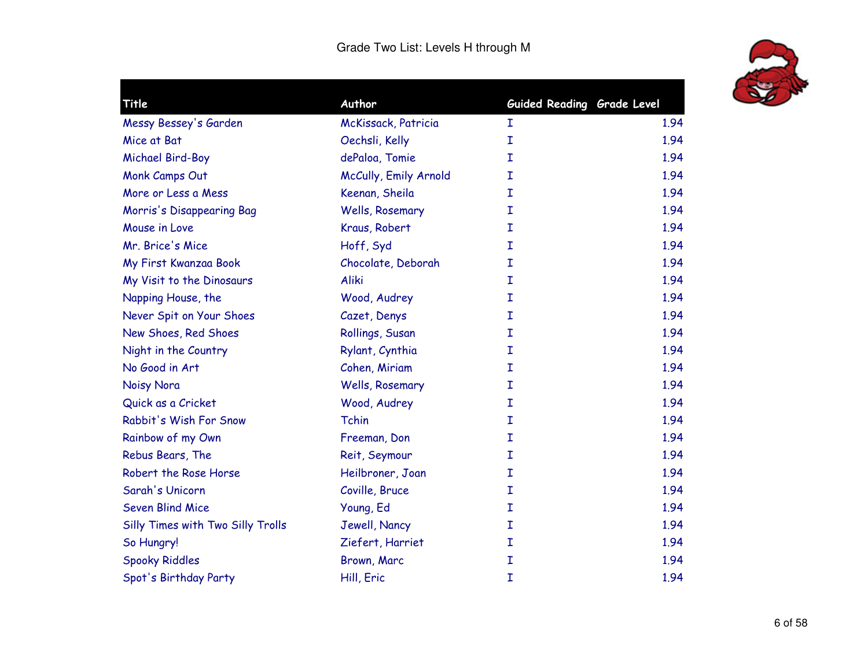

| Title                             | Author                | Guided Reading Grade Level |      |
|-----------------------------------|-----------------------|----------------------------|------|
| Messy Bessey's Garden             | McKissack, Patricia   | I                          | 1.94 |
| Mice at Bat                       | Oechsli, Kelly        | I                          | 1.94 |
| Michael Bird-Boy                  | dePaloa, Tomie        | I                          | 1.94 |
| Monk Camps Out                    | McCully, Emily Arnold | I                          | 1.94 |
| More or Less a Mess               | Keenan, Sheila        | I                          | 1.94 |
| Morris's Disappearing Bag         | Wells, Rosemary       | I                          | 1.94 |
| Mouse in Love                     | Kraus, Robert         | I                          | 1.94 |
| Mr. Brice's Mice                  | Hoff, Syd             | Ι                          | 1.94 |
| My First Kwanzaa Book             | Chocolate, Deborah    | I                          | 1.94 |
| My Visit to the Dinosaurs         | Aliki                 | I                          | 1.94 |
| Napping House, the                | Wood, Audrey          | I                          | 1.94 |
| Never Spit on Your Shoes          | Cazet, Denys          | I                          | 1.94 |
| New Shoes, Red Shoes              | Rollings, Susan       | I                          | 1.94 |
| Night in the Country              | Rylant, Cynthia       | Ι                          | 1.94 |
| No Good in Art                    | Cohen, Miriam         | I                          | 1.94 |
| Noisy Nora                        | Wells, Rosemary       | I                          | 1.94 |
| Quick as a Cricket                | Wood, Audrey          | I                          | 1.94 |
| Rabbit's Wish For Snow            | Tchin                 | Ι                          | 1.94 |
| Rainbow of my Own                 | Freeman, Don          | I                          | 1.94 |
| Rebus Bears, The                  | Reit, Seymour         | I                          | 1.94 |
| Robert the Rose Horse             | Heilbroner, Joan      | Ι                          | 1.94 |
| Sarah's Unicorn                   | Coville, Bruce        | I                          | 1.94 |
| <b>Seven Blind Mice</b>           | Young, Ed             | I                          | 1.94 |
| Silly Times with Two Silly Trolls | Jewell, Nancy         | Ι                          | 1.94 |
| So Hungry!                        | Ziefert, Harriet      | Ι                          | 1.94 |
| <b>Spooky Riddles</b>             | Brown, Marc           | I                          | 1.94 |
| Spot's Birthday Party             | Hill, Eric            | I                          | 1.94 |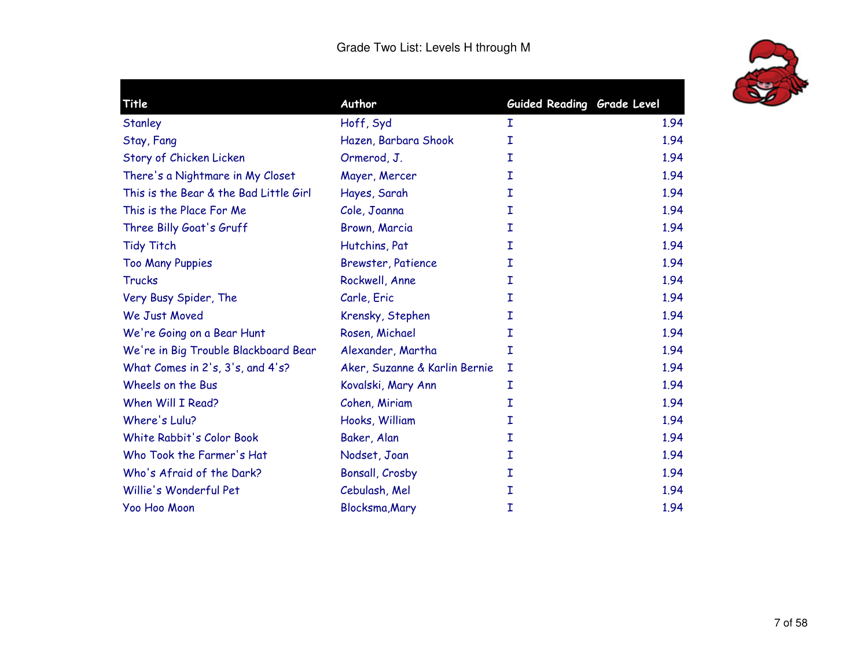

| Title                                  | Author                        | Guided Reading Grade Level |      |
|----------------------------------------|-------------------------------|----------------------------|------|
| Stanley                                | Hoff, Syd                     | I                          | 1.94 |
| Stay, Fang                             | Hazen, Barbara Shook          | I                          | 1.94 |
| Story of Chicken Licken                | Ormerod, J.                   | I                          | 1.94 |
| There's a Nightmare in My Closet       | Mayer, Mercer                 | I                          | 1.94 |
| This is the Bear & the Bad Little Girl | Hayes, Sarah                  | I                          | 1.94 |
| This is the Place For Me               | Cole, Joanna                  | Ι                          | 1.94 |
| Three Billy Goat's Gruff               | Brown, Marcia                 | I                          | 1.94 |
| <b>Tidy Titch</b>                      | Hutchins, Pat                 | I                          | 1.94 |
| <b>Too Many Puppies</b>                | <b>Brewster, Patience</b>     | I                          | 1.94 |
| <b>Trucks</b>                          | Rockwell, Anne                | I                          | 1.94 |
| Very Busy Spider, The                  | Carle, Eric                   | I                          | 1.94 |
| We Just Moved                          | Krensky, Stephen              | Ι                          | 1.94 |
| We're Going on a Bear Hunt             | Rosen, Michael                | I                          | 1.94 |
| We're in Big Trouble Blackboard Bear   | Alexander, Martha             | I                          | 1.94 |
| What Comes in 2's, 3's, and 4's?       | Aker, Suzanne & Karlin Bernie | I                          | 1.94 |
| Wheels on the Bus                      | Kovalski, Mary Ann            | Ι                          | 1.94 |
| When Will I Read?                      | Cohen, Miriam                 | I                          | 1.94 |
| Where's Lulu?                          | Hooks, William                | I                          | 1.94 |
| White Rabbit's Color Book              | Baker, Alan                   | I                          | 1.94 |
| Who Took the Farmer's Hat              | Nodset, Joan                  | Ι                          | 1.94 |
| Who's Afraid of the Dark?              | Bonsall, Crosby               | Ι                          | 1.94 |
| Willie's Wonderful Pet                 | Cebulash, Mel                 | Ι                          | 1.94 |
| Yoo Hoo Moon                           | Blocksma, Mary                | I                          | 1.94 |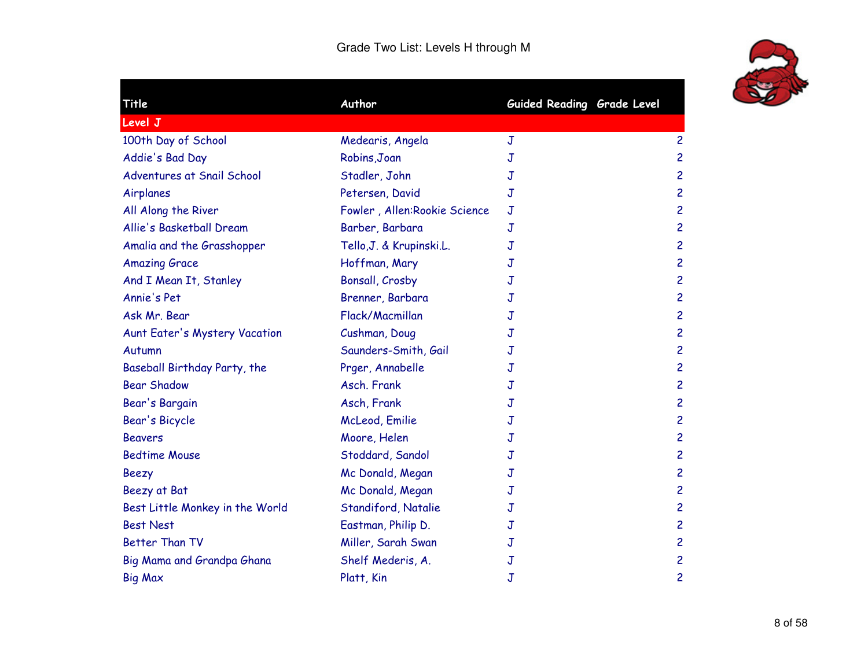

| Title                           | Author                        | Guided Reading Grade Level |                         |
|---------------------------------|-------------------------------|----------------------------|-------------------------|
| Level J                         |                               |                            |                         |
| 100th Day of School             | Medearis, Angela              | J                          | $\overline{c}$          |
| Addie's Bad Day                 | Robins, Joan                  | J                          | $\overline{c}$          |
| Adventures at Snail School      | Stadler, John                 | J                          | $\overline{\mathbf{c}}$ |
| Airplanes                       | Petersen, David               | J                          | $\overline{c}$          |
| All Along the River             | Fowler, Allen: Rookie Science | $\mathbf J$                | $\overline{c}$          |
| Allie's Basketball Dream        | Barber, Barbara               | J                          | $\overline{\mathbf{c}}$ |
| Amalia and the Grasshopper      | Tello, J. & Krupinski.L.      | J                          | $\overline{\mathbf{c}}$ |
| <b>Amazing Grace</b>            | Hoffman, Mary                 | J                          | $\overline{\mathbf{c}}$ |
| And I Mean It, Stanley          | Bonsall, Crosby               | J                          | $\overline{\mathbf{c}}$ |
| Annie's Pet                     | Brenner, Barbara              | J                          | $\overline{c}$          |
| Ask Mr. Bear                    | Flack/Macmillan               | J                          | $\overline{\mathsf{c}}$ |
| Aunt Eater's Mystery Vacation   | Cushman, Doug                 | J                          | $\overline{c}$          |
| Autumn                          | Saunders-Smith, Gail          | J                          | $\overline{\mathbf{c}}$ |
| Baseball Birthday Party, the    | Prger, Annabelle              | J                          | $\overline{\mathbf{c}}$ |
| <b>Bear Shadow</b>              | Asch. Frank                   | J                          | $\overline{c}$          |
| Bear's Bargain                  | Asch, Frank                   | J                          | $\overline{\mathbf{c}}$ |
| Bear's Bicycle                  | McLeod, Emilie                | J                          | $\overline{\mathbf{c}}$ |
| <b>Beavers</b>                  | Moore, Helen                  | J                          | $\overline{\mathbf{c}}$ |
| <b>Bedtime Mouse</b>            | Stoddard, Sandol              | J                          | $\overline{\mathbf{c}}$ |
| <b>Beezy</b>                    | Mc Donald, Megan              | $\mathbf J$                | $\overline{\mathbf{c}}$ |
| Beezy at Bat                    | Mc Donald, Megan              | J                          | $\overline{\mathsf{c}}$ |
| Best Little Monkey in the World | Standiford, Natalie           | J                          | $\overline{\mathbf{c}}$ |
| <b>Best Nest</b>                | Eastman, Philip D.            | J                          | $\overline{\mathbf{c}}$ |
| <b>Better Than TV</b>           | Miller, Sarah Swan            | J                          | $\overline{\mathbf{c}}$ |
| Big Mama and Grandpa Ghana      | Shelf Mederis, A.             | J                          | $\overline{c}$          |
| <b>Big Max</b>                  | Platt, Kin                    | $\mathbf J$                | $\overline{\mathbf{c}}$ |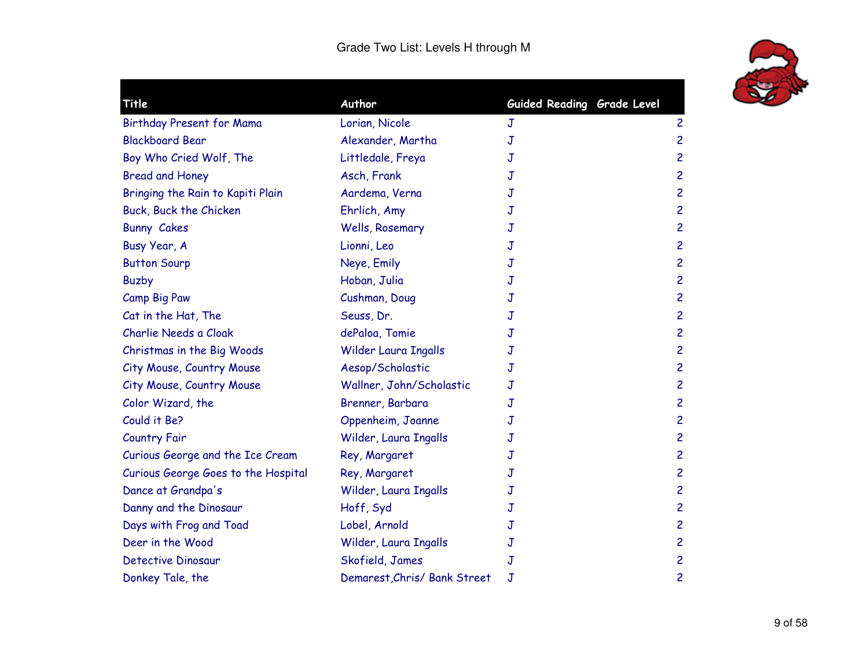

| Title                               | Author                       | Guided Reading Grade Level |                |
|-------------------------------------|------------------------------|----------------------------|----------------|
| Birthday Present for Mama           | Lorian, Nicole               | J                          | $\overline{c}$ |
| <b>Blackboard Bear</b>              | Alexander, Martha            | J                          | $\overline{c}$ |
| Boy Who Cried Wolf, The             | Littledale, Freya            | J                          | $\overline{c}$ |
| <b>Bread and Honey</b>              | Asch, Frank                  | J                          | $\overline{c}$ |
| Bringing the Rain to Kapiti Plain   | Aardema, Verna               | J                          | $\overline{c}$ |
| Buck, Buck the Chicken              | Ehrlich, Amy                 | J                          | $\overline{c}$ |
| <b>Bunny Cakes</b>                  | Wells, Rosemary              | J                          | $\overline{c}$ |
| Busy Year, A                        | Lionni, Leo                  | J                          | $\overline{c}$ |
| <b>Button Sourp</b>                 | Neye, Emily                  | J                          | $\overline{c}$ |
| <b>Buzby</b>                        | Hoban, Julia                 | J                          | $\overline{c}$ |
| Camp Big Paw                        | Cushman, Doug                | J                          | $\overline{c}$ |
| Cat in the Hat, The                 | Seuss, Dr.                   | J                          | $\overline{c}$ |
| Charlie Needs a Cloak               | dePaloa, Tomie               | J                          | $\overline{c}$ |
| Christmas in the Big Woods          | Wilder Laura Ingalls         | J                          | $\overline{c}$ |
| City Mouse, Country Mouse           | Aesop/Scholastic             | J                          | $\overline{c}$ |
| City Mouse, Country Mouse           | Wallner, John/Scholastic     | J                          | $\overline{c}$ |
| Color Wizard, the                   | Brenner, Barbara             | J                          | $\overline{c}$ |
| Could it Be?                        | Oppenheim, Joanne            | J                          | $\overline{c}$ |
| <b>Country Fair</b>                 | Wilder, Laura Ingalls        | J                          | $\overline{c}$ |
| Curious George and the Ice Cream    | Rey, Margaret                | J                          | $\overline{c}$ |
| Curious George Goes to the Hospital | Rey, Margaret                | J                          | $\overline{c}$ |
| Dance at Grandpa's                  | Wilder, Laura Ingalls        | J                          | $\overline{c}$ |
| Danny and the Dinosaur              | Hoff, Syd                    | J                          | $\overline{c}$ |
| Days with Frog and Toad             | Lobel, Arnold                | J                          | $\overline{c}$ |
| Deer in the Wood                    | Wilder, Laura Ingalls        | J                          | $\overline{c}$ |
| <b>Detective Dinosaur</b>           | Skofield, James              | J                          | $\overline{c}$ |
| Donkey Tale, the                    | Demarest, Chris/ Bank Street | J                          | 2              |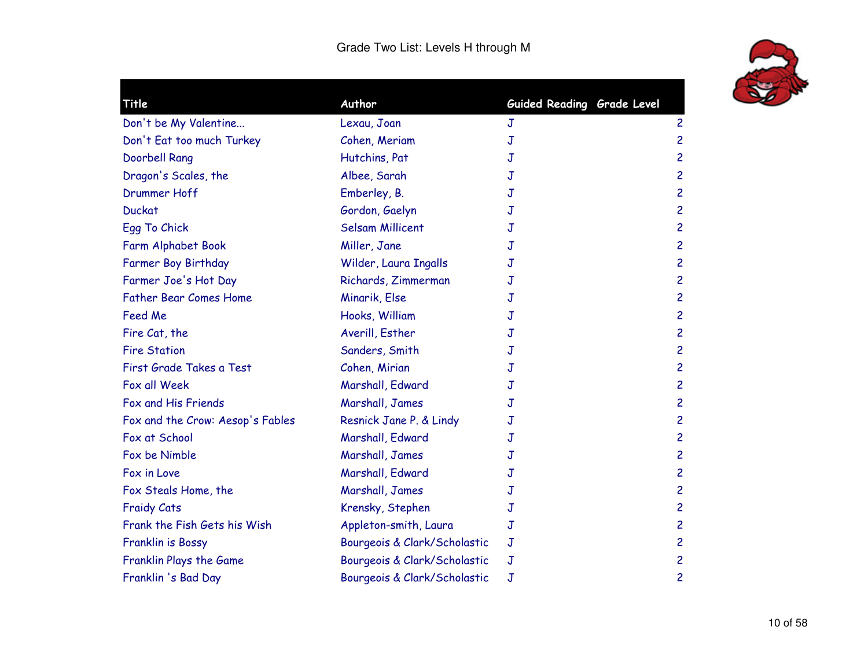

| Title                            | Author                       | Guided Reading Grade Level |                |
|----------------------------------|------------------------------|----------------------------|----------------|
| Don't be My Valentine            | Lexau, Joan                  | J                          | $\overline{c}$ |
| Don't Eat too much Turkey        | Cohen, Meriam                | J                          | $\overline{c}$ |
| Doorbell Rang                    | Hutchins, Pat                | J                          | $\overline{c}$ |
| Dragon's Scales, the             | Albee, Sarah                 | J                          | $\overline{c}$ |
| Drummer Hoff                     | Emberley, B.                 | J                          | $\overline{c}$ |
| <b>Duckat</b>                    | Gordon, Gaelyn               | J                          | $\overline{c}$ |
| Egg To Chick                     | <b>Selsam Millicent</b>      | J                          | $\overline{c}$ |
| Farm Alphabet Book               | Miller, Jane                 | J                          | $\overline{c}$ |
| Farmer Boy Birthday              | Wilder, Laura Ingalls        | J                          | $\overline{c}$ |
| Farmer Joe's Hot Day             | Richards, Zimmerman          | J                          | 2              |
| <b>Father Bear Comes Home</b>    | Minarik, Else                | J                          | $\overline{c}$ |
| Feed Me                          | Hooks, William               | J                          | $\overline{c}$ |
| Fire Cat, the                    | Averill, Esther              | J                          | $\overline{c}$ |
| <b>Fire Station</b>              | Sanders, Smith               | J                          | $\overline{c}$ |
| First Grade Takes a Test         | Cohen, Mirian                | J                          | $\overline{c}$ |
| Fox all Week                     | Marshall, Edward             | J                          | $\overline{c}$ |
| Fox and His Friends              | Marshall, James              | J                          | $\overline{c}$ |
| Fox and the Crow: Aesop's Fables | Resnick Jane P. & Lindy      | J                          | $\overline{c}$ |
| Fox at School                    | Marshall, Edward             | J                          | $\overline{c}$ |
| Fox be Nimble                    | Marshall, James              | J                          | $\overline{c}$ |
| Fox in Love                      | Marshall, Edward             | J                          | $\overline{c}$ |
| Fox Steals Home, the             | Marshall, James              | J                          | $\overline{c}$ |
| <b>Fraidy Cats</b>               | Krensky, Stephen             | J                          | $\overline{c}$ |
| Frank the Fish Gets his Wish     | Appleton-smith, Laura        | J                          | $\overline{c}$ |
| Franklin is Bossy                | Bourgeois & Clark/Scholastic | J                          | 2              |
| Franklin Plays the Game          | Bourgeois & Clark/Scholastic | J                          | $\overline{c}$ |
| Franklin 's Bad Day              | Bourgeois & Clark/Scholastic | J                          | 2              |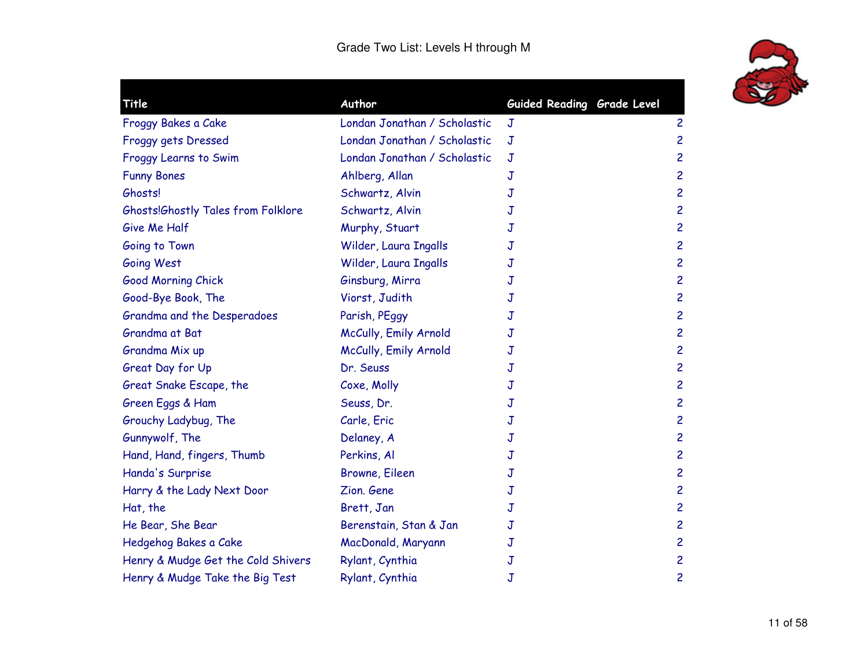

| Title                              | Author                       | Guided Reading Grade Level |                         |
|------------------------------------|------------------------------|----------------------------|-------------------------|
| Froggy Bakes a Cake                | Londan Jonathan / Scholastic | $\mathsf J$                | $\overline{c}$          |
| Froggy gets Dressed                | Londan Jonathan / Scholastic | $\mathbf J$                | $\overline{\mathsf{c}}$ |
| Froggy Learns to Swim              | Londan Jonathan / Scholastic | $\overline{J}$             | $\overline{\mathbf{c}}$ |
| <b>Funny Bones</b>                 | Ahlberg, Allan               | J                          | $\overline{c}$          |
| Ghosts!                            | Schwartz, Alvin              | J                          | $\overline{\mathbf{c}}$ |
| Ghosts!Ghostly Tales from Folklore | Schwartz, Alvin              | J                          | $\overline{\mathsf{c}}$ |
| Give Me Half                       | Murphy, Stuart               | J                          | $\overline{c}$          |
| Going to Town                      | Wilder, Laura Ingalls        | J                          | $\overline{c}$          |
| Going West                         | Wilder, Laura Ingalls        | J                          | $\overline{c}$          |
| Good Morning Chick                 | Ginsburg, Mirra              | J                          | $\overline{c}$          |
| Good-Bye Book, The                 | Viorst, Judith               | J                          | $\overline{\mathbf{c}}$ |
| Grandma and the Desperadoes        | Parish, PEggy                | J                          | $\overline{\mathbf{c}}$ |
| Grandma at Bat                     | McCully, Emily Arnold        | J                          | $\overline{c}$          |
| Grandma Mix up                     | McCully, Emily Arnold        | J                          | $\overline{c}$          |
| Great Day for Up                   | Dr. Seuss                    | J                          | $\overline{\mathbf{c}}$ |
| Great Snake Escape, the            | Coxe, Molly                  | J                          | $\overline{\mathbf{c}}$ |
| Green Eggs & Ham                   | Seuss, Dr.                   | J                          | $\overline{c}$          |
| Grouchy Ladybug, The               | Carle, Eric                  | J                          | $\overline{\mathbf{c}}$ |
| Gunnywolf, The                     | Delaney, A                   | J                          | 2                       |
| Hand, Hand, fingers, Thumb         | Perkins, Al                  | J                          | 2                       |
| Handa's Surprise                   | Browne, Eileen               | J                          | $\overline{\mathbf{c}}$ |
| Harry & the Lady Next Door         | Zion, Gene                   | J                          | $\overline{c}$          |
| Hat, the                           | Brett, Jan                   | J                          | $\overline{\mathbf{c}}$ |
| He Bear, She Bear                  | Berenstain, Stan & Jan       | J                          | $\overline{\mathbf{c}}$ |
| Hedgehog Bakes a Cake              | MacDonald, Maryann           | J                          | $\overline{\mathbf{c}}$ |
| Henry & Mudge Get the Cold Shivers | Rylant, Cynthia              | J                          | $\overline{\mathbf{c}}$ |
| Henry & Mudge Take the Big Test    | Rylant, Cynthia              | J                          | 2                       |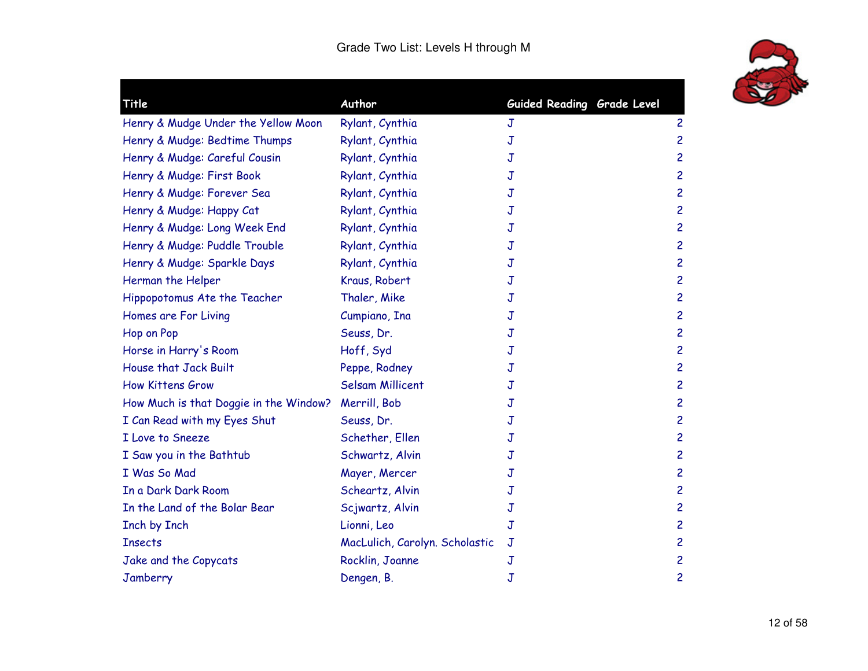

| Title                                  | Author                         | Guided Reading Grade Level |                         |
|----------------------------------------|--------------------------------|----------------------------|-------------------------|
| Henry & Mudge Under the Yellow Moon    | Rylant, Cynthia                | J                          | $\overline{c}$          |
| Henry & Mudge: Bedtime Thumps          | Rylant, Cynthia                | J                          | 2                       |
| Henry & Mudge: Careful Cousin          | Rylant, Cynthia                | J                          | $\overline{c}$          |
| Henry & Mudge: First Book              | Rylant, Cynthia                | J                          | $\overline{\mathbf{c}}$ |
| Henry & Mudge: Forever Sea             | Rylant, Cynthia                | J                          | $\overline{\mathsf{c}}$ |
| Henry & Mudge: Happy Cat               | Rylant, Cynthia                | J                          | $\overline{c}$          |
| Henry & Mudge: Long Week End           | Rylant, Cynthia                | J                          | $\overline{c}$          |
| Henry & Mudge: Puddle Trouble          | Rylant, Cynthia                | J                          | $\overline{\mathsf{c}}$ |
| Henry & Mudge: Sparkle Days            | Rylant, Cynthia                | J                          | $\overline{\mathsf{c}}$ |
| Herman the Helper                      | Kraus, Robert                  | J                          | 2                       |
| Hippopotomus Ate the Teacher           | Thaler, Mike                   | J                          | $\overline{c}$          |
| Homes are For Living                   | Cumpiano, Ina                  | J                          | 2                       |
| Hop on Pop                             | Seuss, Dr.                     | J                          | $\overline{\mathsf{c}}$ |
| Horse in Harry's Room                  | Hoff, Syd                      | J                          | $\overline{\mathbf{c}}$ |
| House that Jack Built                  | Peppe, Rodney                  | J                          | 2                       |
| <b>How Kittens Grow</b>                | <b>Selsam Millicent</b>        | J                          | $\overline{c}$          |
| How Much is that Doggie in the Window? | Merrill, Bob                   | J                          | $\overline{c}$          |
| I Can Read with my Eyes Shut           | Seuss, Dr.                     | J                          | $\overline{\mathbf{c}}$ |
| I Love to Sneeze                       | Schether, Ellen                | J                          | 2                       |
| I Saw you in the Bathtub               | Schwartz, Alvin                | J                          | 2                       |
| I Was So Mad                           | Mayer, Mercer                  | J                          | $\overline{c}$          |
| In a Dark Dark Room                    | Scheartz, Alvin                | J                          | 2                       |
| In the Land of the Bolar Bear          | Scjwartz, Alvin                | J                          | $\overline{c}$          |
| Inch by Inch                           | Lionni, Leo                    | J                          | $\overline{\mathbf{c}}$ |
| <b>Insects</b>                         | MacLulich, Carolyn. Scholastic | $\mathbf J$                | $\overline{\mathsf{c}}$ |
| Jake and the Copycats                  | Rocklin, Joanne                | $\mathbb J$                | $\overline{c}$          |
| Jamberry                               | Dengen, B.                     | J                          | $\overline{c}$          |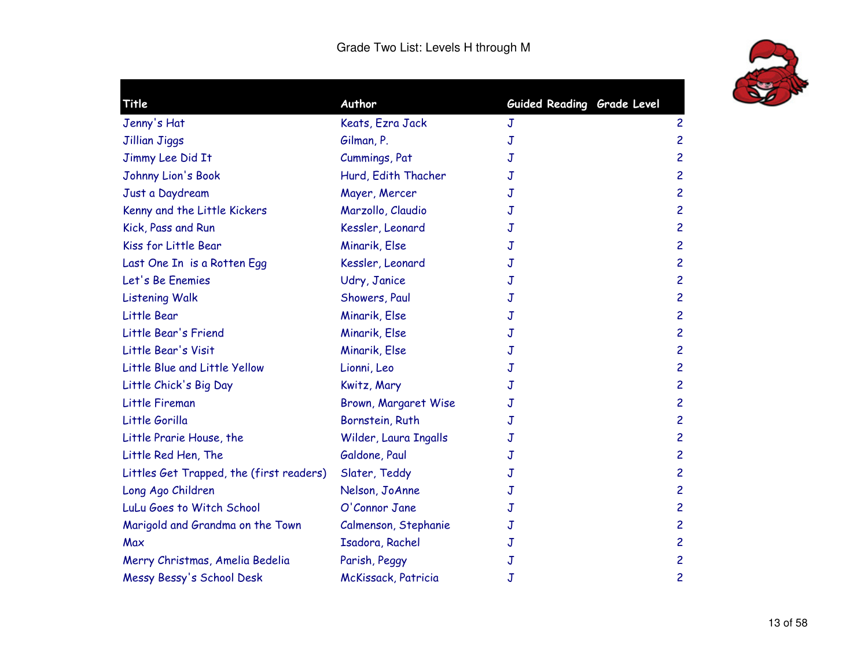

| <b>Title</b>                             | Author                | Guided Reading Grade Level |                         |
|------------------------------------------|-----------------------|----------------------------|-------------------------|
| Jenny's Hat                              | Keats, Ezra Jack      | J                          | $\overline{c}$          |
| Jillian Jiggs                            | Gilman, P.            | J                          | $\overline{c}$          |
| Jimmy Lee Did It                         | Cummings, Pat         | J                          | $\overline{c}$          |
| Johnny Lion's Book                       | Hurd, Edith Thacher   | J                          | $\overline{\mathbf{c}}$ |
| Just a Daydream                          | Mayer, Mercer         | J                          | 2                       |
| Kenny and the Little Kickers             | Marzollo, Claudio     | J                          | $\overline{c}$          |
| Kick, Pass and Run                       | Kessler, Leonard      | J                          | $\overline{c}$          |
| Kiss for Little Bear                     | Minarik, Else         | J                          | $\overline{\mathbf{c}}$ |
| Last One In is a Rotten Egg              | Kessler, Leonard      | J                          | $\overline{c}$          |
| Let's Be Enemies                         | Udry, Janice          | J                          | $\overline{c}$          |
| <b>Listening Walk</b>                    | Showers, Paul         | J                          | $\overline{\mathbf{c}}$ |
| Little Bear                              | Minarik, Else         | J                          | $\overline{c}$          |
| Little Bear's Friend                     | Minarik, Else         | J                          | $\overline{\mathbf{c}}$ |
| Little Bear's Visit                      | Minarik, Else         | J                          | $\overline{c}$          |
| Little Blue and Little Yellow            | Lionni, Leo           | J                          | $\overline{\mathsf{c}}$ |
| Little Chick's Big Day                   | Kwitz, Mary           | J                          | $\overline{c}$          |
| Little Fireman                           | Brown, Margaret Wise  | J                          | $\overline{c}$          |
| Little Gorilla                           | Bornstein, Ruth       | J                          | $\overline{\mathbf{c}}$ |
| Little Prarie House, the                 | Wilder, Laura Ingalls | J                          | $\overline{c}$          |
| Little Red Hen, The                      | Galdone, Paul         | J                          | $\overline{c}$          |
| Littles Get Trapped, the (first readers) | Slater, Teddy         | J                          | $\overline{\mathbf{c}}$ |
| Long Ago Children                        | Nelson, JoAnne        | J                          | $\overline{c}$          |
| LuLu Goes to Witch School                | O'Connor Jane         | J                          | $\overline{c}$          |
| Marigold and Grandma on the Town         | Calmenson, Stephanie  | J                          | $\overline{\mathbf{c}}$ |
| Max                                      | Isadora, Rachel       | J                          | $\overline{\mathsf{c}}$ |
| Merry Christmas, Amelia Bedelia          | Parish, Peggy         | J                          | $\overline{c}$          |
| Messy Bessy's School Desk                | McKissack, Patricia   | J                          | $\overline{\mathbf{c}}$ |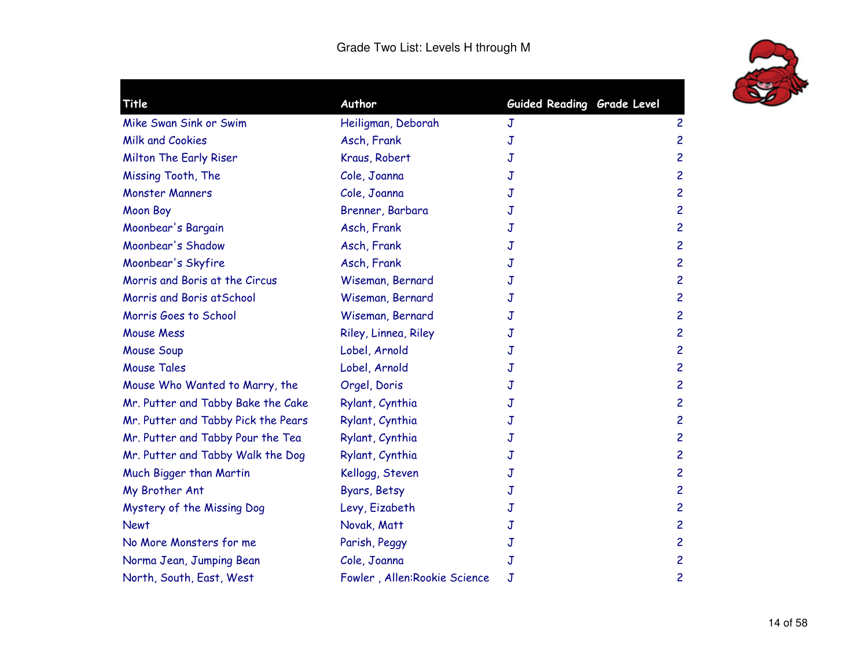

| Title                               | Author                       | Guided Reading Grade Level |                         |
|-------------------------------------|------------------------------|----------------------------|-------------------------|
| Mike Swan Sink or Swim              | Heiligman, Deborah           | J                          | $\overline{c}$          |
| <b>Milk and Cookies</b>             | Asch, Frank                  | J                          | $\overline{c}$          |
| Milton The Early Riser              | Kraus, Robert                | J                          | $\overline{c}$          |
| Missing Tooth, The                  | Cole, Joanna                 | J                          | $\overline{c}$          |
| <b>Monster Manners</b>              | Cole, Joanna                 | J                          | $\overline{c}$          |
| <b>Moon Boy</b>                     | Brenner, Barbara             | J                          | $\overline{c}$          |
| Moonbear's Bargain                  | Asch, Frank                  | J                          | $\overline{c}$          |
| Moonbear's Shadow                   | Asch, Frank                  | J                          | $\overline{c}$          |
| Moonbear's Skyfire                  | Asch, Frank                  | J                          | $\overline{c}$          |
| Morris and Boris at the Circus      | Wiseman, Bernard             | J                          | $\overline{c}$          |
| Morris and Boris at School          | Wiseman, Bernard             | J                          | $\overline{c}$          |
| Morris Goes to School               | Wiseman, Bernard             | J                          | $\overline{c}$          |
| <b>Mouse Mess</b>                   | Riley, Linnea, Riley         | J                          | $\overline{c}$          |
| <b>Mouse Soup</b>                   | Lobel, Arnold                | J                          | $\overline{\mathbf{c}}$ |
| <b>Mouse Tales</b>                  | Lobel, Arnold                | J                          | $\overline{c}$          |
| Mouse Who Wanted to Marry, the      | Orgel, Doris                 | J                          | $\overline{c}$          |
| Mr. Putter and Tabby Bake the Cake  | Rylant, Cynthia              | J                          | $\overline{c}$          |
| Mr. Putter and Tabby Pick the Pears | Rylant, Cynthia              | J                          | $\overline{c}$          |
| Mr. Putter and Tabby Pour the Tea   | Rylant, Cynthia              | J                          | $\overline{c}$          |
| Mr. Putter and Tabby Walk the Dog   | Rylant, Cynthia              | J                          | $\overline{c}$          |
| Much Bigger than Martin             | Kellogg, Steven              | J                          | $\overline{c}$          |
| My Brother Ant                      | Byars, Betsy                 | J                          | $\overline{c}$          |
| Mystery of the Missing Dog          | Levy, Eizabeth               | J                          | $\overline{c}$          |
| <b>Newt</b>                         | Novak, Matt                  | J                          | $\overline{\mathbf{c}}$ |
| No More Monsters for me             | Parish, Peggy                | J                          | $\overline{c}$          |
| Norma Jean, Jumping Bean            | Cole, Joanna                 | $\mathbf J$                | $\overline{c}$          |
| North, South, East, West            | Fowler, Allen:Rookie Science | J                          | 2                       |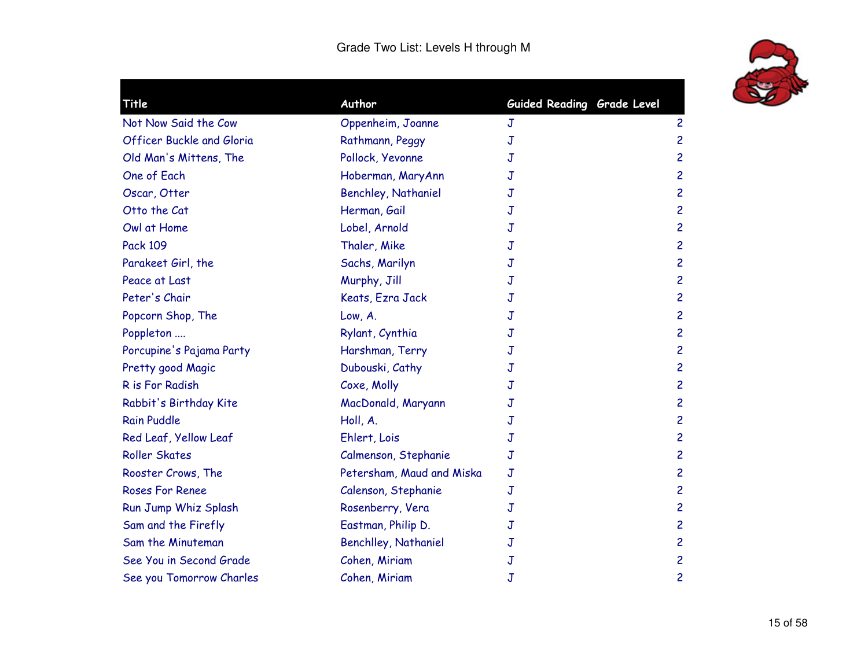

| Title                            | Author                      | Guided Reading Grade Level |                |
|----------------------------------|-----------------------------|----------------------------|----------------|
| Not Now Said the Cow             | Oppenheim, Joanne           | J                          | $\overline{c}$ |
| <b>Officer Buckle and Gloria</b> | Rathmann, Peggy             | J                          | $\overline{c}$ |
| Old Man's Mittens, The           | Pollock, Yevonne            | J                          | $\overline{c}$ |
| One of Each                      | Hoberman, MaryAnn           | J                          | $\overline{c}$ |
| Oscar, Otter                     | <b>Benchley, Nathaniel</b>  | J                          | $\overline{c}$ |
| Otto the Cat                     | Herman, Gail                | J                          | $\overline{c}$ |
| Owl at Home                      | Lobel, Arnold               | J                          | $\overline{c}$ |
| <b>Pack 109</b>                  | Thaler, Mike                | J                          | $\overline{c}$ |
| Parakeet Girl, the               | Sachs, Marilyn              | J                          | $\overline{c}$ |
| Peace at Last                    | Murphy, Jill                | J                          | $\overline{c}$ |
| Peter's Chair                    | Keats, Ezra Jack            | J                          | $\overline{c}$ |
| Popcorn Shop, The                | Low, A.                     | J                          | $\overline{c}$ |
| Poppleton                        | Rylant, Cynthia             | J                          | $\overline{c}$ |
| Porcupine's Pajama Party         | Harshman, Terry             | J                          | $\overline{c}$ |
| Pretty good Magic                | Dubouski, Cathy             | J                          | $\overline{c}$ |
| R is For Radish                  | Coxe, Molly                 | J                          | $\overline{c}$ |
| Rabbit's Birthday Kite           | MacDonald, Maryann          | J                          | $\overline{c}$ |
| <b>Rain Puddle</b>               | Holl, A.                    | J                          | $\overline{c}$ |
| Red Leaf, Yellow Leaf            | Ehlert, Lois                | J                          | $\overline{c}$ |
| <b>Roller Skates</b>             | Calmenson, Stephanie        | J                          | $\overline{c}$ |
| Rooster Crows, The               | Petersham, Maud and Miska   | J                          | $\overline{c}$ |
| <b>Roses For Renee</b>           | Calenson, Stephanie         | J                          | $\overline{c}$ |
| Run Jump Whiz Splash             | Rosenberry, Vera            | J                          | $\overline{c}$ |
| Sam and the Firefly              | Eastman, Philip D.          | J                          | $\overline{c}$ |
| Sam the Minuteman                | <b>Benchlley, Nathaniel</b> | J                          | $\overline{c}$ |
| See You in Second Grade          | Cohen, Miriam               | J                          | $\overline{c}$ |
| See you Tomorrow Charles         | Cohen, Miriam               | J                          | $\overline{c}$ |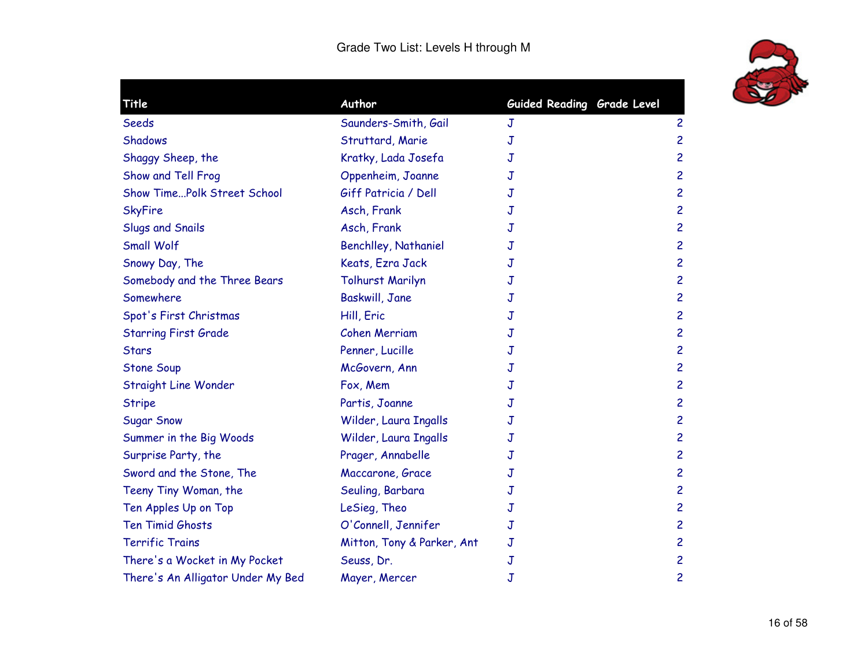

| <b>Title</b>                       | Author                      | Guided Reading Grade Level |                         |
|------------------------------------|-----------------------------|----------------------------|-------------------------|
| Seeds                              | Saunders-Smith, Gail        | J                          | $\overline{c}$          |
| <b>Shadows</b>                     | Struttard, Marie            | J                          | $\overline{c}$          |
| Shaggy Sheep, the                  | Kratky, Lada Josefa         | J                          | $\overline{c}$          |
| Show and Tell Frog                 | Oppenheim, Joanne           | J                          | $\overline{c}$          |
| <b>Show TimePolk Street School</b> | Giff Patricia / Dell        | J                          | $\overline{c}$          |
| <b>SkyFire</b>                     | Asch, Frank                 | J                          | $\overline{c}$          |
| Slugs and Snails                   | Asch, Frank                 | J                          | $\overline{c}$          |
| <b>Small Wolf</b>                  | <b>Benchlley, Nathaniel</b> | J                          | $\overline{\mathbf{c}}$ |
| Snowy Day, The                     | Keats, Ezra Jack            | J                          | $\overline{c}$          |
| Somebody and the Three Bears       | <b>Tolhurst Marilyn</b>     | J                          | $\overline{c}$          |
| Somewhere                          | Baskwill, Jane              | J                          | $\overline{\mathbf{c}}$ |
| Spot's First Christmas             | Hill, Eric                  | J                          | $\overline{c}$          |
| <b>Starring First Grade</b>        | <b>Cohen Merriam</b>        | J                          | $\overline{c}$          |
| <b>Stars</b>                       | Penner, Lucille             | J                          | $\overline{c}$          |
| <b>Stone Soup</b>                  | McGovern, Ann               | J                          | $\overline{\mathsf{c}}$ |
| Straight Line Wonder               | Fox, Mem                    | J                          | $\overline{c}$          |
| <b>Stripe</b>                      | Partis, Joanne              | J                          | $\overline{c}$          |
| <b>Sugar Snow</b>                  | Wilder, Laura Ingalls       | J                          | $\overline{\mathbf{c}}$ |
| Summer in the Big Woods            | Wilder, Laura Ingalls       | J                          | $\overline{c}$          |
| Surprise Party, the                | Prager, Annabelle           | J                          | $\overline{c}$          |
| Sword and the Stone, The           | Maccarone, Grace            | J                          | $\overline{\mathbf{c}}$ |
| Teeny Tiny Woman, the              | Seuling, Barbara            | J                          | $\overline{c}$          |
| Ten Apples Up on Top               | LeSieg, Theo                | J                          | $\overline{c}$          |
| Ten Timid Ghosts                   | O'Connell, Jennifer         | J                          | $\overline{c}$          |
| <b>Terrific Trains</b>             | Mitton, Tony & Parker, Ant  | $\mathbf J$                | $\overline{\mathsf{c}}$ |
| There's a Wocket in My Pocket      | Seuss, Dr.                  | $\mathbf J$                | $\overline{c}$          |
| There's An Alligator Under My Bed  | Mayer, Mercer               | $\mathbf J$                | $\overline{c}$          |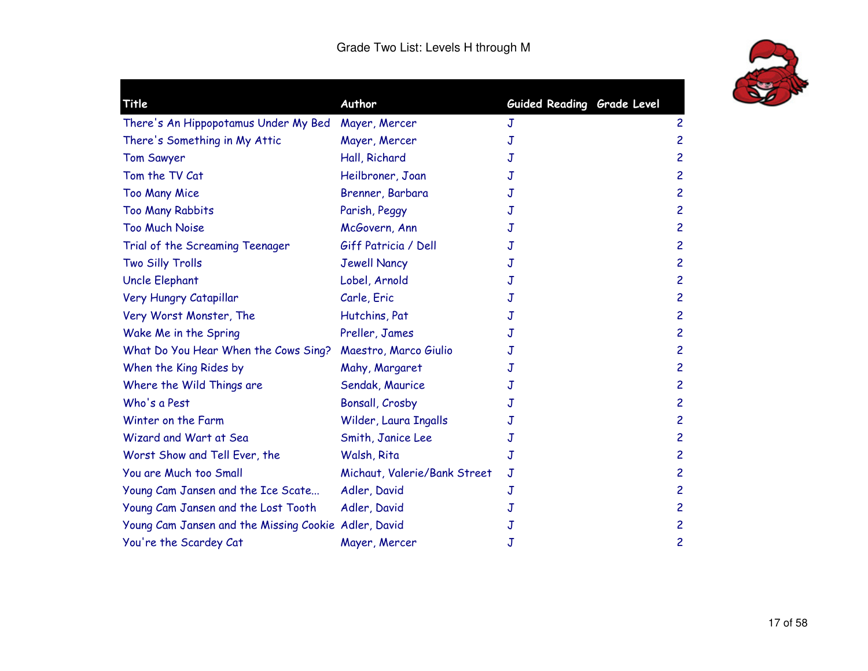

 $\blacksquare$ 

| Title                                                | Author                       | Guided Reading Grade Level |                |
|------------------------------------------------------|------------------------------|----------------------------|----------------|
| There's An Hippopotamus Under My Bed                 | Mayer, Mercer                | J                          | $\overline{c}$ |
| There's Something in My Attic                        | Mayer, Mercer                | J                          | $\overline{c}$ |
| <b>Tom Sawyer</b>                                    | Hall, Richard                | J                          | $\overline{c}$ |
| Tom the TV Cat                                       | Heilbroner, Joan             | J                          | $\overline{c}$ |
| <b>Too Many Mice</b>                                 | Brenner, Barbara             | J                          | $\overline{c}$ |
| <b>Too Many Rabbits</b>                              | Parish, Peggy                | J                          | $\overline{c}$ |
| <b>Too Much Noise</b>                                | McGovern, Ann                | J                          | $\overline{c}$ |
| Trial of the Screaming Teenager                      | Giff Patricia / Dell         | J                          | $\overline{c}$ |
| Two Silly Trolls                                     | <b>Jewell Nancy</b>          | J                          | $\overline{c}$ |
| Uncle Elephant                                       | Lobel, Arnold                | J                          | $\overline{c}$ |
| Very Hungry Catapillar                               | Carle, Eric                  | J                          | $\overline{c}$ |
| Very Worst Monster, The                              | Hutchins, Pat                | J                          | $\overline{c}$ |
| Wake Me in the Spring                                | Preller, James               | J                          | $\overline{c}$ |
| What Do You Hear When the Cows Sing?                 | Maestro, Marco Giulio        | J                          | $\overline{c}$ |
| When the King Rides by                               | Mahy, Margaret               | J                          | $\overline{c}$ |
| Where the Wild Things are                            | Sendak, Maurice              | J                          | $\overline{c}$ |
| Who's a Pest                                         | Bonsall, Crosby              | J                          | $\overline{c}$ |
| Winter on the Farm                                   | Wilder, Laura Ingalls        | J                          | $\overline{c}$ |
| Wizard and Wart at Sea                               | Smith, Janice Lee            | J                          | $\overline{c}$ |
| Worst Show and Tell Ever, the                        | Walsh, Rita                  | J                          | $\overline{c}$ |
| You are Much too Small                               | Michaut, Valerie/Bank Street | J                          | $\overline{c}$ |
| Young Cam Jansen and the Ice Scate                   | Adler, David                 | J                          | $\overline{c}$ |
| Young Cam Jansen and the Lost Tooth                  | Adler, David                 | J                          | $\overline{c}$ |
| Young Cam Jansen and the Missing Cookie Adler, David |                              | J                          | $\overline{c}$ |
| You're the Scardey Cat                               | Mayer, Mercer                | J                          | $\overline{c}$ |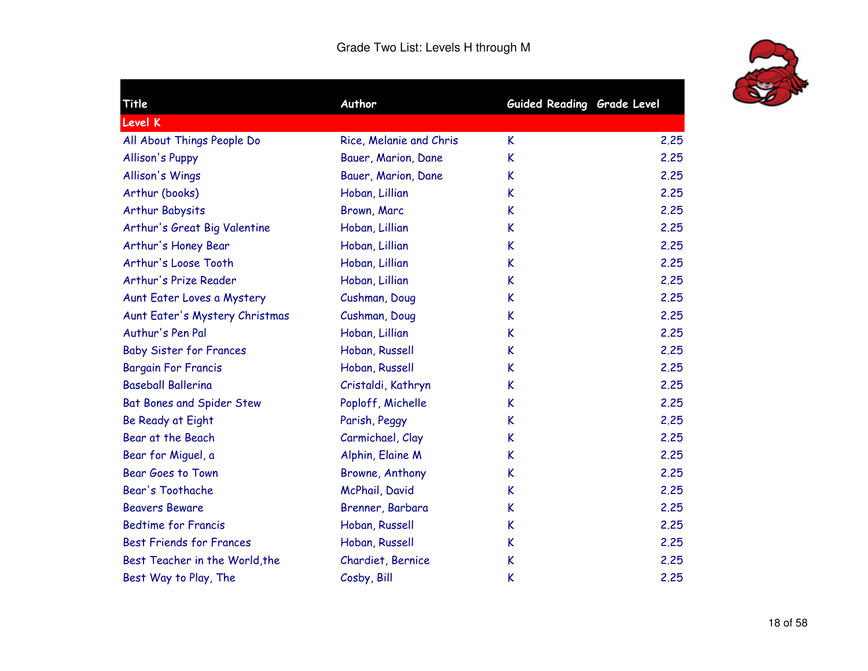

٠

| Title                           | Author                  | Guided Reading Grade Level |      |
|---------------------------------|-------------------------|----------------------------|------|
| <b>Level K</b>                  |                         |                            |      |
| All About Things People Do      | Rice, Melanie and Chris | K.                         | 2.25 |
| <b>Allison's Puppy</b>          | Bauer, Marion, Dane     | K                          | 2,25 |
| Allison's Wings                 | Bauer, Marion, Dane     | K                          | 2.25 |
| Arthur (books)                  | Hoban, Lillian          | K                          | 2.25 |
| <b>Arthur Babysits</b>          | Brown, Marc             | K                          | 2.25 |
| Arthur's Great Big Valentine    | Hoban, Lillian          | K                          | 2.25 |
| Arthur's Honey Bear             | Hoban, Lillian          | K                          | 2,25 |
| Arthur's Loose Tooth            | Hoban, Lillian          | K                          | 2,25 |
| Arthur's Prize Reader           | Hoban, Lillian          | K                          | 2.25 |
| Aunt Eater Loves a Mystery      | Cushman, Doug           | K                          | 2.25 |
| Aunt Eater's Mystery Christmas  | Cushman, Doug           | K                          | 2.25 |
| Authur's Pen Pal                | Hoban, Lillian          | K                          | 2.25 |
| <b>Baby Sister for Frances</b>  | Hoban, Russell          | K                          | 2,25 |
| <b>Bargain For Francis</b>      | Hoban, Russell          | K                          | 2.25 |
| <b>Baseball Ballerina</b>       | Cristaldi, Kathryn      | K                          | 2,25 |
| Bat Bones and Spider Stew       | Poploff, Michelle       | K                          | 2.25 |
| Be Ready at Eight               | Parish, Peggy           | K                          | 2.25 |
| Bear at the Beach               | Carmichael, Clay        | K                          | 2.25 |
| Bear for Miguel, a              | Alphin, Elaine M        | K                          | 2,25 |
| Bear Goes to Town               | Browne, Anthony         | K                          | 2.25 |
| Bear's Toothache                | McPhail, David          | K                          | 2.25 |
| <b>Beavers Beware</b>           | Brenner, Barbara        | K                          | 2.25 |
| <b>Bedtime for Francis</b>      | Hoban, Russell          | K                          | 2.25 |
| <b>Best Friends for Frances</b> | Hoban, Russell          | K                          | 2.25 |
| Best Teacher in the World, the  | Chardiet, Bernice       | K                          | 2,25 |
| Best Way to Play, The           | Cosby, Bill             | K                          | 2.25 |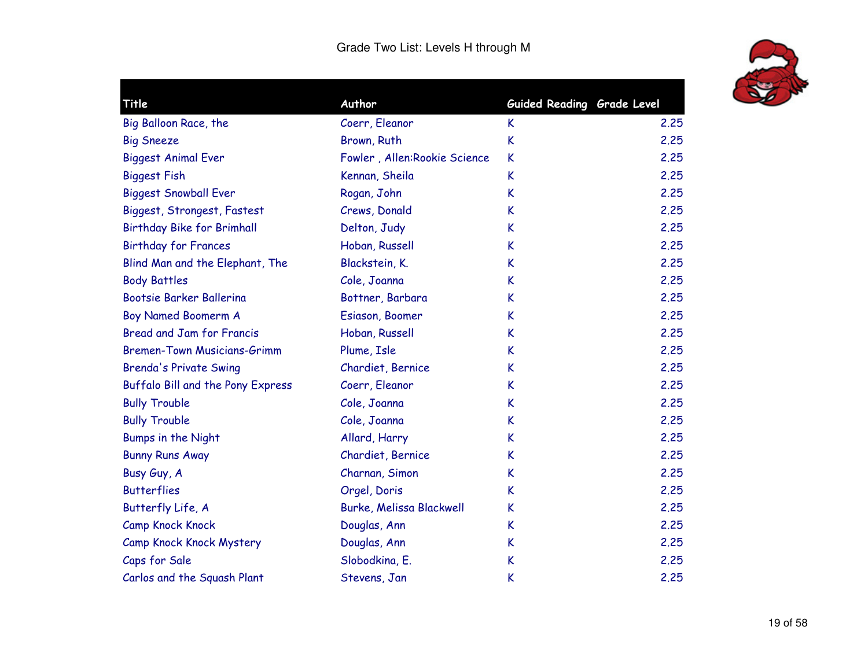

| Title                              | Author                          | Guided Reading Grade Level |      |
|------------------------------------|---------------------------------|----------------------------|------|
| Big Balloon Race, the              | Coerr, Eleanor                  | K                          | 2.25 |
| <b>Big Sneeze</b>                  | Brown, Ruth                     | K                          | 2.25 |
| <b>Biggest Animal Ever</b>         | Fowler, Allen: Rookie Science   | K                          | 2.25 |
| <b>Biggest Fish</b>                | Kennan, Sheila                  | K                          | 2.25 |
| <b>Biggest Snowball Ever</b>       | Rogan, John                     | K                          | 2.25 |
| Biggest, Strongest, Fastest        | Crews, Donald                   | K                          | 2.25 |
| <b>Birthday Bike for Brimhall</b>  | Delton, Judy                    | K                          | 2.25 |
| <b>Birthday for Frances</b>        | Hoban, Russell                  | K                          | 2.25 |
| Blind Man and the Elephant, The    | Blackstein, K.                  | K                          | 2.25 |
| <b>Body Battles</b>                | Cole, Joanna                    | K                          | 2.25 |
| Bootsie Barker Ballerina           | Bottner, Barbara                | K                          | 2.25 |
| <b>Boy Named Boomerm A</b>         | Esiason, Boomer                 | K                          | 2.25 |
| <b>Bread and Jam for Francis</b>   | Hoban, Russell                  | K                          | 2.25 |
| <b>Bremen-Town Musicians-Grimm</b> | Plume, Isle                     | K                          | 2.25 |
| <b>Brenda's Private Swing</b>      | Chardiet, Bernice               | K                          | 2,25 |
| Buffalo Bill and the Pony Express  | Coerr, Eleanor                  | K                          | 2.25 |
| <b>Bully Trouble</b>               | Cole, Joanna                    | K                          | 2.25 |
| <b>Bully Trouble</b>               | Cole, Joanna                    | K                          | 2.25 |
| Bumps in the Night                 | Allard, Harry                   | K                          | 2.25 |
| <b>Bunny Runs Away</b>             | Chardiet, Bernice               | K                          | 2.25 |
| Busy Guy, A                        | Charnan, Simon                  | K                          | 2.25 |
| <b>Butterflies</b>                 | Orgel, Doris                    | K                          | 2.25 |
| Butterfly Life, A                  | <b>Burke, Melissa Blackwell</b> | K                          | 2.25 |
| <b>Camp Knock Knock</b>            | Douglas, Ann                    | K                          | 2.25 |
| Camp Knock Knock Mystery           | Douglas, Ann                    | K                          | 2.25 |
| Caps for Sale                      | Slobodkina, E.                  | K                          | 2.25 |
| Carlos and the Squash Plant        | Stevens, Jan                    | K                          | 2.25 |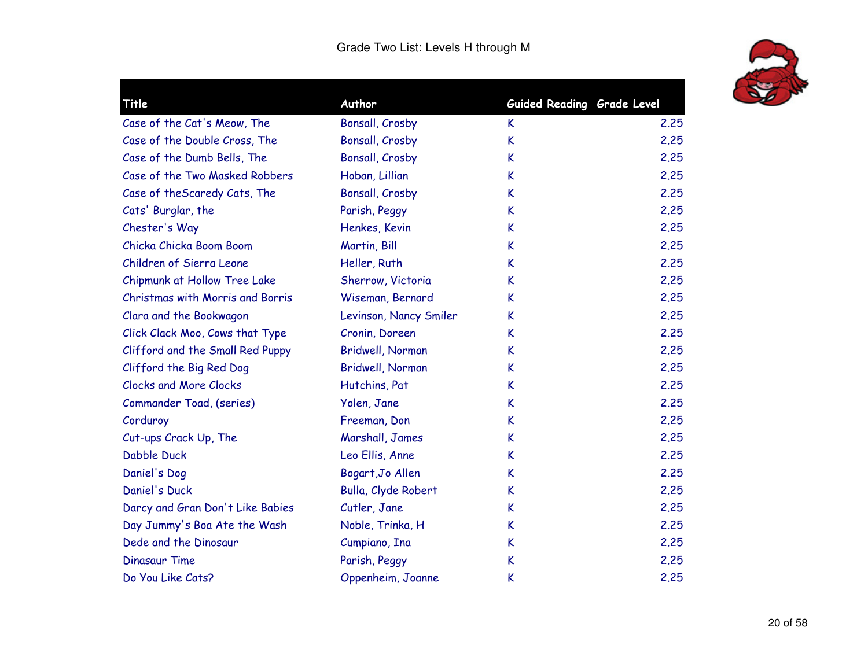

| Title                            | Author                 | Guided Reading Grade Level |      |
|----------------------------------|------------------------|----------------------------|------|
| Case of the Cat's Meow, The      | Bonsall, Crosby        | K                          | 2.25 |
| Case of the Double Cross, The    | Bonsall, Crosby        | K                          | 2.25 |
| Case of the Dumb Bells, The      | Bonsall, Crosby        | K                          | 2.25 |
| Case of the Two Masked Robbers   | Hoban, Lillian         | K                          | 2.25 |
| Case of the Scaredy Cats, The    | Bonsall, Crosby        | K                          | 2.25 |
| Cats' Burglar, the               | Parish, Peggy          | K                          | 2.25 |
| Chester's Way                    | Henkes, Kevin          | K                          | 2.25 |
| Chicka Chicka Boom Boom          | Martin, Bill           | K                          | 2.25 |
| Children of Sierra Leone         | Heller, Ruth           | K                          | 2.25 |
| Chipmunk at Hollow Tree Lake     | Sherrow, Victoria      | K                          | 2.25 |
| Christmas with Morris and Borris | Wiseman, Bernard       | K                          | 2.25 |
| Clara and the Bookwagon          | Levinson, Nancy Smiler | K                          | 2.25 |
| Click Clack Moo, Cows that Type  | Cronin, Doreen         | K                          | 2.25 |
| Clifford and the Small Red Puppy | Bridwell, Norman       | K                          | 2.25 |
| Clifford the Big Red Dog         | Bridwell, Norman       | K                          | 2.25 |
| <b>Clocks and More Clocks</b>    | Hutchins, Pat          | K                          | 2.25 |
| Commander Toad, (series)         | Yolen, Jane            | K                          | 2.25 |
| Corduroy                         | Freeman, Don           | K                          | 2.25 |
| Cut-ups Crack Up, The            | Marshall, James        | K                          | 2.25 |
| Dabble Duck                      | Leo Ellis, Anne        | K                          | 2.25 |
| Daniel's Dog                     | Bogart, Jo Allen       | K                          | 2.25 |
| Daniel's Duck                    | Bulla, Clyde Robert    | K                          | 2.25 |
| Darcy and Gran Don't Like Babies | Cutler, Jane           | K                          | 2.25 |
| Day Jummy's Boa Ate the Wash     | Noble, Trinka, H       | K                          | 2.25 |
| Dede and the Dinosaur            | Cumpiano, Ina          | K                          | 2.25 |
| <b>Dinasaur Time</b>             | Parish, Peggy          | K                          | 2.25 |
| Do You Like Cats?                | Oppenheim, Joanne      | K                          | 2.25 |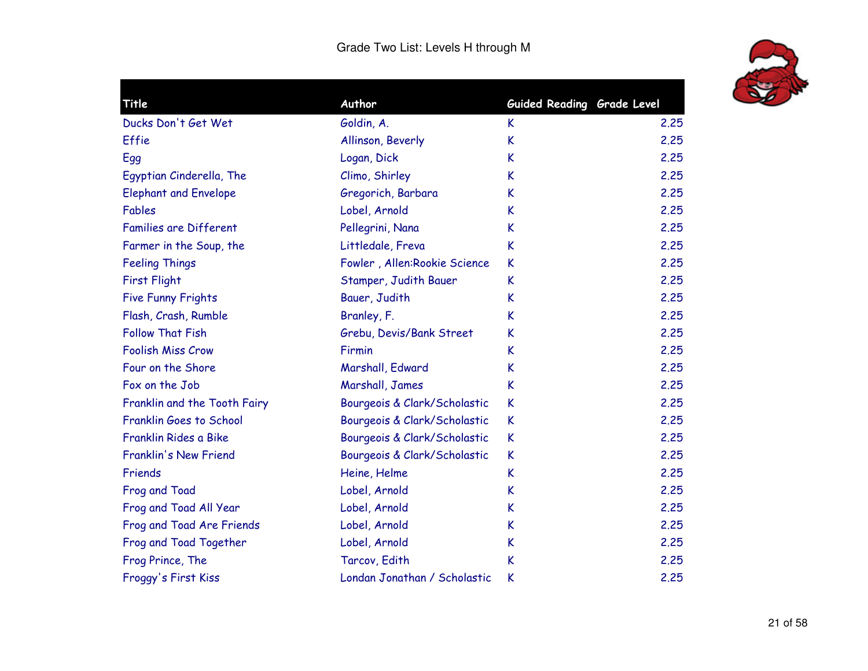

| Title                        | Author                        | Guided Reading Grade Level |      |
|------------------------------|-------------------------------|----------------------------|------|
| Ducks Don't Get Wet          | Goldin, A.                    | K                          | 2.25 |
| Effie                        | Allinson, Beverly             | K                          | 2.25 |
| Egg                          | Logan, Dick                   | K                          | 2.25 |
| Egyptian Cinderella, The     | Climo, Shirley                | K                          | 2.25 |
| <b>Elephant and Envelope</b> | Gregorich, Barbara            | K                          | 2.25 |
| Fables                       | Lobel, Arnold                 | K                          | 2.25 |
| Families are Different       | Pellegrini, Nana              | K                          | 2.25 |
| Farmer in the Soup, the      | Littledale, Freva             | K                          | 2.25 |
| <b>Feeling Things</b>        | Fowler, Allen: Rookie Science | K                          | 2.25 |
| <b>First Flight</b>          | Stamper, Judith Bauer         | K                          | 2.25 |
| <b>Five Funny Frights</b>    | Bauer, Judith                 | K                          | 2.25 |
| Flash, Crash, Rumble         | Branley, F.                   | K                          | 2.25 |
| <b>Follow That Fish</b>      | Grebu, Devis/Bank Street      | K                          | 2.25 |
| <b>Foolish Miss Crow</b>     | Firmin                        | K                          | 2.25 |
| Four on the Shore            | Marshall, Edward              | K                          | 2.25 |
| Fox on the Job               | Marshall, James               | K                          | 2.25 |
| Franklin and the Tooth Fairy | Bourgeois & Clark/Scholastic  | K                          | 2.25 |
| Franklin Goes to School      | Bourgeois & Clark/Scholastic  | K                          | 2.25 |
| Franklin Rides a Bike        | Bourgeois & Clark/Scholastic  | K                          | 2.25 |
| Franklin's New Friend        | Bourgeois & Clark/Scholastic  | K                          | 2.25 |
| Friends                      | Heine, Helme                  | K                          | 2.25 |
| Frog and Toad                | Lobel, Arnold                 | K                          | 2.25 |
| Frog and Toad All Year       | Lobel, Arnold                 | K                          | 2.25 |
| Frog and Toad Are Friends    | Lobel, Arnold                 | K                          | 2.25 |
| Frog and Toad Together       | Lobel, Arnold                 | K                          | 2.25 |
| Frog Prince, The             | Tarcov, Edith                 | K                          | 2.25 |
| Froggy's First Kiss          | Londan Jonathan / Scholastic  | K                          | 2.25 |
|                              |                               |                            |      |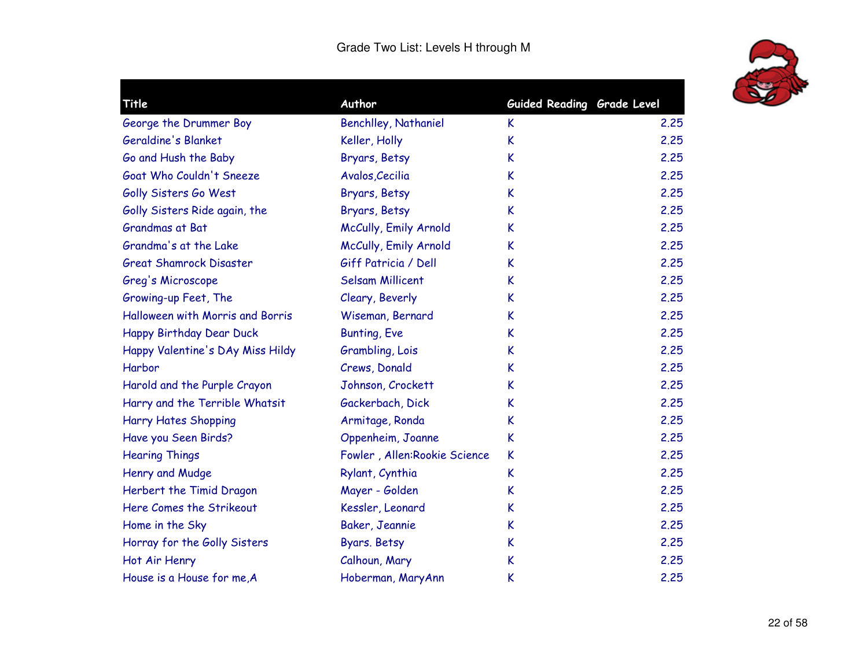

| Title                            | Author                        | Guided Reading Grade Level |      |
|----------------------------------|-------------------------------|----------------------------|------|
| George the Drummer Boy           | <b>Benchlley, Nathaniel</b>   | K                          | 2.25 |
| Geraldine's Blanket              | Keller, Holly                 | K                          | 2.25 |
| Go and Hush the Baby             | Bryars, Betsy                 | K                          | 2.25 |
| Goat Who Couldn't Sneeze         | Avalos, Cecilia               | K                          | 2.25 |
| Golly Sisters Go West            | Bryars, Betsy                 | K                          | 2.25 |
| Golly Sisters Ride again, the    | Bryars, Betsy                 | K                          | 2.25 |
| Grandmas at Bat                  | McCully, Emily Arnold         | K                          | 2.25 |
| Grandma's at the Lake            | McCully, Emily Arnold         | K                          | 2.25 |
| <b>Great Shamrock Disaster</b>   | Giff Patricia / Dell          | K                          | 2.25 |
| Greg's Microscope                | <b>Selsam Millicent</b>       | K                          | 2.25 |
| Growing-up Feet, The             | Cleary, Beverly               | K                          | 2.25 |
| Halloween with Morris and Borris | Wiseman, Bernard              | K                          | 2.25 |
| Happy Birthday Dear Duck         | <b>Bunting, Eve</b>           | K                          | 2.25 |
| Happy Valentine's DAy Miss Hildy | Grambling, Lois               | K                          | 2.25 |
| Harbor                           | Crews, Donald                 | K                          | 2.25 |
| Harold and the Purple Crayon     | Johnson, Crockett             | K                          | 2.25 |
| Harry and the Terrible Whatsit   | Gackerbach, Dick              | K                          | 2.25 |
| <b>Harry Hates Shopping</b>      | Armitage, Ronda               | K                          | 2.25 |
| Have you Seen Birds?             | Oppenheim, Joanne             | K                          | 2.25 |
| <b>Hearing Things</b>            | Fowler, Allen: Rookie Science | K                          | 2.25 |
| Henry and Mudge                  | Rylant, Cynthia               | K                          | 2.25 |
| Herbert the Timid Dragon         | Mayer - Golden                | K                          | 2.25 |
| Here Comes the Strikeout         | Kessler, Leonard              | K                          | 2.25 |
| Home in the Sky                  | Baker, Jeannie                | K                          | 2.25 |
| Horray for the Golly Sisters     | Byars. Betsy                  | K                          | 2.25 |
| Hot Air Henry                    | Calhoun, Mary                 | K                          | 2.25 |
| House is a House for me, A       | Hoberman, MaryAnn             | K                          | 2.25 |
|                                  |                               |                            |      |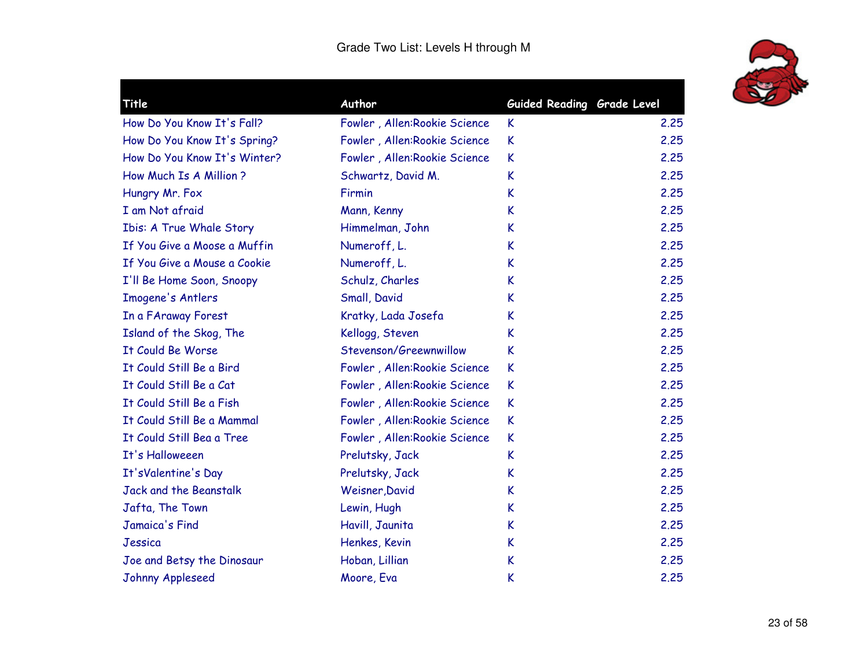

| Title                        | Author                        | Guided Reading Grade Level |      |
|------------------------------|-------------------------------|----------------------------|------|
| How Do You Know It's Fall?   | Fowler, Allen: Rookie Science | K                          | 2.25 |
| How Do You Know It's Spring? | Fowler, Allen: Rookie Science | K                          | 2.25 |
| How Do You Know It's Winter? | Fowler, Allen: Rookie Science | K                          | 2.25 |
| How Much Is A Million ?      | Schwartz, David M.            | K                          | 2.25 |
| Hungry Mr. Fox               | Firmin                        | K                          | 2.25 |
| I am Not afraid              | Mann, Kenny                   | K                          | 2.25 |
| Ibis: A True Whale Story     | Himmelman, John               | K                          | 2.25 |
| If You Give a Moose a Muffin | Numeroff, L.                  | K                          | 2.25 |
| If You Give a Mouse a Cookie | Numeroff, L.                  | K                          | 2.25 |
| I'll Be Home Soon, Snoopy    | Schulz, Charles               | K                          | 2.25 |
| Imogene's Antlers            | Small, David                  | K                          | 2.25 |
| In a FAraway Forest          | Kratky, Lada Josefa           | K                          | 2.25 |
| Island of the Skog, The      | Kellogg, Steven               | K                          | 2.25 |
| It Could Be Worse            | Stevenson/Greewnwillow        | K                          | 2.25 |
| It Could Still Be a Bird     | Fowler, Allen: Rookie Science | K                          | 2.25 |
| It Could Still Be a Cat      | Fowler, Allen: Rookie Science | K                          | 2.25 |
| It Could Still Be a Fish     | Fowler, Allen: Rookie Science | K                          | 2.25 |
| It Could Still Be a Mammal   | Fowler, Allen: Rookie Science | K                          | 2.25 |
| It Could Still Bea a Tree    | Fowler, Allen: Rookie Science | K                          | 2.25 |
| It's Halloweeen              | Prelutsky, Jack               | K                          | 2.25 |
| It'sValentine's Day          | Prelutsky, Jack               | K                          | 2.25 |
| Jack and the Beanstalk       | Weisner, David                | K                          | 2.25 |
| Jafta, The Town              | Lewin, Hugh                   | K                          | 2.25 |
| Jamaica's Find               | Havill, Jaunita               | K                          | 2.25 |
| Jessica                      | Henkes, Kevin                 | K                          | 2.25 |
| Joe and Betsy the Dinosaur   | Hoban, Lillian                | K                          | 2.25 |
| Johnny Appleseed             | Moore, Eva                    | K                          | 2.25 |
|                              |                               |                            |      |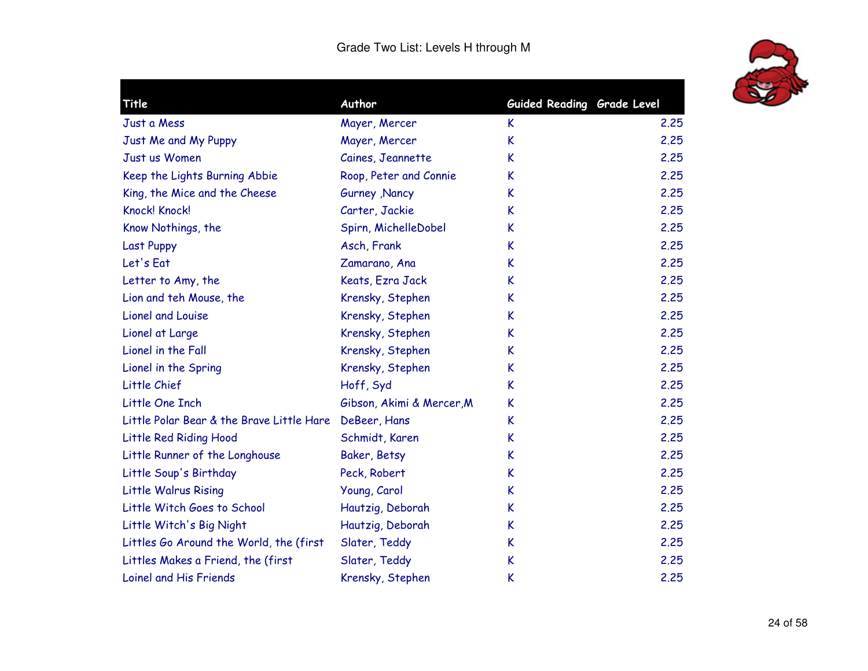

|                                                           |                                                                                                                                                                                                                             | 2.25                                                     |
|-----------------------------------------------------------|-----------------------------------------------------------------------------------------------------------------------------------------------------------------------------------------------------------------------------|----------------------------------------------------------|
|                                                           |                                                                                                                                                                                                                             | 2.25                                                     |
|                                                           |                                                                                                                                                                                                                             | 2.25                                                     |
|                                                           |                                                                                                                                                                                                                             | 2.25                                                     |
|                                                           | K                                                                                                                                                                                                                           | 2.25                                                     |
|                                                           |                                                                                                                                                                                                                             | 2.25                                                     |
|                                                           |                                                                                                                                                                                                                             | 2.25                                                     |
|                                                           | K                                                                                                                                                                                                                           | 2.25                                                     |
|                                                           | K                                                                                                                                                                                                                           | 2.25                                                     |
|                                                           | K                                                                                                                                                                                                                           | 2.25                                                     |
|                                                           | K                                                                                                                                                                                                                           | 2.25                                                     |
| Krensky, Stephen                                          | K                                                                                                                                                                                                                           | 2.25                                                     |
| Krensky, Stephen                                          | K                                                                                                                                                                                                                           | 2.25                                                     |
| Krensky, Stephen                                          | K                                                                                                                                                                                                                           | 2.25                                                     |
| Krensky, Stephen                                          | K                                                                                                                                                                                                                           | 2.25                                                     |
| Hoff, Syd                                                 | K                                                                                                                                                                                                                           | 2.25                                                     |
| Gibson, Akimi & Mercer, M                                 | K                                                                                                                                                                                                                           | 2.25                                                     |
| Little Polar Bear & the Brave Little Hare<br>DeBeer, Hans | K                                                                                                                                                                                                                           | 2.25                                                     |
| Schmidt, Karen                                            | K                                                                                                                                                                                                                           | 2.25                                                     |
| Baker, Betsy                                              | K                                                                                                                                                                                                                           | 2.25                                                     |
| Peck, Robert                                              | K                                                                                                                                                                                                                           | 2.25                                                     |
| Young, Carol                                              | K                                                                                                                                                                                                                           | 2.25                                                     |
| Hautzig, Deborah                                          | K                                                                                                                                                                                                                           | 2.25                                                     |
| Hautzig, Deborah                                          | K                                                                                                                                                                                                                           | 2.25                                                     |
| Slater, Teddy                                             | K                                                                                                                                                                                                                           | 2.25                                                     |
| Slater, Teddy                                             | K                                                                                                                                                                                                                           | 2.25                                                     |
| Krensky, Stephen                                          | K                                                                                                                                                                                                                           | 2.25                                                     |
|                                                           | Author<br>Mayer, Mercer<br>Mayer, Mercer<br>Caines, Jeannette<br>Roop, Peter and Connie<br>Gurney , Nancy<br>Carter, Jackie<br>Spirn, MichelleDobel<br>Asch, Frank<br>Zamarano, Ana<br>Keats, Ezra Jack<br>Krensky, Stephen | Guided Reading Grade Level<br>K<br>K<br>K<br>K<br>K<br>K |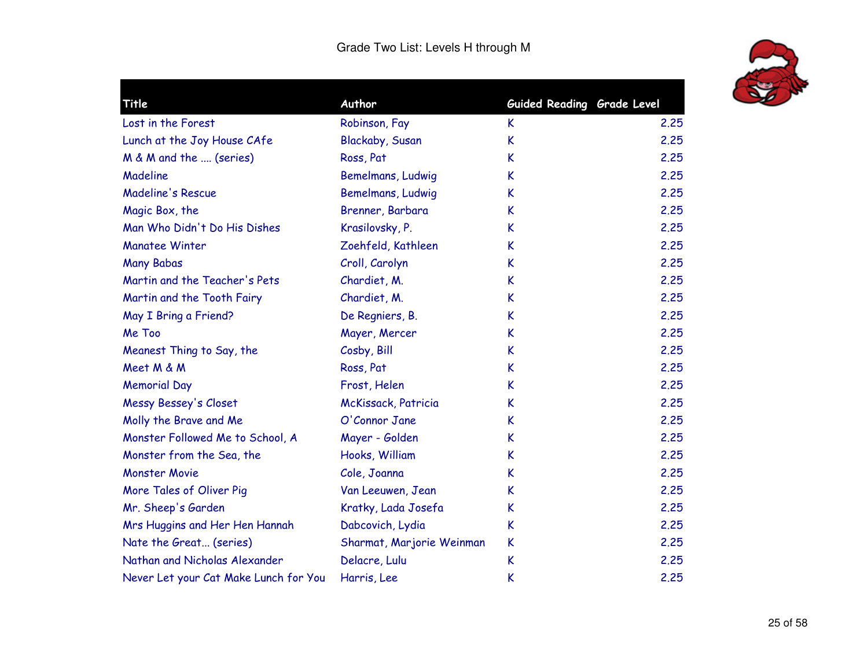

|                           |                                                                                                                                                                                                                                     | 2.25                                                                                    |
|---------------------------|-------------------------------------------------------------------------------------------------------------------------------------------------------------------------------------------------------------------------------------|-----------------------------------------------------------------------------------------|
|                           |                                                                                                                                                                                                                                     | 2.25                                                                                    |
|                           |                                                                                                                                                                                                                                     | 2.25                                                                                    |
|                           |                                                                                                                                                                                                                                     |                                                                                         |
|                           |                                                                                                                                                                                                                                     | 2.25                                                                                    |
|                           |                                                                                                                                                                                                                                     | 2.25                                                                                    |
|                           |                                                                                                                                                                                                                                     | 2.25                                                                                    |
|                           |                                                                                                                                                                                                                                     | 2.25                                                                                    |
|                           |                                                                                                                                                                                                                                     | 2.25                                                                                    |
|                           |                                                                                                                                                                                                                                     | 2.25                                                                                    |
|                           |                                                                                                                                                                                                                                     | 2.25                                                                                    |
|                           |                                                                                                                                                                                                                                     | 2.25                                                                                    |
|                           |                                                                                                                                                                                                                                     | 2.25                                                                                    |
| Mayer, Mercer             | K                                                                                                                                                                                                                                   | 2.25                                                                                    |
| Cosby, Bill               | K                                                                                                                                                                                                                                   | 2.25                                                                                    |
| Ross, Pat                 | K                                                                                                                                                                                                                                   | 2.25                                                                                    |
| Frost, Helen              | K                                                                                                                                                                                                                                   | 2.25                                                                                    |
| McKissack, Patricia       | K                                                                                                                                                                                                                                   | 2.25                                                                                    |
| O'Connor Jane             | K                                                                                                                                                                                                                                   | 2.25                                                                                    |
| Mayer - Golden            | K                                                                                                                                                                                                                                   | 2.25                                                                                    |
| Hooks, William            | K                                                                                                                                                                                                                                   | 2.25                                                                                    |
| Cole, Joanna              | K                                                                                                                                                                                                                                   | 2.25                                                                                    |
| Van Leeuwen, Jean         | K                                                                                                                                                                                                                                   | 2.25                                                                                    |
| Kratky, Lada Josefa       | K                                                                                                                                                                                                                                   | 2.25                                                                                    |
| Dabcovich, Lydia          | K                                                                                                                                                                                                                                   | 2.25                                                                                    |
| Sharmat, Marjorie Weinman | K                                                                                                                                                                                                                                   | 2.25                                                                                    |
| Delacre, Lulu             | K                                                                                                                                                                                                                                   | 2.25                                                                                    |
| Harris, Lee               | K                                                                                                                                                                                                                                   | 2.25                                                                                    |
|                           | Author<br>Robinson, Fay<br>Blackaby, Susan<br>Ross, Pat<br>Bemelmans, Ludwig<br>Bemelmans, Ludwig<br>Brenner, Barbara<br>Krasilovsky, P.<br>Zoehfeld, Kathleen<br>Croll, Carolyn<br>Chardiet, M.<br>Chardiet, M.<br>De Regniers, B. | Guided Reading Grade Level<br>K.<br>K<br>K<br>K<br>K<br>K<br>K<br>K<br>K<br>K<br>K<br>K |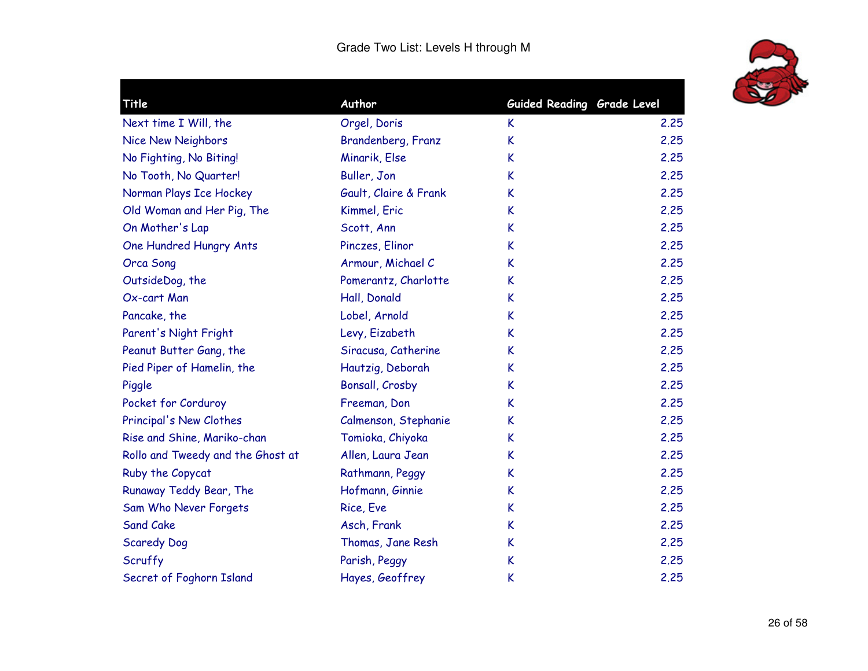

| Title                             | Author                | Guided Reading Grade Level |      |
|-----------------------------------|-----------------------|----------------------------|------|
| Next time I Will, the             | Orgel, Doris          | K.                         | 2.25 |
| Nice New Neighbors                | Brandenberg, Franz    | K                          | 2.25 |
| No Fighting, No Biting!           | Minarik, Else         | K                          | 2.25 |
| No Tooth, No Quarter!             | Buller, Jon           | K                          | 2.25 |
| Norman Plays Ice Hockey           | Gault, Claire & Frank | K                          | 2.25 |
| Old Woman and Her Pig, The        | Kimmel, Eric          | K                          | 2.25 |
| On Mother's Lap                   | Scott, Ann            | K                          | 2.25 |
| One Hundred Hungry Ants           | Pinczes, Elinor       | K                          | 2.25 |
| <b>Orca Song</b>                  | Armour, Michael C     | K                          | 2.25 |
| OutsideDog, the                   | Pomerantz, Charlotte  | K                          | 2.25 |
| Ox-cart Man                       | Hall, Donald          | K                          | 2.25 |
| Pancake, the                      | Lobel, Arnold         | K                          | 2.25 |
| Parent's Night Fright             | Levy, Eizabeth        | K                          | 2.25 |
| Peanut Butter Gang, the           | Siracusa, Catherine   | K                          | 2.25 |
| Pied Piper of Hamelin, the        | Hautzig, Deborah      | K                          | 2.25 |
| Piggle                            | Bonsall, Crosby       | K                          | 2.25 |
| Pocket for Corduroy               | Freeman, Don          | K                          | 2.25 |
| Principal's New Clothes           | Calmenson, Stephanie  | K                          | 2.25 |
| Rise and Shine, Mariko-chan       | Tomioka, Chiyoka      | K                          | 2.25 |
| Rollo and Tweedy and the Ghost at | Allen, Laura Jean     | K                          | 2.25 |
| Ruby the Copycat                  | Rathmann, Peggy       | K                          | 2.25 |
| Runaway Teddy Bear, The           | Hofmann, Ginnie       | K                          | 2.25 |
| Sam Who Never Forgets             | Rice, Eve             | K                          | 2.25 |
| <b>Sand Cake</b>                  | Asch, Frank           | K                          | 2.25 |
| <b>Scaredy Dog</b>                | Thomas, Jane Resh     | K                          | 2.25 |
| Scruffy                           | Parish, Peggy         | K                          | 2.25 |
| Secret of Foghorn Island          | Hayes, Geoffrey       | K                          | 2.25 |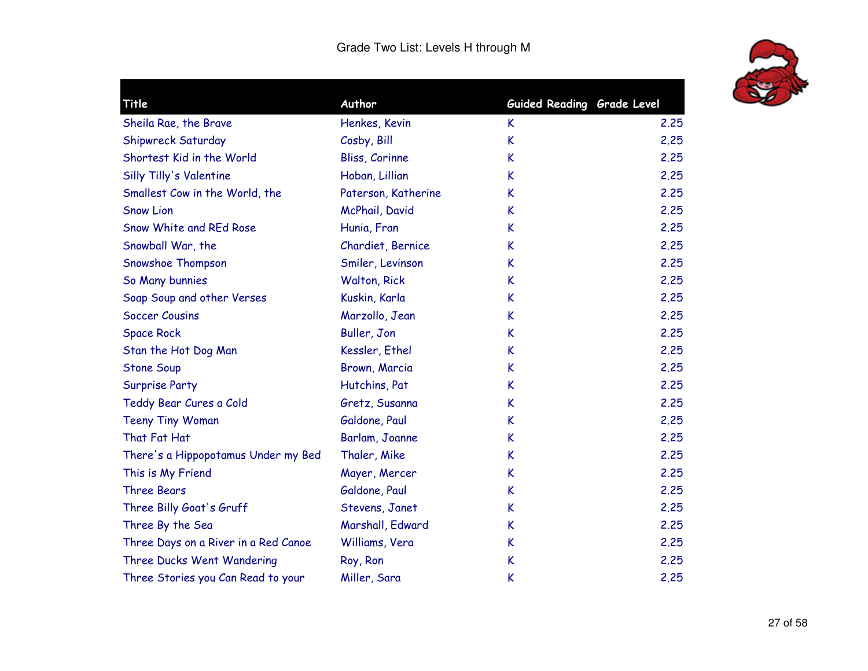

| Title                                | Author              | Guided Reading Grade Level |      |
|--------------------------------------|---------------------|----------------------------|------|
| Sheila Rae, the Brave                | Henkes, Kevin       | K                          | 2.25 |
| Shipwreck Saturday                   | Cosby, Bill         | K                          | 2.25 |
| Shortest Kid in the World            | Bliss, Corinne      | K                          | 2,25 |
| Silly Tilly's Valentine              | Hoban, Lillian      | K                          | 2.25 |
| Smallest Cow in the World, the       | Paterson, Katherine | K                          | 2.25 |
| <b>Snow Lion</b>                     | McPhail, David      | K                          | 2.25 |
| Snow White and REd Rose              | Hunia, Fran         | K                          | 2.25 |
| Snowball War, the                    | Chardiet, Bernice   | K                          | 2.25 |
| Snowshoe Thompson                    | Smiler, Levinson    | K                          | 2.25 |
| So Many bunnies                      | <b>Walton, Rick</b> | K                          | 2.25 |
| Soap Soup and other Verses           | Kuskin, Karla       | K                          | 2.25 |
| <b>Soccer Cousins</b>                | Marzollo, Jean      | K                          | 2.25 |
| <b>Space Rock</b>                    | Buller, Jon         | K                          | 2.25 |
| Stan the Hot Dog Man                 | Kessler, Ethel      | K                          | 2.25 |
| <b>Stone Soup</b>                    | Brown, Marcia       | K                          | 2,25 |
| <b>Surprise Party</b>                | Hutchins, Pat       | K                          | 2,25 |
| Teddy Bear Cures a Cold              | Gretz, Susanna      | K                          | 2,25 |
| <b>Teeny Tiny Woman</b>              | Galdone, Paul       | K                          | 2.25 |
| That Fat Hat                         | Barlam, Joanne      | K                          | 2.25 |
| There's a Hippopotamus Under my Bed  | Thaler, Mike        | K                          | 2.25 |
| This is My Friend                    | Mayer, Mercer       | K                          | 2.25 |
| <b>Three Bears</b>                   | Galdone, Paul       | K                          | 2.25 |
| Three Billy Goat's Gruff             | Stevens, Janet      | K                          | 2.25 |
| Three By the Sea                     | Marshall, Edward    | K                          | 2.25 |
| Three Days on a River in a Red Canoe | Williams, Vera      | K                          | 2.25 |
| Three Ducks Went Wandering           | Roy, Ron            | K                          | 2.25 |
| Three Stories you Can Read to your   | Miller, Sara        | K                          | 2.25 |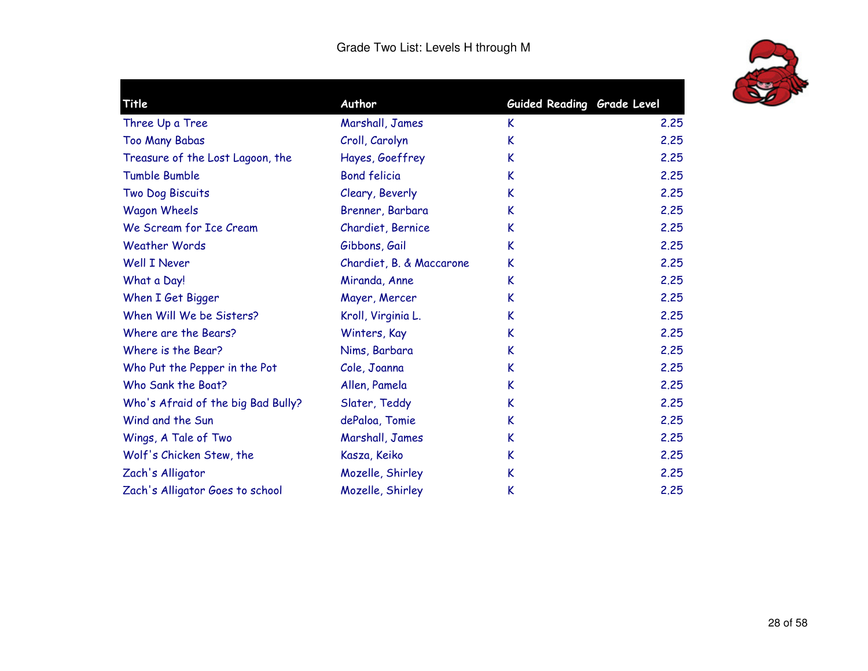

| Title                              | Author                   | Guided Reading Grade Level |      |
|------------------------------------|--------------------------|----------------------------|------|
| Three Up a Tree                    | Marshall, James          | K.                         | 2.25 |
| <b>Too Many Babas</b>              | Croll, Carolyn           | K                          | 2.25 |
| Treasure of the Lost Lagoon, the   | Hayes, Goeffrey          | K                          | 2.25 |
| <b>Tumble Bumble</b>               | <b>Bond felicia</b>      | K                          | 2.25 |
| Two Dog Biscuits                   | Cleary, Beverly          | K                          | 2.25 |
| <b>Wagon Wheels</b>                | Brenner, Barbara         | K                          | 2.25 |
| We Scream for Ice Cream            | Chardiet, Bernice        | K                          | 2.25 |
| <b>Weather Words</b>               | Gibbons, Gail            | K                          | 2.25 |
| Well I Never                       | Chardiet, B. & Maccarone | K                          | 2.25 |
| What a Day!                        | Miranda, Anne            | K                          | 2.25 |
| When I Get Bigger                  | Mayer, Mercer            | K                          | 2.25 |
| When Will We be Sisters?           | Kroll, Virginia L.       | K                          | 2.25 |
| Where are the Bears?               | Winters, Kay             | K                          | 2.25 |
| Where is the Bear?                 | Nims, Barbara            | K                          | 2.25 |
| Who Put the Pepper in the Pot      | Cole, Joanna             | K                          | 2.25 |
| Who Sank the Boat?                 | Allen, Pamela            | K                          | 2.25 |
| Who's Afraid of the big Bad Bully? | Slater, Teddy            | K                          | 2.25 |
| Wind and the Sun                   | dePaloa, Tomie           | K                          | 2.25 |
| Wings, A Tale of Two               | Marshall, James          | K                          | 2.25 |
| Wolf's Chicken Stew, the           | Kasza, Keiko             | K                          | 2.25 |
| Zach's Alligator                   | Mozelle, Shirley         | K                          | 2.25 |
| Zach's Alligator Goes to school    | Mozelle, Shirley         | K                          | 2.25 |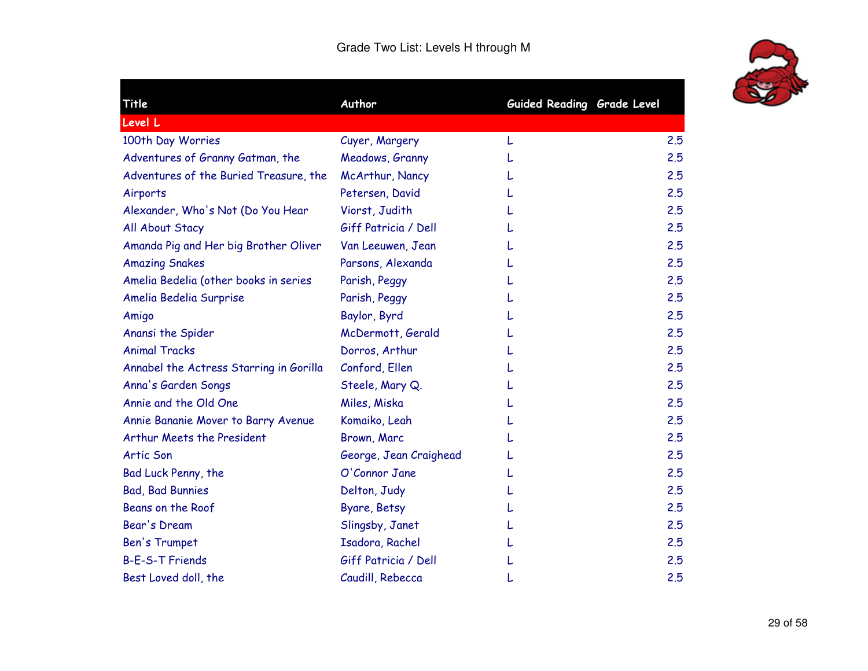

| Title                                   | Author                 | Guided Reading Grade Level |     |
|-----------------------------------------|------------------------|----------------------------|-----|
| Level L                                 |                        |                            |     |
| 100th Day Worries                       | Cuyer, Margery         | L                          | 2.5 |
| Adventures of Granny Gatman, the        | Meadows, Granny        |                            | 2.5 |
| Adventures of the Buried Treasure, the  | McArthur, Nancy        |                            | 2.5 |
| Airports                                | Petersen, David        |                            | 2.5 |
| Alexander, Who's Not (Do You Hear       | Viorst, Judith         |                            | 2.5 |
| All About Stacy                         | Giff Patricia / Dell   |                            | 2.5 |
| Amanda Pig and Her big Brother Oliver   | Van Leeuwen, Jean      |                            | 2.5 |
| <b>Amazing Snakes</b>                   | Parsons, Alexanda      |                            | 2.5 |
| Amelia Bedelia (other books in series   | Parish, Peggy          |                            | 2.5 |
| Amelia Bedelia Surprise                 | Parish, Peggy          |                            | 2.5 |
| Amigo                                   | Baylor, Byrd           |                            | 2.5 |
| Anansi the Spider                       | McDermott, Gerald      |                            | 2.5 |
| <b>Animal Tracks</b>                    | Dorros, Arthur         |                            | 2.5 |
| Annabel the Actress Starring in Gorilla | Conford, Ellen         |                            | 2.5 |
| Anna's Garden Songs                     | Steele, Mary Q.        |                            | 2.5 |
| Annie and the Old One                   | Miles, Miska           |                            | 2.5 |
| Annie Bananie Mover to Barry Avenue     | Komaiko, Leah          |                            | 2.5 |
| Arthur Meets the President              | Brown, Marc            |                            | 2.5 |
| <b>Artic Son</b>                        | George, Jean Craighead |                            | 2.5 |
| Bad Luck Penny, the                     | O'Connor Jane          |                            | 2.5 |
| <b>Bad, Bad Bunnies</b>                 | Delton, Judy           |                            | 2.5 |
| Beans on the Roof                       | Byare, Betsy           |                            | 2.5 |
| Bear's Dream                            | Slingsby, Janet        |                            | 2.5 |
| Ben's Trumpet                           | Isadora, Rachel        |                            | 2.5 |
| <b>B-E-S-T Friends</b>                  | Giff Patricia / Dell   |                            | 2.5 |
| Best Loved doll, the                    | Caudill, Rebecca       |                            | 2.5 |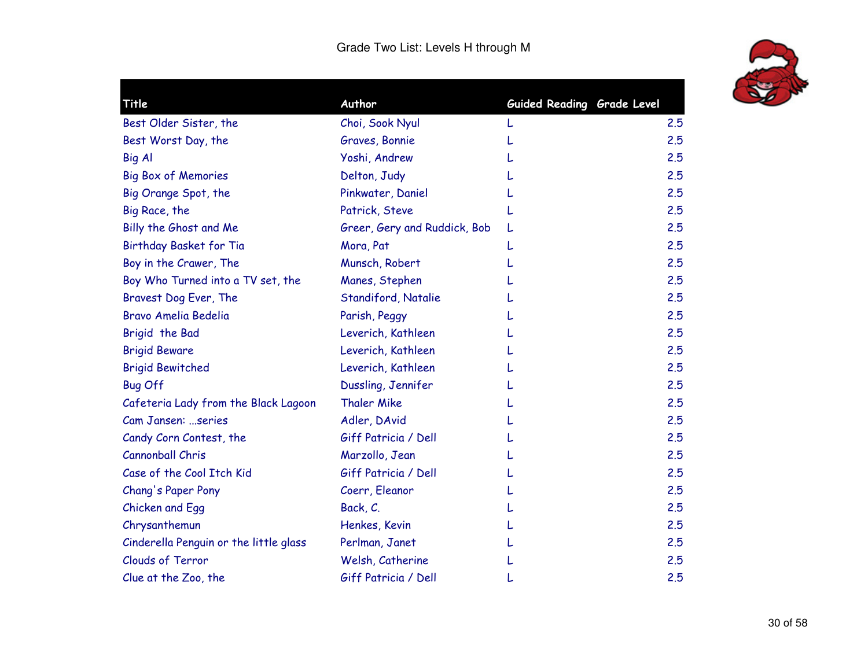

| Title                                  | Author                       | Guided Reading Grade Level |     |
|----------------------------------------|------------------------------|----------------------------|-----|
| Best Older Sister, the                 | Choi, Sook Nyul              |                            | 2.5 |
| Best Worst Day, the                    | Graves, Bonnie               |                            | 2.5 |
| Big Al                                 | Yoshi, Andrew                |                            | 2.5 |
| <b>Big Box of Memories</b>             | Delton, Judy                 |                            | 2.5 |
| Big Orange Spot, the                   | Pinkwater, Daniel            |                            | 2.5 |
| Big Race, the                          | Patrick, Steve               |                            | 2.5 |
| Billy the Ghost and Me                 | Greer, Gery and Ruddick, Bob | L                          | 2.5 |
| Birthday Basket for Tia                | Mora, Pat                    |                            | 2.5 |
| Boy in the Crawer, The                 | Munsch, Robert               |                            | 2.5 |
| Boy Who Turned into a TV set, the      | Manes, Stephen               |                            | 2,5 |
| Bravest Dog Ever, The                  | Standiford, Natalie          |                            | 2.5 |
| Bravo Amelia Bedelia                   | Parish, Peggy                |                            | 2.5 |
| Brigid the Bad                         | Leverich, Kathleen           |                            | 2.5 |
| <b>Brigid Beware</b>                   | Leverich, Kathleen           |                            | 2.5 |
| <b>Brigid Bewitched</b>                | Leverich, Kathleen           |                            | 2.5 |
| <b>Bug Off</b>                         | Dussling, Jennifer           |                            | 2.5 |
| Cafeteria Lady from the Black Lagoon   | <b>Thaler Mike</b>           |                            | 2.5 |
| Cam Jansen: series                     | Adler, DAvid                 |                            | 2.5 |
| Candy Corn Contest, the                | Giff Patricia / Dell         |                            | 2.5 |
| Cannonball Chris                       | Marzollo, Jean               |                            | 2.5 |
| Case of the Cool Itch Kid              | Giff Patricia / Dell         |                            | 2.5 |
| Chang's Paper Pony                     | Coerr, Eleanor               |                            | 2.5 |
| Chicken and Egg                        | Back, C.                     |                            | 2.5 |
| Chrysanthemun                          | Henkes, Kevin                |                            | 2.5 |
| Cinderella Penguin or the little glass | Perlman, Janet               |                            | 2.5 |
| <b>Clouds of Terror</b>                | Welsh, Catherine             |                            | 2.5 |
| Clue at the Zoo, the                   | Giff Patricia / Dell         |                            | 2.5 |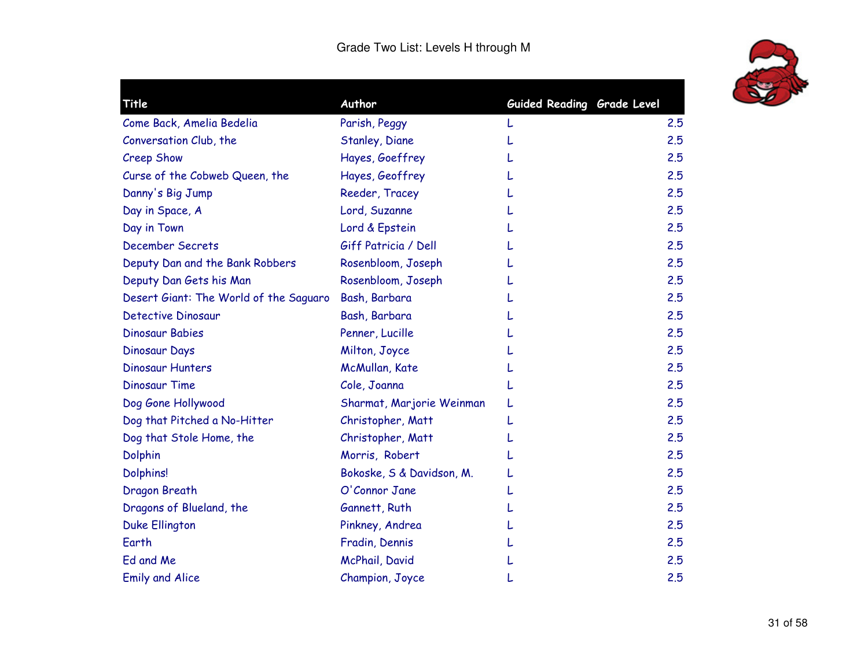

| Title                                  | Author                    | Guided Reading Grade Level |     |
|----------------------------------------|---------------------------|----------------------------|-----|
| Come Back, Amelia Bedelia              | Parish, Peggy             |                            | 2.5 |
| Conversation Club, the                 | Stanley, Diane            |                            | 2.5 |
| Creep Show                             | Hayes, Goeffrey           |                            | 2.5 |
| Curse of the Cobweb Queen, the         | Hayes, Geoffrey           |                            | 2.5 |
| Danny's Big Jump                       | Reeder, Tracey            |                            | 2.5 |
| Day in Space, A                        | Lord, Suzanne             |                            | 2.5 |
| Day in Town                            | Lord & Epstein            |                            | 2.5 |
| <b>December Secrets</b>                | Giff Patricia / Dell      |                            | 2.5 |
| Deputy Dan and the Bank Robbers        | Rosenbloom, Joseph        |                            | 2.5 |
| Deputy Dan Gets his Man                | Rosenbloom, Joseph        |                            | 2.5 |
| Desert Giant: The World of the Saguaro | Bash, Barbara             |                            | 2.5 |
| <b>Detective Dinosaur</b>              | Bash, Barbara             |                            | 2.5 |
| <b>Dinosaur Babies</b>                 | Penner, Lucille           |                            | 2.5 |
| Dinosaur Days                          | Milton, Joyce             |                            | 2.5 |
| <b>Dinosaur Hunters</b>                | McMullan, Kate            |                            | 2.5 |
| <b>Dinosaur Time</b>                   | Cole, Joanna              |                            | 2.5 |
| Dog Gone Hollywood                     | Sharmat, Marjorie Weinman |                            | 2.5 |
| Dog that Pitched a No-Hitter           | Christopher, Matt         |                            | 2.5 |
| Dog that Stole Home, the               | Christopher, Matt         |                            | 2.5 |
| <b>Dolphin</b>                         | Morris, Robert            |                            | 2.5 |
| <b>Dolphins!</b>                       | Bokoske, S & Davidson, M. |                            | 2.5 |
| Dragon Breath                          | O'Connor Jane             |                            | 2.5 |
| Dragons of Blueland, the               | Gannett, Ruth             |                            | 2.5 |
| <b>Duke Ellington</b>                  | Pinkney, Andrea           |                            | 2.5 |
| Earth                                  | Fradin, Dennis            |                            | 2.5 |
| Ed and Me                              | McPhail, David            |                            | 2.5 |
| <b>Emily and Alice</b>                 | Champion, Joyce           |                            | 2.5 |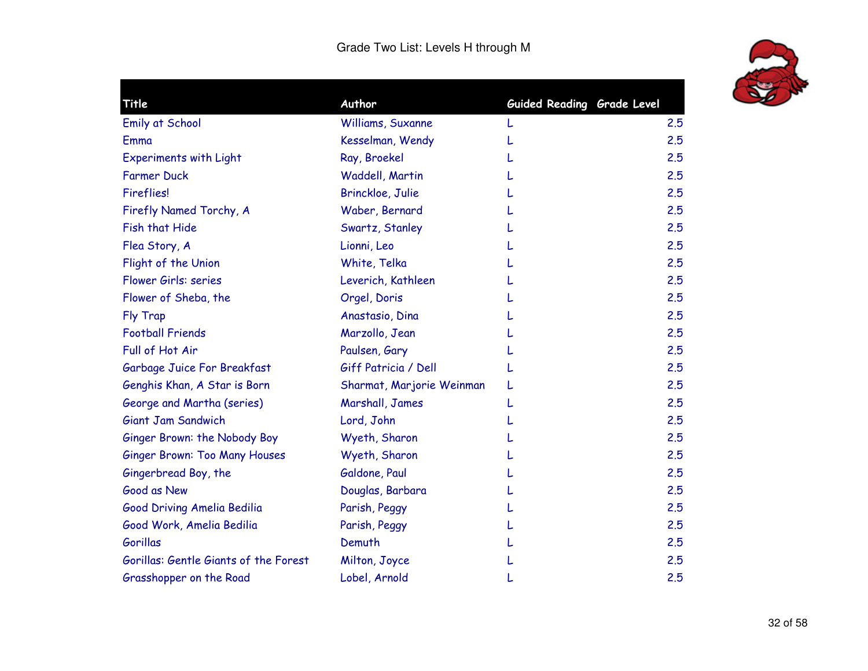

| Title                                 | Author                    | Guided Reading Grade Level |     |
|---------------------------------------|---------------------------|----------------------------|-----|
| <b>Emily at School</b>                | Williams, Suxanne         |                            | 2.5 |
| Emma                                  | Kesselman, Wendy          |                            | 2.5 |
| <b>Experiments with Light</b>         | Ray, Broekel              |                            | 2.5 |
| <b>Farmer Duck</b>                    | Waddell, Martin           |                            | 2.5 |
| <b>Fireflies!</b>                     | Brinckloe, Julie          |                            | 2.5 |
| Firefly Named Torchy, A               | Waber, Bernard            |                            | 2.5 |
| Fish that Hide                        | Swartz, Stanley           |                            | 2.5 |
| Flea Story, A                         | Lionni, Leo               |                            | 2.5 |
| Flight of the Union                   | White, Telka              |                            | 2.5 |
| Flower Girls: series                  | Leverich, Kathleen        |                            | 2.5 |
| Flower of Sheba, the                  | Orgel, Doris              |                            | 2.5 |
| Fly Trap                              | Anastasio, Dina           |                            | 2.5 |
| <b>Football Friends</b>               | Marzollo, Jean            |                            | 2.5 |
| Full of Hot Air                       | Paulsen, Gary             |                            | 2.5 |
| Garbage Juice For Breakfast           | Giff Patricia / Dell      |                            | 2.5 |
| Genghis Khan, A Star is Born          | Sharmat, Marjorie Weinman |                            | 2.5 |
| George and Martha (series)            | Marshall, James           |                            | 2.5 |
| Giant Jam Sandwich                    | Lord, John                |                            | 2.5 |
| Ginger Brown: the Nobody Boy          | Wyeth, Sharon             |                            | 2.5 |
| <b>Ginger Brown: Too Many Houses</b>  | Wyeth, Sharon             |                            | 2.5 |
| Gingerbread Boy, the                  | Galdone, Paul             |                            | 2.5 |
| Good as New                           | Douglas, Barbara          |                            | 2.5 |
| Good Driving Amelia Bedilia           | Parish, Peggy             |                            | 2.5 |
| Good Work, Amelia Bedilia             | Parish, Peggy             |                            | 2.5 |
| Gorillas                              | Demuth                    |                            | 2.5 |
| Gorillas: Gentle Giants of the Forest | Milton, Joyce             |                            | 2.5 |
| Grasshopper on the Road               | Lobel, Arnold             |                            | 2.5 |
|                                       |                           |                            |     |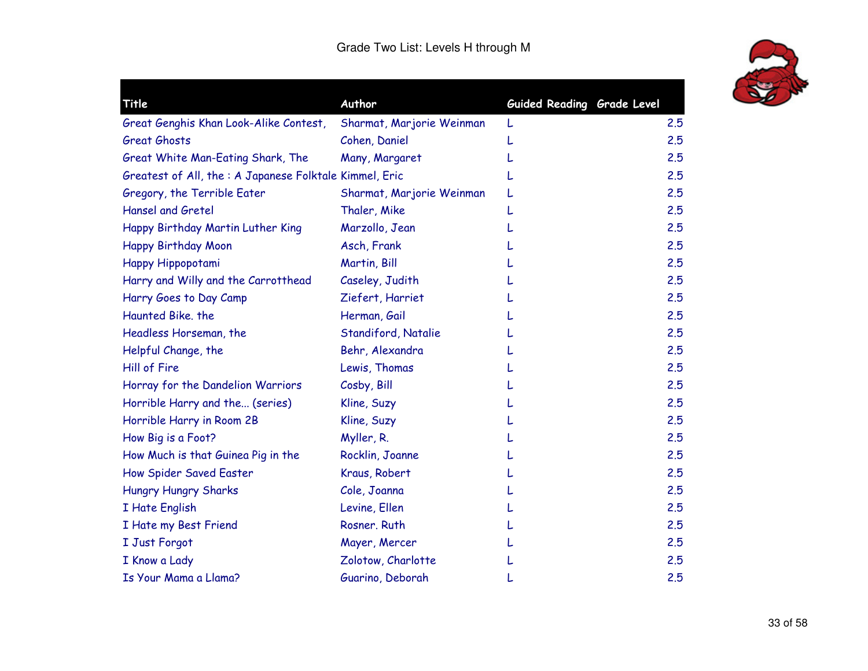

| Title                                                   | Author                    | Guided Reading Grade Level |     |
|---------------------------------------------------------|---------------------------|----------------------------|-----|
| Great Genghis Khan Look-Alike Contest,                  | Sharmat, Marjorie Weinman |                            | 2.5 |
| <b>Great Ghosts</b>                                     | Cohen, Daniel             |                            | 2.5 |
| Great White Man-Eating Shark, The                       | Many, Margaret            |                            | 2.5 |
| Greatest of All, the : A Japanese Folktale Kimmel, Eric |                           |                            | 2.5 |
| Gregory, the Terrible Eater                             | Sharmat, Marjorie Weinman |                            | 2.5 |
| <b>Hansel and Gretel</b>                                | Thaler, Mike              |                            | 2.5 |
| Happy Birthday Martin Luther King                       | Marzollo, Jean            |                            | 2.5 |
| Happy Birthday Moon                                     | Asch, Frank               |                            | 2.5 |
| Happy Hippopotami                                       | Martin, Bill              |                            | 2.5 |
| Harry and Willy and the Carrotthead                     | Caseley, Judith           |                            | 2.5 |
| Harry Goes to Day Camp                                  | Ziefert, Harriet          |                            | 2.5 |
| Haunted Bike, the                                       | Herman, Gail              |                            | 2.5 |
| Headless Horseman, the                                  | Standiford, Natalie       |                            | 2.5 |
| Helpful Change, the                                     | Behr, Alexandra           |                            | 2.5 |
| Hill of Fire                                            | Lewis, Thomas             |                            | 2.5 |
| Horray for the Dandelion Warriors                       | Cosby, Bill               |                            | 2.5 |
| Horrible Harry and the (series)                         | Kline, Suzy               |                            | 2.5 |
| Horrible Harry in Room 2B                               | Kline, Suzy               |                            | 2.5 |
| How Big is a Foot?                                      | Myller, R.                |                            | 2.5 |
| How Much is that Guinea Pig in the                      | Rocklin, Joanne           |                            | 2.5 |
| How Spider Saved Easter                                 | Kraus, Robert             |                            | 2.5 |
| <b>Hungry Hungry Sharks</b>                             | Cole, Joanna              |                            | 2.5 |
| I Hate English                                          | Levine, Ellen             |                            | 2.5 |
| I Hate my Best Friend                                   | Rosner, Ruth              |                            | 2.5 |
| I Just Forgot                                           | Mayer, Mercer             |                            | 2.5 |
| I Know a Lady                                           | Zolotow, Charlotte        |                            | 2.5 |
| Is Your Mama a Llama?                                   | Guarino, Deborah          |                            | 2.5 |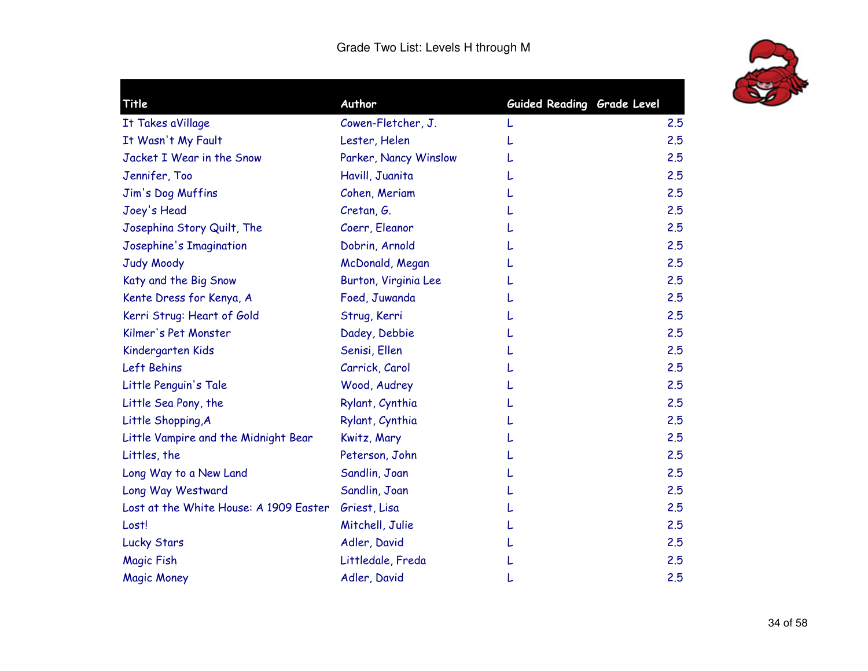

| Title                                  | Author                | Guided Reading Grade Level |     |
|----------------------------------------|-----------------------|----------------------------|-----|
| It Takes aVillage                      | Cowen-Fletcher, J.    |                            | 2.5 |
| It Wasn't My Fault                     | Lester, Helen         |                            | 2.5 |
| Jacket I Wear in the Snow              | Parker, Nancy Winslow |                            | 2.5 |
| Jennifer, Too                          | Havill, Juanita       |                            | 2.5 |
| Jim's Dog Muffins                      | Cohen, Meriam         |                            | 2.5 |
| Joey's Head                            | Cretan, G.            |                            | 2.5 |
| Josephina Story Quilt, The             | Coerr, Eleanor        |                            | 2.5 |
| Josephine's Imagination                | Dobrin, Arnold        |                            | 2.5 |
| <b>Judy Moody</b>                      | McDonald, Megan       |                            | 2.5 |
| Katy and the Big Snow                  | Burton, Virginia Lee  |                            | 2.5 |
| Kente Dress for Kenya, A               | Foed, Juwanda         |                            | 2.5 |
| Kerri Strug: Heart of Gold             | Strug, Kerri          |                            | 2.5 |
| Kilmer's Pet Monster                   | Dadey, Debbie         |                            | 2.5 |
| Kindergarten Kids                      | Senisi, Ellen         |                            | 2.5 |
| Left Behins                            | Carrick, Carol        |                            | 2.5 |
| Little Penguin's Tale                  | Wood, Audrey          |                            | 2.5 |
| Little Sea Pony, the                   | Rylant, Cynthia       |                            | 2.5 |
| Little Shopping, A                     | Rylant, Cynthia       |                            | 2.5 |
| Little Vampire and the Midnight Bear   | Kwitz, Mary           |                            | 2.5 |
| Littles, the                           | Peterson, John        |                            | 2.5 |
| Long Way to a New Land                 | Sandlin, Joan         |                            | 2.5 |
| Long Way Westward                      | Sandlin, Joan         |                            | 2.5 |
| Lost at the White House: A 1909 Easter | Griest, Lisa          |                            | 2.5 |
| Lost!                                  | Mitchell, Julie       |                            | 2.5 |
| <b>Lucky Stars</b>                     | Adler, David          |                            | 2.5 |
| <b>Magic Fish</b>                      | Littledale, Freda     |                            | 2.5 |
| <b>Magic Money</b>                     | Adler, David          |                            | 2.5 |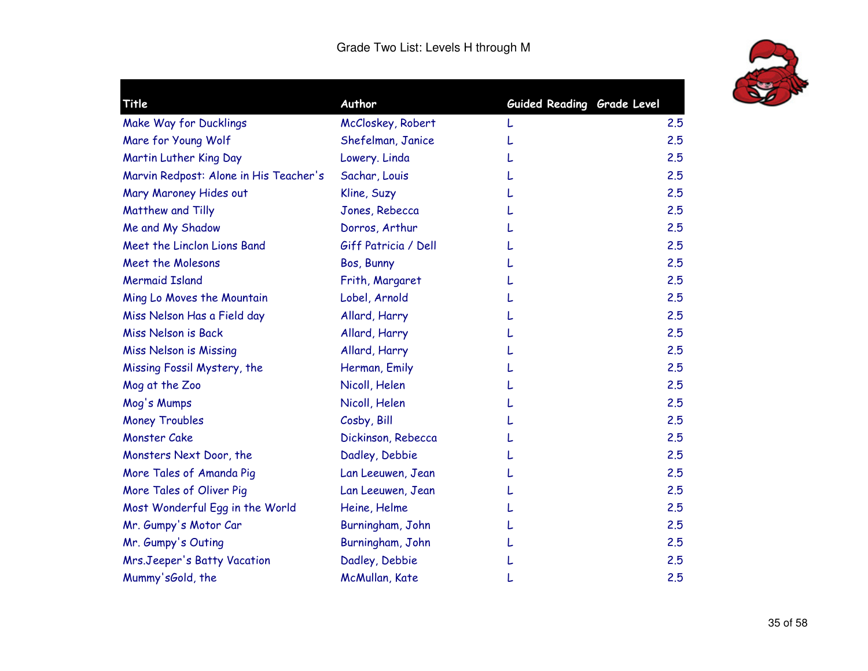

| Title                                  | Author               | Guided Reading Grade Level |     |
|----------------------------------------|----------------------|----------------------------|-----|
| Make Way for Ducklings                 | McCloskey, Robert    |                            | 2.5 |
| Mare for Young Wolf                    | Shefelman, Janice    |                            | 2.5 |
| Martin Luther King Day                 | Lowery. Linda        |                            | 2.5 |
| Marvin Redpost: Alone in His Teacher's | Sachar, Louis        |                            | 2.5 |
| Mary Maroney Hides out                 | Kline, Suzy          |                            | 2.5 |
| Matthew and Tilly                      | Jones, Rebecca       |                            | 2.5 |
| Me and My Shadow                       | Dorros, Arthur       |                            | 2.5 |
| Meet the Linclon Lions Band            | Giff Patricia / Dell |                            | 2.5 |
| <b>Meet the Molesons</b>               | Bos, Bunny           |                            | 2.5 |
| <b>Mermaid Island</b>                  | Frith, Margaret      |                            | 2.5 |
| Ming Lo Moves the Mountain             | Lobel, Arnold        |                            | 2.5 |
| Miss Nelson Has a Field day            | Allard, Harry        |                            | 2.5 |
| <b>Miss Nelson is Back</b>             | Allard, Harry        |                            | 2.5 |
| Miss Nelson is Missing                 | Allard, Harry        |                            | 2.5 |
| Missing Fossil Mystery, the            | Herman, Emily        |                            | 2,5 |
| Mog at the Zoo                         | Nicoll, Helen        |                            | 2.5 |
| Mog's Mumps                            | Nicoll, Helen        |                            | 2.5 |
| <b>Money Troubles</b>                  | Cosby, Bill          |                            | 2.5 |
| <b>Monster Cake</b>                    | Dickinson, Rebecca   |                            | 2.5 |
| Monsters Next Door, the                | Dadley, Debbie       |                            | 2.5 |
| More Tales of Amanda Pig               | Lan Leeuwen, Jean    |                            | 2.5 |
| More Tales of Oliver Pig               | Lan Leeuwen, Jean    |                            | 2.5 |
| Most Wonderful Egg in the World        | Heine, Helme         |                            | 2.5 |
| Mr. Gumpy's Motor Car                  | Burningham, John     |                            | 2.5 |
| Mr. Gumpy's Outing                     | Burningham, John     |                            | 2.5 |
| Mrs.Jeeper's Batty Vacation            | Dadley, Debbie       |                            | 2.5 |
| Mummy'sGold, the                       | McMullan, Kate       |                            | 2.5 |
|                                        |                      |                            |     |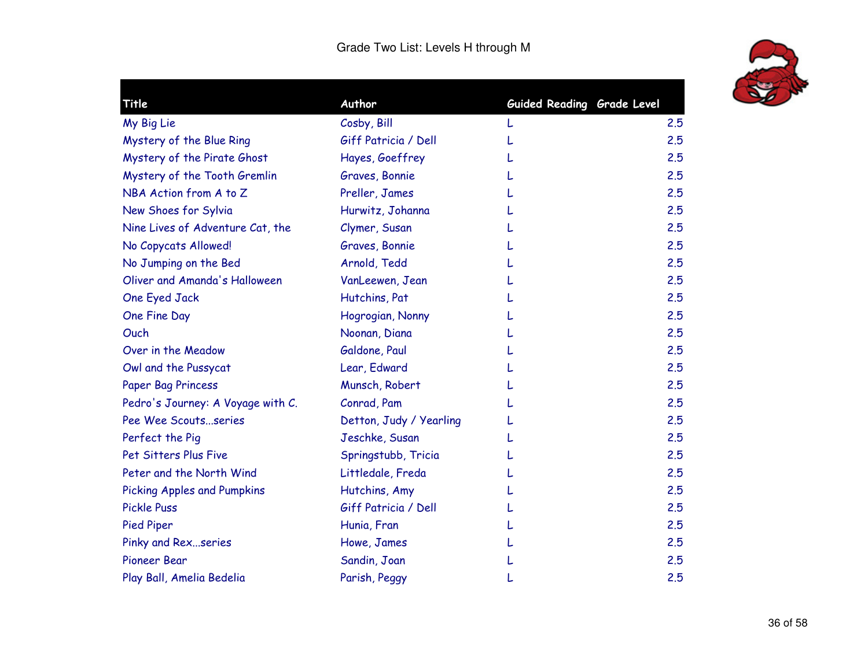

| Title                             | Author                  | Guided Reading Grade Level |     |
|-----------------------------------|-------------------------|----------------------------|-----|
| My Big Lie                        | Cosby, Bill             |                            | 2.5 |
| Mystery of the Blue Ring          | Giff Patricia / Dell    |                            | 2.5 |
| Mystery of the Pirate Ghost       | Hayes, Goeffrey         |                            | 2.5 |
| Mystery of the Tooth Gremlin      | Graves, Bonnie          |                            | 2.5 |
| NBA Action from A to Z            | Preller, James          |                            | 2.5 |
| New Shoes for Sylvia              | Hurwitz, Johanna        |                            | 2.5 |
| Nine Lives of Adventure Cat, the  | Clymer, Susan           |                            | 2.5 |
| No Copycats Allowed!              | Graves, Bonnie          |                            | 2.5 |
| No Jumping on the Bed             | Arnold, Tedd            |                            | 2.5 |
| Oliver and Amanda's Halloween     | VanLeewen, Jean         |                            | 2.5 |
| One Eyed Jack                     | Hutchins, Pat           |                            | 2.5 |
| One Fine Day                      | Hogrogian, Nonny        |                            | 2.5 |
| Ouch                              | Noonan, Diana           |                            | 2.5 |
| Over in the Meadow                | Galdone, Paul           |                            | 2.5 |
| Owl and the Pussycat              | Lear, Edward            |                            | 2.5 |
| Paper Bag Princess                | Munsch, Robert          |                            | 2.5 |
| Pedro's Journey: A Voyage with C. | Conrad, Pam             |                            | 2.5 |
| Pee Wee Scoutsseries              | Detton, Judy / Yearling |                            | 2.5 |
| Perfect the Pig                   | Jeschke, Susan          |                            | 2.5 |
| Pet Sitters Plus Five             | Springstubb, Tricia     |                            | 2.5 |
| Peter and the North Wind          | Littledale, Freda       |                            | 2.5 |
| Picking Apples and Pumpkins       | Hutchins, Amy           |                            | 2.5 |
| <b>Pickle Puss</b>                | Giff Patricia / Dell    |                            | 2.5 |
| <b>Pied Piper</b>                 | Hunia, Fran             |                            | 2.5 |
| Pinky and Rexseries               | Howe, James             |                            | 2.5 |
| Pioneer Bear                      | Sandin, Joan            |                            | 2.5 |
| Play Ball, Amelia Bedelia         | Parish, Peggy           |                            | 2.5 |
|                                   |                         |                            |     |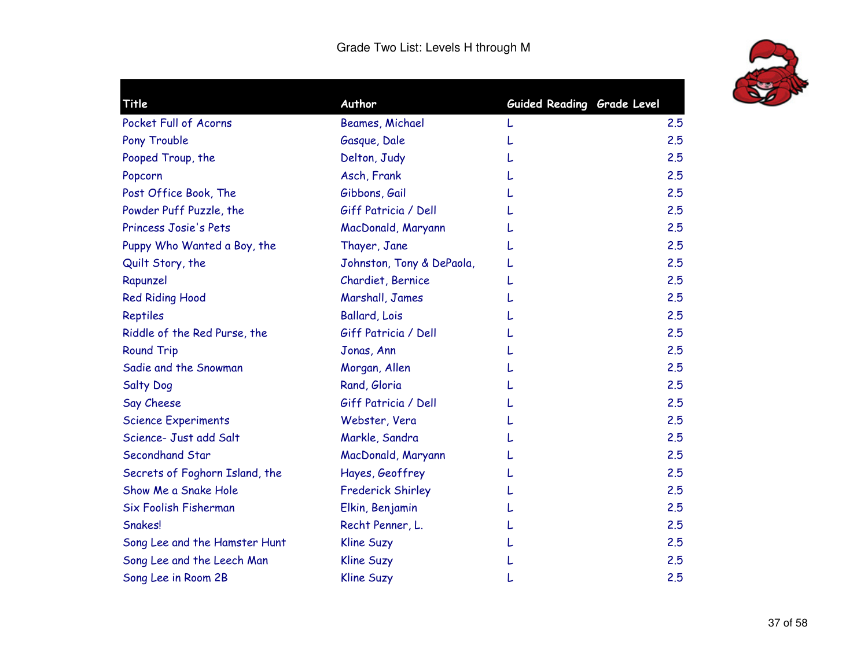

| Title                          | Author                    | Guided Reading Grade Level |     |
|--------------------------------|---------------------------|----------------------------|-----|
| Pocket Full of Acorns          | Beames, Michael           | L                          | 2.5 |
| Pony Trouble                   | Gasque, Dale              |                            | 2.5 |
| Pooped Troup, the              | Delton, Judy              |                            | 2.5 |
| Popcorn                        | Asch, Frank               |                            | 2.5 |
| Post Office Book, The          | Gibbons, Gail             |                            | 2.5 |
| Powder Puff Puzzle, the        | Giff Patricia / Dell      |                            | 2.5 |
| Princess Josie's Pets          | MacDonald, Maryann        |                            | 2.5 |
| Puppy Who Wanted a Boy, the    | Thayer, Jane              |                            | 2.5 |
| Quilt Story, the               | Johnston, Tony & DePaola, |                            | 2.5 |
| Rapunzel                       | Chardiet, Bernice         |                            | 2.5 |
| <b>Red Riding Hood</b>         | Marshall, James           |                            | 2.5 |
| Reptiles                       | <b>Ballard, Lois</b>      |                            | 2.5 |
| Riddle of the Red Purse, the   | Giff Patricia / Dell      |                            | 2.5 |
| <b>Round Trip</b>              | Jonas, Ann                |                            | 2.5 |
| Sadie and the Snowman          | Morgan, Allen             |                            | 2.5 |
| <b>Salty Dog</b>               | Rand, Gloria              |                            | 2.5 |
| Say Cheese                     | Giff Patricia / Dell      |                            | 2.5 |
| <b>Science Experiments</b>     | Webster, Vera             |                            | 2.5 |
| Science- Just add Salt         | Markle, Sandra            |                            | 2.5 |
| Secondhand Star                | MacDonald, Maryann        |                            | 2.5 |
| Secrets of Foghorn Island, the | Hayes, Geoffrey           |                            | 2.5 |
| Show Me a Snake Hole           | <b>Frederick Shirley</b>  |                            | 2.5 |
| Six Foolish Fisherman          | Elkin, Benjamin           |                            | 2.5 |
| Snakes!                        | Recht Penner, L.          |                            | 2.5 |
| Song Lee and the Hamster Hunt  | <b>Kline Suzy</b>         |                            | 2.5 |
| Song Lee and the Leech Man     | <b>Kline Suzy</b>         |                            | 2.5 |
| Song Lee in Room 2B            | <b>Kline Suzy</b>         |                            | 2.5 |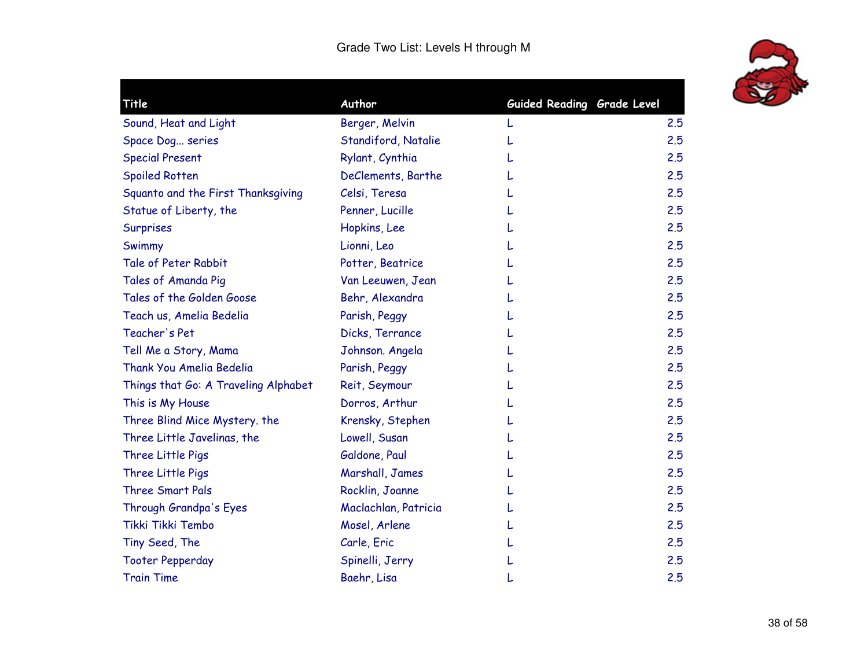

| Title                                | Author               | Guided Reading Grade Level |     |
|--------------------------------------|----------------------|----------------------------|-----|
| Sound, Heat and Light                | Berger, Melvin       |                            | 2.5 |
| Space Dog series                     | Standiford, Natalie  |                            | 2.5 |
| <b>Special Present</b>               | Rylant, Cynthia      |                            | 2.5 |
| <b>Spoiled Rotten</b>                | DeClements, Barthe   |                            | 2.5 |
| Squanto and the First Thanksgiving   | Celsi, Teresa        |                            | 2.5 |
| Statue of Liberty, the               | Penner, Lucille      |                            | 2.5 |
| Surprises                            | Hopkins, Lee         |                            | 2.5 |
| Swimmy                               | Lionni, Leo          |                            | 2.5 |
| Tale of Peter Rabbit                 | Potter, Beatrice     |                            | 2.5 |
| Tales of Amanda Pig                  | Van Leeuwen, Jean    |                            | 2.5 |
| Tales of the Golden Goose            | Behr, Alexandra      |                            | 2.5 |
| Teach us, Amelia Bedelia             | Parish, Peggy        |                            | 2.5 |
| Teacher's Pet                        | Dicks, Terrance      |                            | 2.5 |
| Tell Me a Story, Mama                | Johnson. Angela      |                            | 2.5 |
| <b>Thank You Amelia Bedelia</b>      | Parish, Peggy        |                            | 2.5 |
| Things that Go: A Traveling Alphabet | Reit, Seymour        |                            | 2.5 |
| This is My House                     | Dorros, Arthur       |                            | 2.5 |
| Three Blind Mice Mystery. the        | Krensky, Stephen     |                            | 2.5 |
| Three Little Javelinas, the          | Lowell, Susan        |                            | 2.5 |
| Three Little Pigs                    | Galdone, Paul        |                            | 2.5 |
| Three Little Pigs                    | Marshall, James      |                            | 2.5 |
| Three Smart Pals                     | Rocklin, Joanne      |                            | 2.5 |
| Through Grandpa's Eyes               | Maclachlan, Patricia |                            | 2.5 |
| Tikki Tikki Tembo                    | Mosel, Arlene        |                            | 2.5 |
| Tiny Seed, The                       | Carle, Eric          |                            | 2.5 |
| <b>Tooter Pepperday</b>              | Spinelli, Jerry      |                            | 2.5 |
| <b>Train Time</b>                    | Baehr, Lisa          |                            | 2.5 |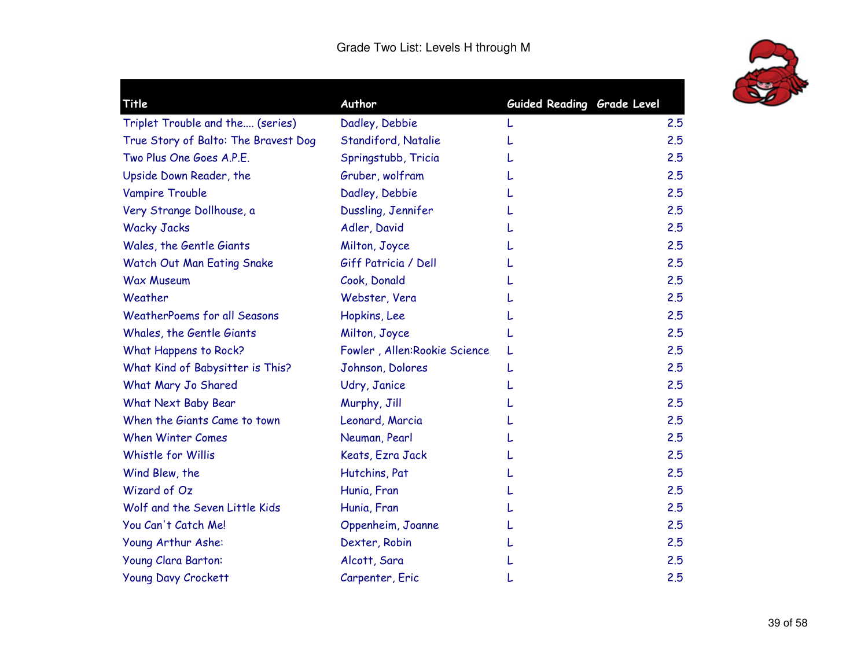

| Title                                | Author                       | Guided Reading Grade Level |     |
|--------------------------------------|------------------------------|----------------------------|-----|
| Triplet Trouble and the (series)     | Dadley, Debbie               |                            | 2.5 |
| True Story of Balto: The Bravest Dog | Standiford, Natalie          |                            | 2.5 |
| Two Plus One Goes A.P.E.             | Springstubb, Tricia          |                            | 2.5 |
| Upside Down Reader, the              | Gruber, wolfram              |                            | 2.5 |
| Vampire Trouble                      | Dadley, Debbie               |                            | 2.5 |
| Very Strange Dollhouse, a            | Dussling, Jennifer           |                            | 2.5 |
| <b>Wacky Jacks</b>                   | Adler, David                 |                            | 2.5 |
| Wales, the Gentle Giants             | Milton, Joyce                |                            | 2.5 |
| Watch Out Man Eating Snake           | Giff Patricia / Dell         |                            | 2.5 |
| <b>Wax Museum</b>                    | Cook, Donald                 |                            | 2.5 |
| Weather                              | Webster, Vera                |                            | 2.5 |
| <b>WeatherPoems for all Seasons</b>  | Hopkins, Lee                 |                            | 2.5 |
| Whales, the Gentle Giants            | Milton, Joyce                |                            | 2.5 |
| What Happens to Rock?                | Fowler, Allen:Rookie Science | L                          | 2.5 |
| What Kind of Babysitter is This?     | Johnson, Dolores             |                            | 2.5 |
| What Mary Jo Shared                  | Udry, Janice                 |                            | 2.5 |
| What Next Baby Bear                  | Murphy, Jill                 |                            | 2.5 |
| When the Giants Came to town         | Leonard, Marcia              |                            | 2.5 |
| <b>When Winter Comes</b>             | Neuman, Pearl                |                            | 2.5 |
| Whistle for Willis                   | Keats, Ezra Jack             |                            | 2.5 |
| Wind Blew, the                       | Hutchins, Pat                |                            | 2.5 |
| Wizard of Oz                         | Hunia, Fran                  |                            | 2.5 |
| Wolf and the Seven Little Kids       | Hunia, Fran                  |                            | 2.5 |
| You Can't Catch Me!                  | Oppenheim, Joanne            |                            | 2.5 |
| Young Arthur Ashe:                   | Dexter, Robin                |                            | 2.5 |
| Young Clara Barton:                  | Alcott, Sara                 |                            | 2.5 |
| <b>Young Davy Crockett</b>           | Carpenter, Eric              |                            | 2.5 |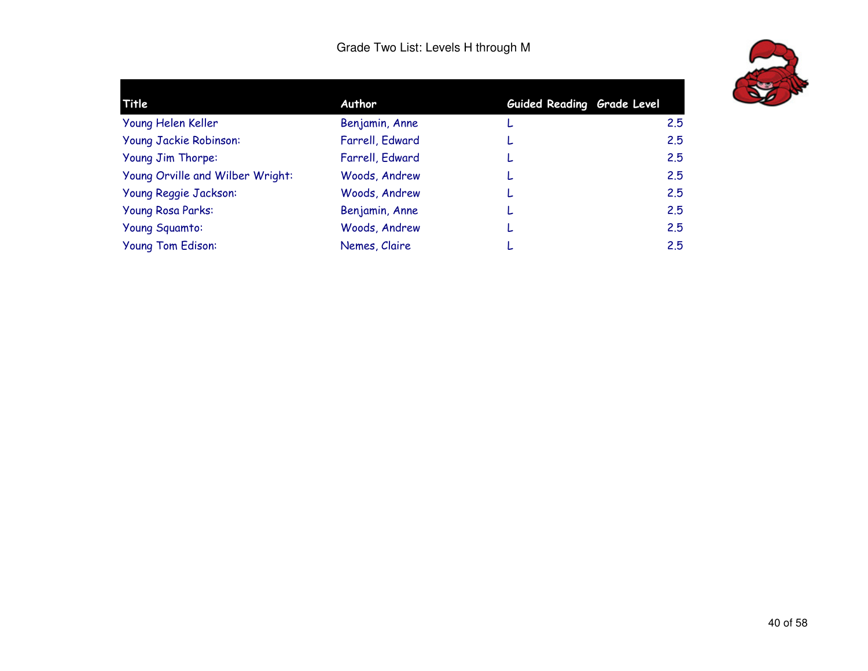

| Title                            | Author          | Guided Reading Grade Level |     |
|----------------------------------|-----------------|----------------------------|-----|
| Young Helen Keller               | Benjamin, Anne  | L                          | 2.5 |
| Young Jackie Robinson:           | Farrell, Edward |                            | 2.5 |
| Young Jim Thorpe:                | Farrell, Edward |                            | 2.5 |
| Young Orville and Wilber Wright: | Woods, Andrew   |                            | 2.5 |
| Young Reggie Jackson:            | Woods, Andrew   |                            | 2.5 |
| <b>Young Rosa Parks:</b>         | Benjamin, Anne  |                            | 2.5 |
| Young Squamto:                   | Woods, Andrew   |                            | 2.5 |
| Young Tom Edison:                | Nemes, Claire   |                            | 2.5 |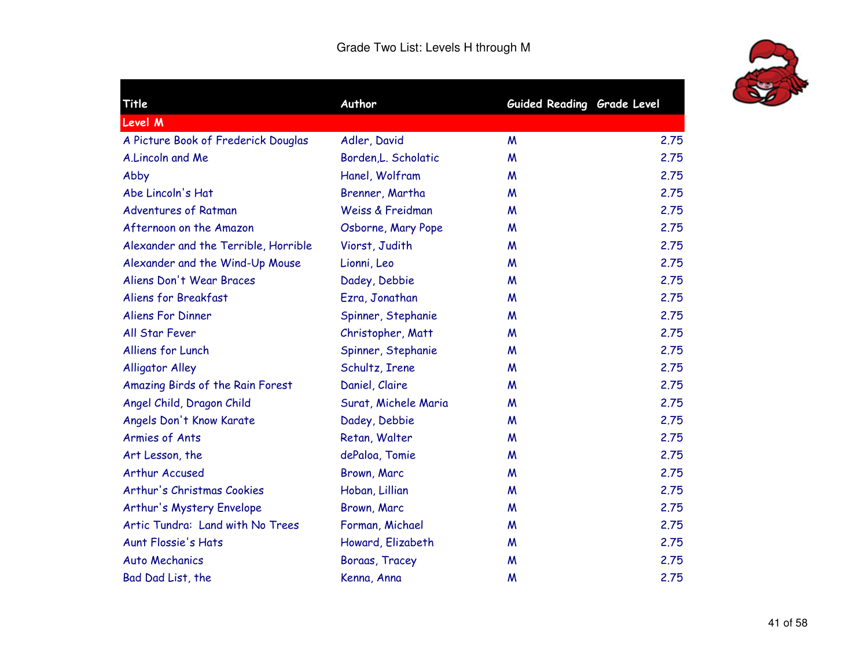

 $\blacksquare$ 

| Title                                | Author               | Guided Reading Grade Level |      |
|--------------------------------------|----------------------|----------------------------|------|
| Level M                              |                      |                            |      |
| A Picture Book of Frederick Douglas  | Adler, David         | M                          | 2.75 |
| A.Lincoln and Me                     | Borden, L. Scholatic | M                          | 2.75 |
| Abby                                 | Hanel, Wolfram       | M                          | 2.75 |
| Abe Lincoln's Hat                    | Brenner, Martha      | M                          | 2.75 |
| <b>Adventures of Ratman</b>          | Weiss & Freidman     | M                          | 2.75 |
| Afternoon on the Amazon              | Osborne, Mary Pope   | M                          | 2.75 |
| Alexander and the Terrible, Horrible | Viorst, Judith       | M                          | 2.75 |
| Alexander and the Wind-Up Mouse      | Lionni, Leo          | M                          | 2.75 |
| Aliens Don't Wear Braces             | Dadey, Debbie        | M                          | 2.75 |
| Aliens for Breakfast                 | Ezra, Jonathan       | M                          | 2.75 |
| <b>Aliens For Dinner</b>             | Spinner, Stephanie   | M                          | 2.75 |
| All Star Fever                       | Christopher, Matt    | M                          | 2.75 |
| Alliens for Lunch                    | Spinner, Stephanie   | M                          | 2.75 |
| <b>Alligator Alley</b>               | Schultz, Irene       | M                          | 2.75 |
| Amazing Birds of the Rain Forest     | Daniel, Claire       | M                          | 2.75 |
| Angel Child, Dragon Child            | Surat, Michele Maria | M                          | 2.75 |
| Angels Don't Know Karate             | Dadey, Debbie        | M                          | 2.75 |
| <b>Armies of Ants</b>                | Retan, Walter        | M                          | 2.75 |
| Art Lesson, the                      | dePaloa, Tomie       | W                          | 2.75 |
| Arthur Accused                       | Brown, Marc          | M                          | 2.75 |
| Arthur's Christmas Cookies           | Hoban, Lillian       | W                          | 2.75 |
| Arthur's Mystery Envelope            | Brown, Marc          | M                          | 2.75 |
| Artic Tundra: Land with No Trees     | Forman, Michael      | M                          | 2.75 |
| <b>Aunt Flossie's Hats</b>           | Howard, Elizabeth    | M                          | 2.75 |
| <b>Auto Mechanics</b>                | Boraas, Tracey       | M                          | 2.75 |
| Bad Dad List, the                    | Kenna, Anna          | M                          | 2.75 |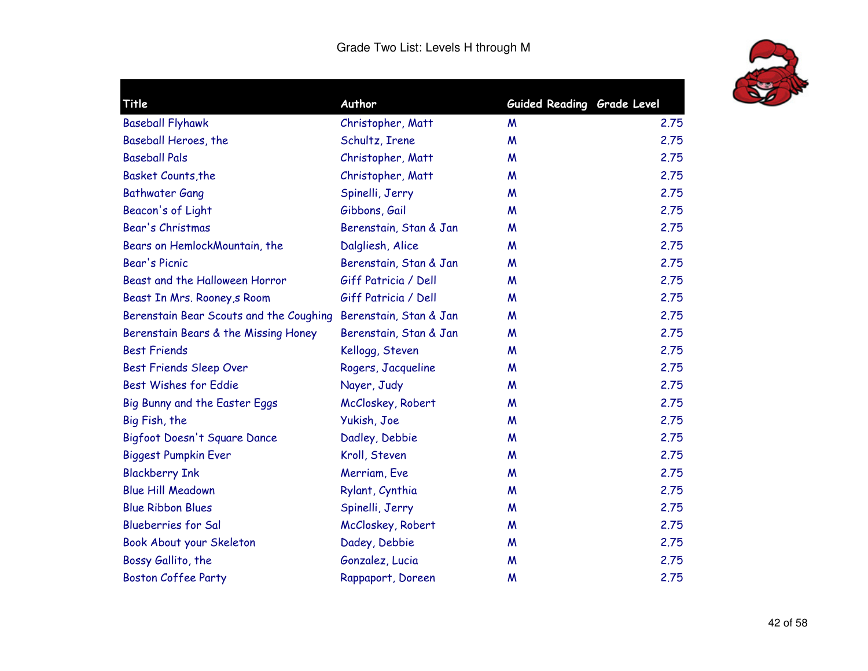

| Title                                   | Author                 | Guided Reading Grade Level |      |
|-----------------------------------------|------------------------|----------------------------|------|
| <b>Baseball Flyhawk</b>                 | Christopher, Matt      | M                          | 2.75 |
| Baseball Heroes, the                    | Schultz, Irene         | M                          | 2.75 |
| <b>Baseball Pals</b>                    | Christopher, Matt      | M                          | 2.75 |
| Basket Counts, the                      | Christopher, Matt      | M                          | 2.75 |
| <b>Bathwater Gang</b>                   | Spinelli, Jerry        | M                          | 2.75 |
| Beacon's of Light                       | Gibbons, Gail          | M                          | 2.75 |
| Bear's Christmas                        | Berenstain, Stan & Jan | M                          | 2.75 |
| Bears on HemlockMountain, the           | Dalgliesh, Alice       | M                          | 2.75 |
| <b>Bear's Picnic</b>                    | Berenstain, Stan & Jan | M                          | 2.75 |
| Beast and the Halloween Horror          | Giff Patricia / Dell   | M                          | 2.75 |
| Beast In Mrs. Rooney, s Room            | Giff Patricia / Dell   | M                          | 2.75 |
| Berenstain Bear Scouts and the Coughing | Berenstain, Stan & Jan | M                          | 2.75 |
| Berenstain Bears & the Missing Honey    | Berenstain, Stan & Jan | M                          | 2.75 |
| <b>Best Friends</b>                     | Kellogg, Steven        | M                          | 2.75 |
| <b>Best Friends Sleep Over</b>          | Rogers, Jacqueline     | M                          | 2.75 |
| <b>Best Wishes for Eddie</b>            | Nayer, Judy            | M                          | 2.75 |
| Big Bunny and the Easter Eggs           | McCloskey, Robert      | M                          | 2.75 |
| Big Fish, the                           | Yukish, Joe            | M                          | 2.75 |
| Bigfoot Doesn't Square Dance            | Dadley, Debbie         | M                          | 2.75 |
| <b>Biggest Pumpkin Ever</b>             | Kroll, Steven          | M                          | 2.75 |
| <b>Blackberry Ink</b>                   | Merriam, Eve           | M                          | 2.75 |
| <b>Blue Hill Meadown</b>                | Rylant, Cynthia        | M                          | 2.75 |
| <b>Blue Ribbon Blues</b>                | Spinelli, Jerry        | M                          | 2.75 |
| <b>Blueberries for Sal</b>              | McCloskey, Robert      | M                          | 2.75 |
| Book About your Skeleton                | Dadey, Debbie          | M                          | 2.75 |
| Bossy Gallito, the                      | Gonzalez, Lucia        | M                          | 2.75 |
| <b>Boston Coffee Party</b>              | Rappaport, Doreen      | M                          | 2.75 |
|                                         |                        |                            |      |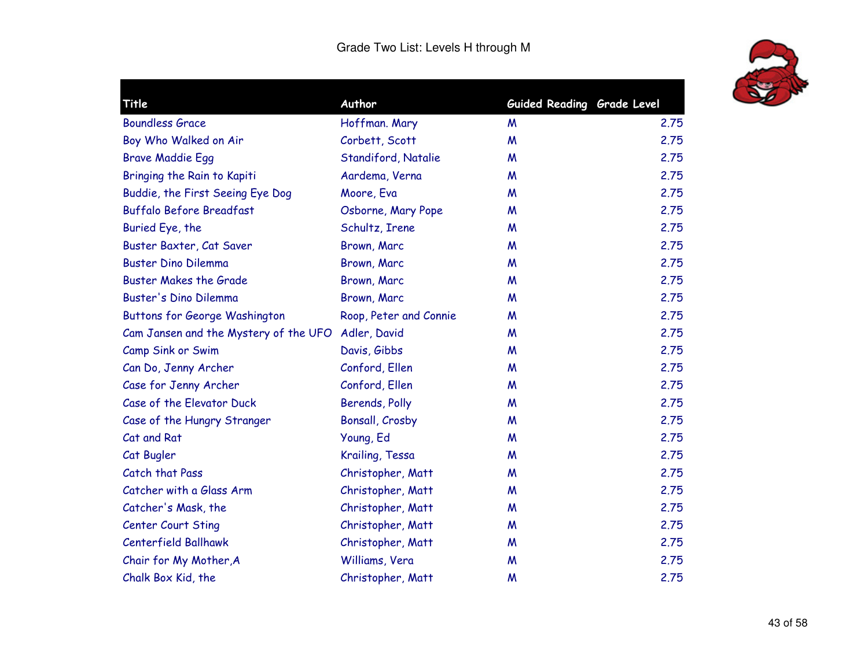

| Title                                 | Author                 | Guided Reading Grade Level |      |
|---------------------------------------|------------------------|----------------------------|------|
| <b>Boundless Grace</b>                | Hoffman. Mary          | M                          | 2.75 |
| Boy Who Walked on Air                 | Corbett, Scott         | M                          | 2.75 |
| <b>Brave Maddie Egg</b>               | Standiford, Natalie    | M                          | 2.75 |
| Bringing the Rain to Kapiti           | Aardema, Verna         | M                          | 2.75 |
| Buddie, the First Seeing Eye Dog      | Moore, Eva             | M                          | 2.75 |
| <b>Buffalo Before Breadfast</b>       | Osborne, Mary Pope     | M                          | 2.75 |
| Buried Eye, the                       | Schultz, Irene         | M                          | 2.75 |
| Buster Baxter, Cat Saver              | Brown, Marc            | M                          | 2.75 |
| <b>Buster Dino Dilemma</b>            | Brown, Marc            | M                          | 2.75 |
| <b>Buster Makes the Grade</b>         | Brown, Marc            | M                          | 2.75 |
| Buster's Dino Dilemma                 | Brown, Marc            | M                          | 2.75 |
| <b>Buttons for George Washington</b>  | Roop, Peter and Connie | M                          | 2.75 |
| Cam Jansen and the Mystery of the UFO | Adler, David           | M                          | 2.75 |
| Camp Sink or Swim                     | Davis, Gibbs           | M                          | 2.75 |
| Can Do, Jenny Archer                  | Conford, Ellen         | M                          | 2.75 |
| Case for Jenny Archer                 | Conford, Ellen         | M                          | 2.75 |
| Case of the Elevator Duck             | Berends, Polly         | M                          | 2.75 |
| Case of the Hungry Stranger           | <b>Bonsall, Crosby</b> | M                          | 2.75 |
| Cat and Rat                           | Young, Ed              | M                          | 2.75 |
| Cat Bugler                            | Krailing, Tessa        | M                          | 2.75 |
| Catch that Pass                       | Christopher, Matt      | M                          | 2.75 |
| Catcher with a Glass Arm              | Christopher, Matt      | M                          | 2.75 |
| Catcher's Mask, the                   | Christopher, Matt      | M                          | 2.75 |
| <b>Center Court Sting</b>             | Christopher, Matt      | M                          | 2.75 |
| <b>Centerfield Ballhawk</b>           | Christopher, Matt      | M                          | 2.75 |
| Chair for My Mother, A                | Williams, Vera         | M                          | 2.75 |
| Chalk Box Kid, the                    | Christopher, Matt      | M                          | 2.75 |
|                                       |                        |                            |      |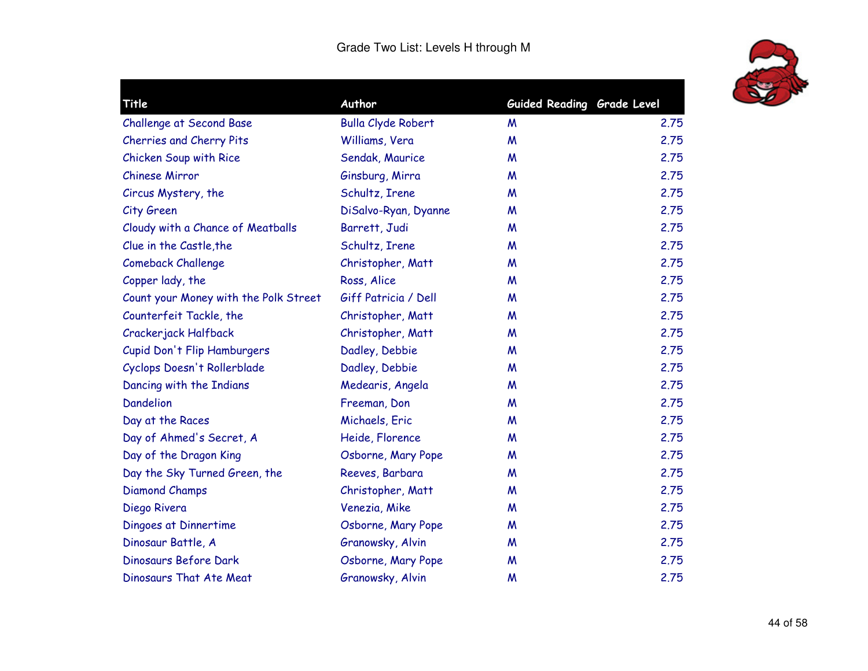

| Title                                 | Author                    | Guided Reading Grade Level |      |
|---------------------------------------|---------------------------|----------------------------|------|
| <b>Challenge at Second Base</b>       | <b>Bulla Clyde Robert</b> | M                          | 2.75 |
| Cherries and Cherry Pits              | Williams, Vera            | M                          | 2.75 |
| Chicken Soup with Rice                | Sendak, Maurice           | M                          | 2.75 |
| <b>Chinese Mirror</b>                 | Ginsburg, Mirra           | M                          | 2.75 |
| Circus Mystery, the                   | Schultz, Irene            | M                          | 2.75 |
| City Green                            | DiSalvo-Ryan, Dyanne      | M                          | 2.75 |
| Cloudy with a Chance of Meatballs     | Barrett, Judi             | M                          | 2.75 |
| Clue in the Castle, the               | Schultz, Irene            | W                          | 2.75 |
| <b>Comeback Challenge</b>             | Christopher, Matt         | M                          | 2.75 |
| Copper lady, the                      | Ross, Alice               | W                          | 2.75 |
| Count your Money with the Polk Street | Giff Patricia / Dell      | M                          | 2.75 |
| Counterfeit Tackle, the               | Christopher, Matt         | M                          | 2.75 |
| Crackerjack Halfback                  | Christopher, Matt         | M                          | 2.75 |
| Cupid Don't Flip Hamburgers           | Dadley, Debbie            | M                          | 2.75 |
| Cyclops Doesn't Rollerblade           | Dadley, Debbie            | M                          | 2.75 |
| Dancing with the Indians              | Medearis, Angela          | M                          | 2.75 |
| <b>Dandelion</b>                      | Freeman, Don              | M                          | 2.75 |
| Day at the Races                      | Michaels, Eric            | M                          | 2.75 |
| Day of Ahmed's Secret, A              | Heide, Florence           | W                          | 2.75 |
| Day of the Dragon King                | Osborne, Mary Pope        | M                          | 2.75 |
| Day the Sky Turned Green, the         | Reeves, Barbara           | M                          | 2.75 |
| <b>Diamond Champs</b>                 | Christopher, Matt         | M                          | 2.75 |
| Diego Rivera                          | Venezia, Mike             | M                          | 2.75 |
| Dingoes at Dinnertime                 | Osborne, Mary Pope        | W                          | 2.75 |
| Dinosaur Battle, A                    | Granowsky, Alvin          | M                          | 2.75 |
| Dinosaurs Before Dark                 | Osborne, Mary Pope        | M                          | 2.75 |
| Dinosaurs That Ate Meat               | Granowsky, Alvin          | M                          | 2.75 |
|                                       |                           |                            |      |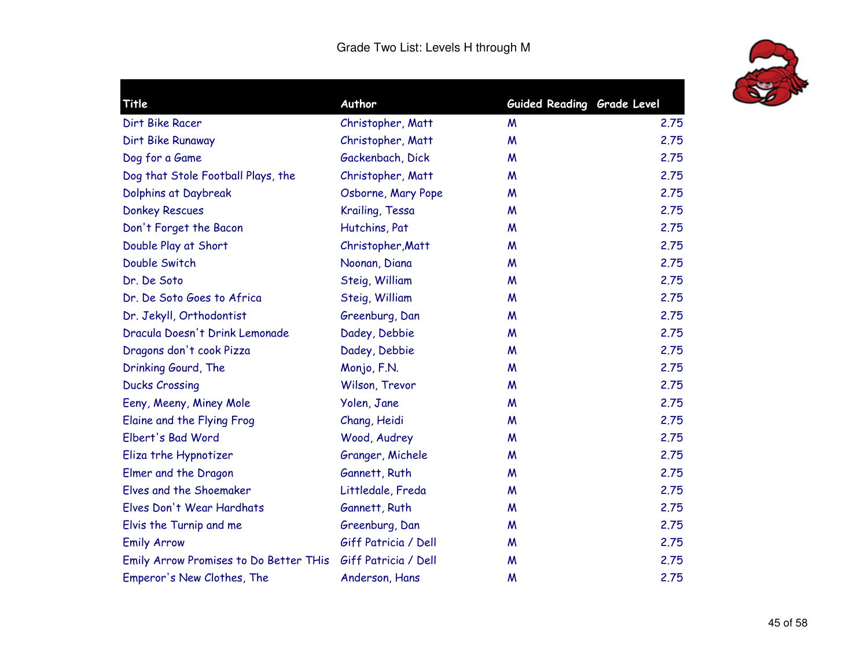

| Title                                  | Author               | Guided Reading Grade Level |      |
|----------------------------------------|----------------------|----------------------------|------|
| Dirt Bike Racer                        | Christopher, Matt    | M                          | 2.75 |
| Dirt Bike Runaway                      | Christopher, Matt    | M                          | 2.75 |
| Dog for a Game                         | Gackenbach, Dick     | M                          | 2.75 |
| Dog that Stole Football Plays, the     | Christopher, Matt    | M                          | 2.75 |
| Dolphins at Daybreak                   | Osborne, Mary Pope   | M                          | 2.75 |
| <b>Donkey Rescues</b>                  | Krailing, Tessa      | M                          | 2.75 |
| Don't Forget the Bacon                 | Hutchins, Pat        | M                          | 2.75 |
| Double Play at Short                   | Christopher, Matt    | M                          | 2.75 |
| Double Switch                          | Noonan, Diana        | M                          | 2.75 |
| Dr. De Soto                            | Steig, William       | M                          | 2.75 |
| Dr. De Soto Goes to Africa             | Steig, William       | M                          | 2.75 |
| Dr. Jekyll, Orthodontist               | Greenburg, Dan       | M                          | 2.75 |
| Dracula Doesn't Drink Lemonade         | Dadey, Debbie        | M                          | 2.75 |
| Dragons don't cook Pizza               | Dadey, Debbie        | M                          | 2.75 |
| Drinking Gourd, The                    | Monjo, F.N.          | M                          | 2.75 |
| <b>Ducks Crossing</b>                  | Wilson, Trevor       | M                          | 2.75 |
| Eeny, Meeny, Miney Mole                | Yolen, Jane          | M                          | 2.75 |
| Elaine and the Flying Frog             | Chang, Heidi         | M                          | 2.75 |
| Elbert's Bad Word                      | Wood, Audrey         | M                          | 2.75 |
| Eliza trhe Hypnotizer                  | Granger, Michele     | M                          | 2.75 |
| Elmer and the Dragon                   | Gannett, Ruth        | M                          | 2.75 |
| Elves and the Shoemaker                | Littledale, Freda    | M                          | 2.75 |
| Elves Don't Wear Hardhats              | Gannett, Ruth        | M                          | 2.75 |
| Elvis the Turnip and me                | Greenburg, Dan       | M                          | 2.75 |
| <b>Emily Arrow</b>                     | Giff Patricia / Dell | M                          | 2.75 |
| Emily Arrow Promises to Do Better THis | Giff Patricia / Dell | M                          | 2.75 |
| Emperor's New Clothes, The             | Anderson, Hans       | M                          | 2.75 |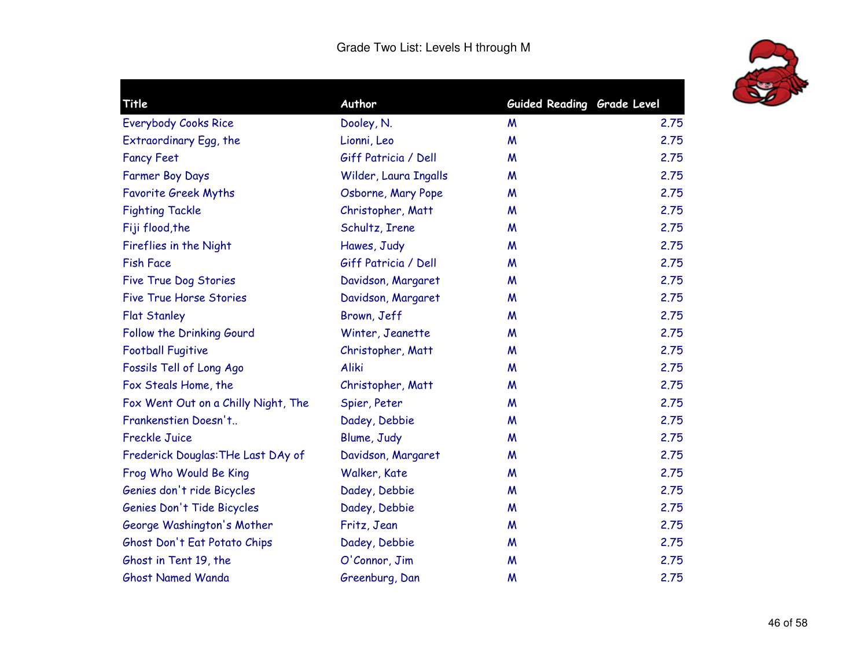

| Dooley, N.            | M                | 2.75                                 |
|-----------------------|------------------|--------------------------------------|
| Lionni, Leo           | $\boldsymbol{M}$ | 2.75                                 |
| Giff Patricia / Dell  | M                | 2.75                                 |
| Wilder, Laura Ingalls | M                | 2.75                                 |
| Osborne, Mary Pope    | M                | 2.75                                 |
| Christopher, Matt     | M                | 2.75                                 |
| Schultz, Irene        | M                | 2.75                                 |
| Hawes, Judy           | M                | 2.75                                 |
| Giff Patricia / Dell  | M                | 2.75                                 |
| Davidson, Margaret    | M                | 2.75                                 |
| Davidson, Margaret    | M                | 2.75                                 |
| Brown, Jeff           | M                | 2.75                                 |
| Winter, Jeanette      | M                | 2.75                                 |
| Christopher, Matt     | M                | 2.75                                 |
| Aliki                 | M                | 2.75                                 |
| Christopher, Matt     | M                | 2.75                                 |
| Spier, Peter          | M                | 2.75                                 |
| Dadey, Debbie         | M                | 2.75                                 |
| Blume, Judy           | M                | 2.75                                 |
| Davidson, Margaret    | M                | 2.75                                 |
| Walker, Kate          | M                | 2.75                                 |
| Dadey, Debbie         | M                | 2.75                                 |
| Dadey, Debbie         | M                | 2.75                                 |
| Fritz, Jean           | M                | 2.75                                 |
| Dadey, Debbie         | M                | 2.75                                 |
| O'Connor, Jim         | M                | 2.75                                 |
| Greenburg, Dan        | W                | 2.75                                 |
|                       |                  | Author<br>Guided Reading Grade Level |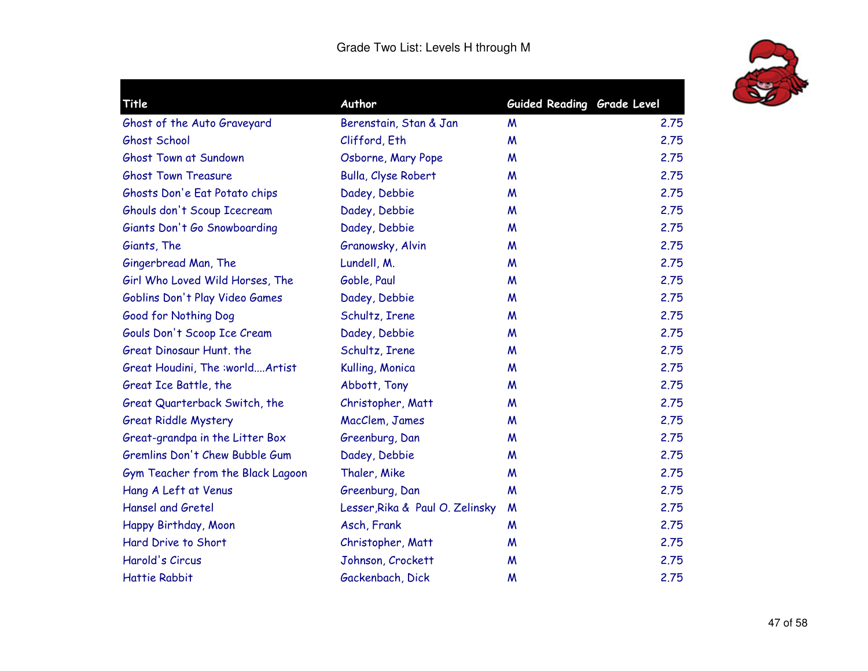

| Guided Reading Grade Level |                                                                                                                                                                                                                                                                                                                                                                                                                                                                                                                                                              |
|----------------------------|--------------------------------------------------------------------------------------------------------------------------------------------------------------------------------------------------------------------------------------------------------------------------------------------------------------------------------------------------------------------------------------------------------------------------------------------------------------------------------------------------------------------------------------------------------------|
|                            | 2.75                                                                                                                                                                                                                                                                                                                                                                                                                                                                                                                                                         |
|                            | 2.75                                                                                                                                                                                                                                                                                                                                                                                                                                                                                                                                                         |
|                            | 2.75                                                                                                                                                                                                                                                                                                                                                                                                                                                                                                                                                         |
|                            | 2.75                                                                                                                                                                                                                                                                                                                                                                                                                                                                                                                                                         |
|                            | 2.75                                                                                                                                                                                                                                                                                                                                                                                                                                                                                                                                                         |
|                            | 2.75                                                                                                                                                                                                                                                                                                                                                                                                                                                                                                                                                         |
|                            |                                                                                                                                                                                                                                                                                                                                                                                                                                                                                                                                                              |
|                            | 2.75                                                                                                                                                                                                                                                                                                                                                                                                                                                                                                                                                         |
|                            | 2.75                                                                                                                                                                                                                                                                                                                                                                                                                                                                                                                                                         |
|                            | 2.75                                                                                                                                                                                                                                                                                                                                                                                                                                                                                                                                                         |
|                            | 2.75                                                                                                                                                                                                                                                                                                                                                                                                                                                                                                                                                         |
|                            | 2.75                                                                                                                                                                                                                                                                                                                                                                                                                                                                                                                                                         |
|                            | 2.75                                                                                                                                                                                                                                                                                                                                                                                                                                                                                                                                                         |
| M                          | 2.75                                                                                                                                                                                                                                                                                                                                                                                                                                                                                                                                                         |
| M                          | 2.75                                                                                                                                                                                                                                                                                                                                                                                                                                                                                                                                                         |
| M                          | 2.75                                                                                                                                                                                                                                                                                                                                                                                                                                                                                                                                                         |
| M                          | 2.75                                                                                                                                                                                                                                                                                                                                                                                                                                                                                                                                                         |
| M                          | 2.75                                                                                                                                                                                                                                                                                                                                                                                                                                                                                                                                                         |
| M                          | 2.75                                                                                                                                                                                                                                                                                                                                                                                                                                                                                                                                                         |
| M                          | 2.75                                                                                                                                                                                                                                                                                                                                                                                                                                                                                                                                                         |
| M                          | 2.75                                                                                                                                                                                                                                                                                                                                                                                                                                                                                                                                                         |
| M                          | 2.75                                                                                                                                                                                                                                                                                                                                                                                                                                                                                                                                                         |
| M                          | 2.75                                                                                                                                                                                                                                                                                                                                                                                                                                                                                                                                                         |
| M                          | 2.75                                                                                                                                                                                                                                                                                                                                                                                                                                                                                                                                                         |
| M                          | 2.75                                                                                                                                                                                                                                                                                                                                                                                                                                                                                                                                                         |
| M                          | 2.75                                                                                                                                                                                                                                                                                                                                                                                                                                                                                                                                                         |
| M                          | 2.75                                                                                                                                                                                                                                                                                                                                                                                                                                                                                                                                                         |
| M                          | 2.75                                                                                                                                                                                                                                                                                                                                                                                                                                                                                                                                                         |
|                            | Berenstain, Stan & Jan<br>M<br>Clifford, Eth<br>M<br>Osborne, Mary Pope<br>M<br>Bulla, Clyse Robert<br>M<br>Dadey, Debbie<br>M<br>Dadey, Debbie<br>M<br>Dadey, Debbie<br>M<br>Granowsky, Alvin<br>M<br>M<br>M<br>Dadey, Debbie<br>M<br>Schultz, Irene<br>M<br>Dadey, Debbie<br>Schultz, Irene<br>Kulling, Monica<br>Abbott, Tony<br>Christopher, Matt<br>MacClem, James<br>Greenburg, Dan<br>Dadey, Debbie<br>Thaler, Mike<br>Greenburg, Dan<br>Lesser, Rika & Paul O. Zelinsky<br>Asch, Frank<br>Christopher, Matt<br>Johnson, Crockett<br>Gackenbach, Dick |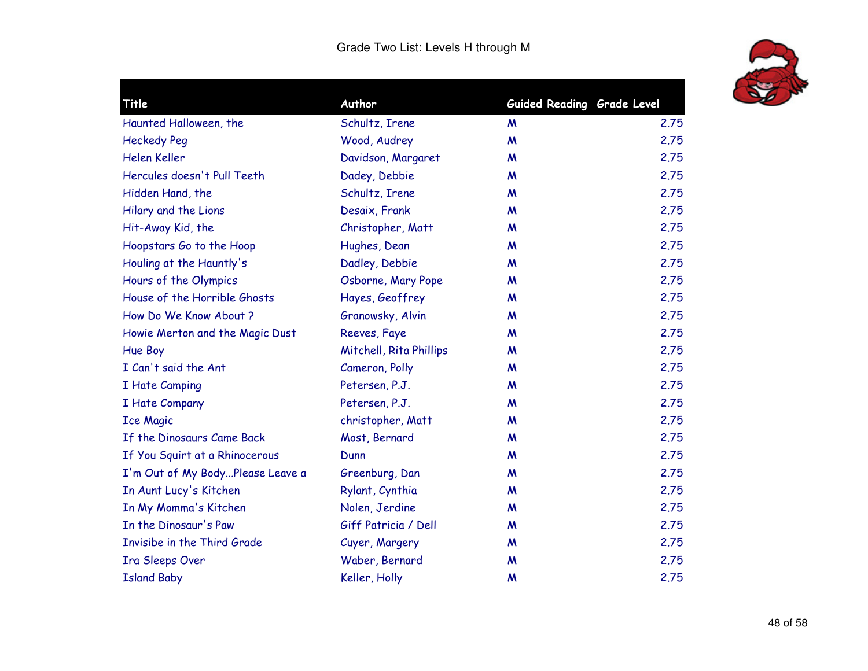

| Title                            | Author                  | Guided Reading Grade Level |      |
|----------------------------------|-------------------------|----------------------------|------|
| Haunted Halloween, the           | Schultz, Irene          | M                          | 2.75 |
| <b>Heckedy Peg</b>               | Wood, Audrey            | W                          | 2.75 |
| Helen Keller                     | Davidson, Margaret      | M                          | 2.75 |
| Hercules doesn't Pull Teeth      | Dadey, Debbie           | M                          | 2.75 |
| Hidden Hand, the                 | Schultz, Irene          | M                          | 2.75 |
| Hilary and the Lions             | Desaix, Frank           | M                          | 2.75 |
| Hit-Away Kid, the                | Christopher, Matt       | M                          | 2.75 |
| Hoopstars Go to the Hoop         | Hughes, Dean            | M                          | 2.75 |
| Houling at the Hauntly's         | Dadley, Debbie          | M                          | 2.75 |
| Hours of the Olympics            | Osborne, Mary Pope      | M                          | 2.75 |
| House of the Horrible Ghosts     | Hayes, Geoffrey         | M                          | 2.75 |
| How Do We Know About ?           | Granowsky, Alvin        | M                          | 2.75 |
| Howie Merton and the Magic Dust  | Reeves, Faye            | M                          | 2.75 |
| Hue Boy                          | Mitchell, Rita Phillips | M                          | 2.75 |
| I Can't said the Ant             | Cameron, Polly          | M                          | 2.75 |
| I Hate Camping                   | Petersen, P.J.          | M                          | 2.75 |
| I Hate Company                   | Petersen, P.J.          | M                          | 2.75 |
| <b>Ice Magic</b>                 | christopher, Matt       | M                          | 2.75 |
| If the Dinosaurs Came Back       | Most, Bernard           | M                          | 2.75 |
| If You Squirt at a Rhinocerous   | Dunn                    | M                          | 2.75 |
| I'm Out of My BodyPlease Leave a | Greenburg, Dan          | M                          | 2.75 |
| In Aunt Lucy's Kitchen           | Rylant, Cynthia         | M                          | 2.75 |
| In My Momma's Kitchen            | Nolen, Jerdine          | M                          | 2.75 |
| In the Dinosaur's Paw            | Giff Patricia / Dell    | M                          | 2.75 |
| Invisibe in the Third Grade      | Cuyer, Margery          | M                          | 2.75 |
| Ira Sleeps Over                  | Waber, Bernard          | M                          | 2.75 |
| <b>Island Baby</b>               | Keller, Holly           | M                          | 2.75 |
|                                  |                         |                            |      |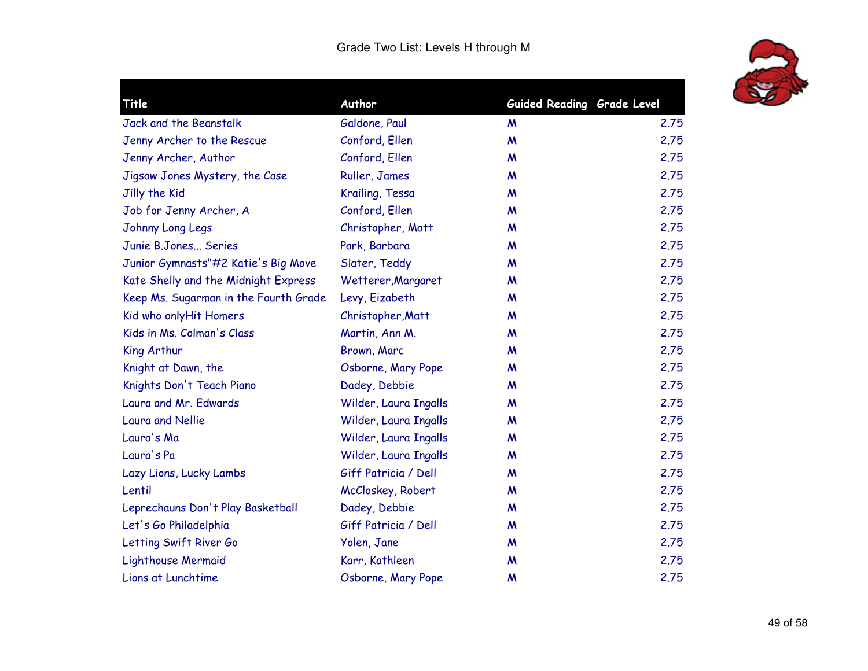

|                       |                                                                              | 2.75                                                     |
|-----------------------|------------------------------------------------------------------------------|----------------------------------------------------------|
|                       |                                                                              | 2.75                                                     |
|                       |                                                                              | 2.75                                                     |
|                       | M                                                                            | 2.75                                                     |
| Krailing, Tessa       | M                                                                            | 2.75                                                     |
| Conford, Ellen        | M                                                                            | 2.75                                                     |
| Christopher, Matt     | M                                                                            | 2.75                                                     |
| Park, Barbara         | M                                                                            | 2.75                                                     |
| Slater, Teddy         | M                                                                            | 2.75                                                     |
| Wetterer, Margaret    | M                                                                            | 2.75                                                     |
| Levy, Eizabeth        | M                                                                            | 2.75                                                     |
| Christopher, Matt     | M                                                                            | 2.75                                                     |
| Martin, Ann M.        | M                                                                            | 2.75                                                     |
| Brown, Marc           | M                                                                            | 2.75                                                     |
| Osborne, Mary Pope    | M                                                                            | 2.75                                                     |
| Dadey, Debbie         | M                                                                            | 2.75                                                     |
| Wilder, Laura Ingalls | M                                                                            | 2.75                                                     |
| Wilder, Laura Ingalls | M                                                                            | 2.75                                                     |
| Wilder, Laura Ingalls | M                                                                            | 2.75                                                     |
| Wilder, Laura Ingalls | M                                                                            | 2.75                                                     |
| Giff Patricia / Dell  | M                                                                            | 2.75                                                     |
| McCloskey, Robert     | W                                                                            | 2.75                                                     |
| Dadey, Debbie         | M                                                                            | 2.75                                                     |
| Giff Patricia / Dell  | M                                                                            | 2.75                                                     |
| Yolen, Jane           | M                                                                            | 2.75                                                     |
| Karr, Kathleen        | M                                                                            | 2.75                                                     |
| Osborne, Mary Pope    | M                                                                            | 2.75                                                     |
|                       | Author<br>Galdone, Paul<br>Conford, Ellen<br>Conford, Ellen<br>Ruller, James | Guided Reading Grade Level<br>M<br>$\boldsymbol{M}$<br>M |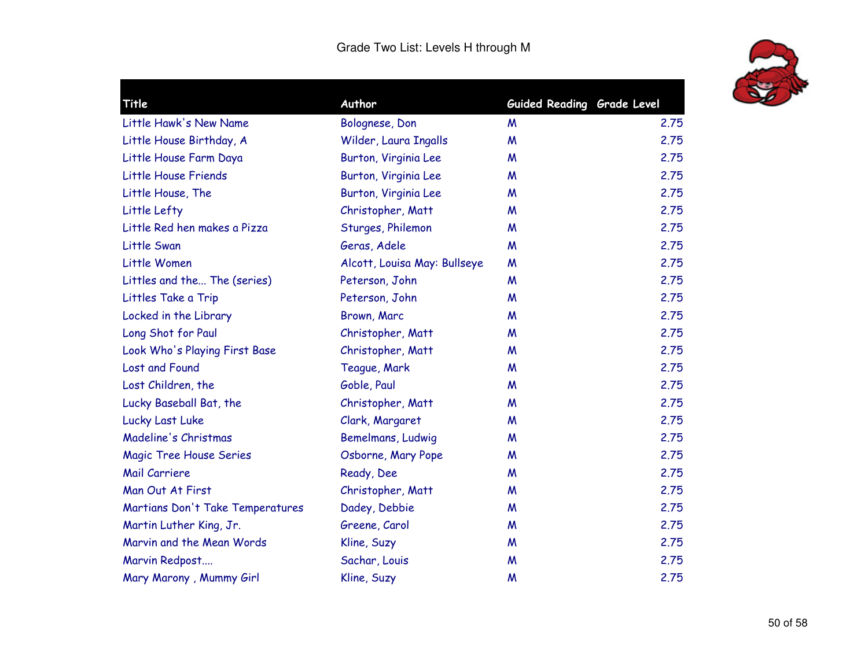

| Title                            | Author                       | Guided Reading Grade Level |      |
|----------------------------------|------------------------------|----------------------------|------|
| Little Hawk's New Name           | Bolognese, Don               | M                          | 2.75 |
| Little House Birthday, A         | Wilder, Laura Ingalls        | M                          | 2.75 |
| Little House Farm Daya           | Burton, Virginia Lee         | M                          | 2.75 |
| Little House Friends             | Burton, Virginia Lee         | M                          | 2.75 |
| Little House, The                | Burton, Virginia Lee         | M                          | 2.75 |
| Little Lefty                     | Christopher, Matt            | M                          | 2.75 |
| Little Red hen makes a Pizza     | Sturges, Philemon            | M                          | 2.75 |
| Little Swan                      | Geras, Adele                 | M                          | 2.75 |
| Little Women                     | Alcott, Louisa May: Bullseye | M                          | 2.75 |
| Littles and the The (series)     | Peterson, John               | M                          | 2.75 |
| Littles Take a Trip              | Peterson, John               | M                          | 2.75 |
| Locked in the Library            | Brown, Marc                  | M                          | 2.75 |
| Long Shot for Paul               | Christopher, Matt            | M                          | 2.75 |
| Look Who's Playing First Base    | Christopher, Matt            | M                          | 2.75 |
| Lost and Found                   | Teague, Mark                 | M                          | 2.75 |
| Lost Children, the               | Goble, Paul                  | M                          | 2.75 |
| Lucky Baseball Bat, the          | Christopher, Matt            | M                          | 2.75 |
| Lucky Last Luke                  | Clark, Margaret              | M                          | 2.75 |
| Madeline's Christmas             | Bemelmans, Ludwig            | M                          | 2.75 |
| <b>Magic Tree House Series</b>   | Osborne, Mary Pope           | M                          | 2.75 |
| Mail Carriere                    | Ready, Dee                   | M                          | 2.75 |
| Man Out At First                 | Christopher, Matt            | M                          | 2.75 |
| Martians Don't Take Temperatures | Dadey, Debbie                | M                          | 2.75 |
| Martin Luther King, Jr.          | Greene, Carol                | M                          | 2.75 |
| Marvin and the Mean Words        | Kline, Suzy                  | M                          | 2.75 |
| Marvin Redpost                   | Sachar, Louis                | M                          | 2.75 |
| Mary Marony, Mummy Girl          | Kline, Suzy                  | M                          | 2.75 |
|                                  |                              |                            |      |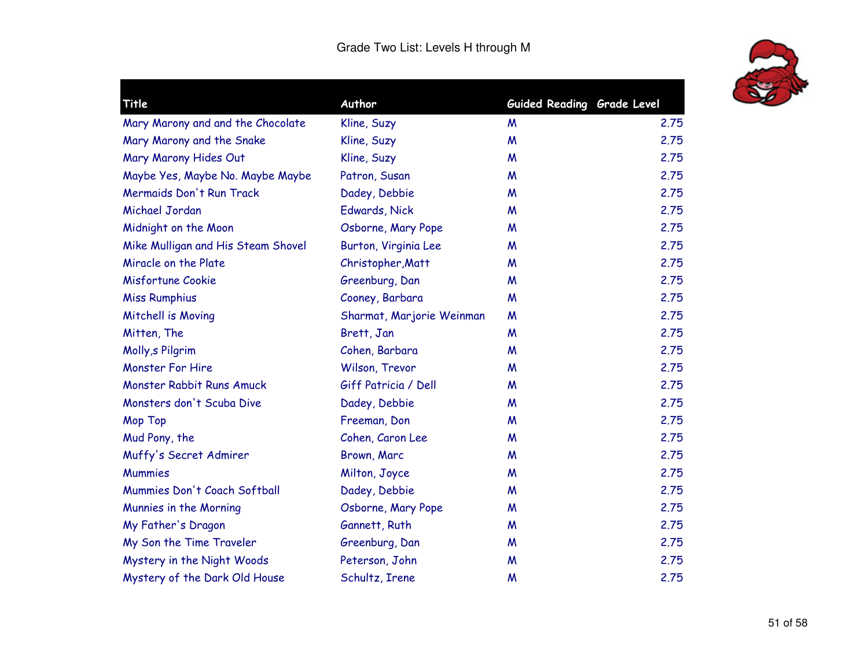

| Title                              | Author                    | Guided Reading Grade Level |      |
|------------------------------------|---------------------------|----------------------------|------|
| Mary Marony and and the Chocolate  | Kline, Suzy               | M                          | 2.75 |
| Mary Marony and the Snake          | Kline, Suzy               | $\boldsymbol{M}$           | 2.75 |
| Mary Marony Hides Out              | Kline, Suzy               | M                          | 2.75 |
| Maybe Yes, Maybe No. Maybe Maybe   | Patron, Susan             | M                          | 2.75 |
| Mermaids Don't Run Track           | Dadey, Debbie             | M                          | 2.75 |
| Michael Jordan                     | Edwards, Nick             | M                          | 2.75 |
| Midnight on the Moon               | Osborne, Mary Pope        | M                          | 2.75 |
| Mike Mulligan and His Steam Shovel | Burton, Virginia Lee      | M                          | 2.75 |
| Miracle on the Plate               | Christopher, Matt         | M                          | 2.75 |
| Misfortune Cookie                  | Greenburg, Dan            | M                          | 2.75 |
| <b>Miss Rumphius</b>               | Cooney, Barbara           | M                          | 2.75 |
| Mitchell is Moving                 | Sharmat, Marjorie Weinman | M                          | 2.75 |
| Mitten, The                        | Brett, Jan                | M                          | 2.75 |
| Molly, s Pilgrim                   | Cohen, Barbara            | M                          | 2.75 |
| <b>Monster For Hire</b>            | Wilson, Trevor            | M                          | 2.75 |
| Monster Rabbit Runs Amuck          | Giff Patricia / Dell      | M                          | 2.75 |
| Monsters don't Scuba Dive          | Dadey, Debbie             | M                          | 2.75 |
| Mop Top                            | Freeman, Don              | M                          | 2.75 |
| Mud Pony, the                      | Cohen, Caron Lee          | M                          | 2.75 |
| Muffy's Secret Admirer             | Brown, Marc               | M                          | 2,75 |
| <b>Mummies</b>                     | Milton, Joyce             | M                          | 2.75 |
| Mummies Don't Coach Softball       | Dadey, Debbie             | M                          | 2.75 |
| Munnies in the Morning             | Osborne, Mary Pope        | M                          | 2.75 |
| My Father's Dragon                 | Gannett, Ruth             | M                          | 2.75 |
| My Son the Time Traveler           | Greenburg, Dan            | M                          | 2.75 |
| Mystery in the Night Woods         | Peterson, John            | M                          | 2.75 |
| Mystery of the Dark Old House      | Schultz, Irene            | M                          | 2.75 |
|                                    |                           |                            |      |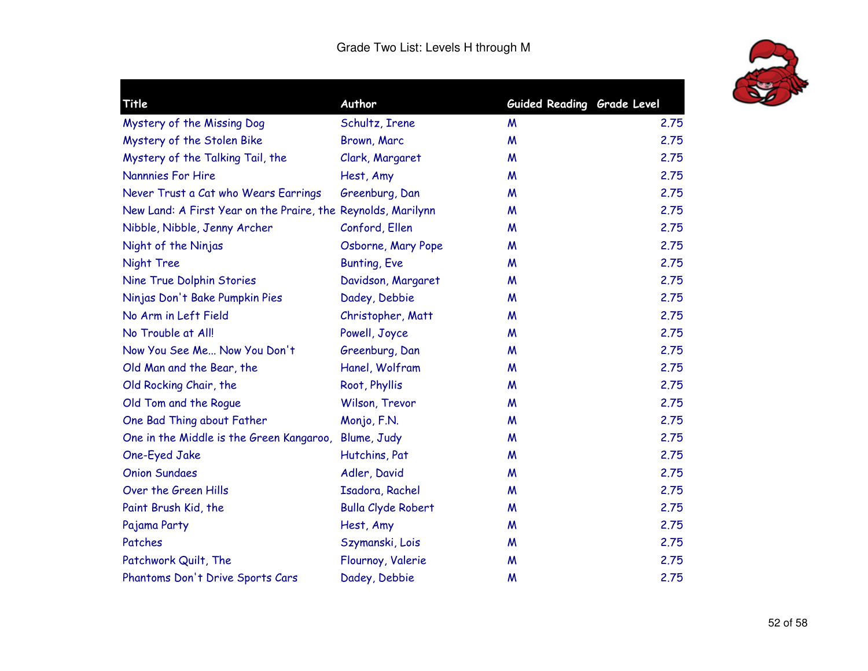

| Title                                                        | Author                    | Guided Reading Grade Level |      |
|--------------------------------------------------------------|---------------------------|----------------------------|------|
| Mystery of the Missing Dog                                   | Schultz, Irene            | M                          | 2.75 |
|                                                              |                           | M                          | 2.75 |
| Mystery of the Stolen Bike                                   | Brown, Marc               |                            | 2.75 |
| Mystery of the Talking Tail, the<br><b>Nannnies For Hire</b> | Clark, Margaret           | W                          | 2.75 |
|                                                              | Hest, Amy                 | M                          | 2.75 |
| Never Trust a Cat who Wears Earrings                         | Greenburg, Dan            | M                          |      |
| New Land: A First Year on the Praire, the Reynolds, Marilynn |                           | M                          | 2.75 |
| Nibble, Nibble, Jenny Archer                                 | Conford, Ellen            | M                          | 2.75 |
| Night of the Ninjas                                          | Osborne, Mary Pope        | M                          | 2.75 |
| Night Tree                                                   | <b>Bunting, Eve</b>       | M                          | 2.75 |
| Nine True Dolphin Stories                                    | Davidson, Margaret        | M                          | 2.75 |
| Ninjas Don't Bake Pumpkin Pies                               | Dadey, Debbie             | M                          | 2.75 |
| No Arm in Left Field                                         | Christopher, Matt         | M                          | 2.75 |
| No Trouble at All!                                           | Powell, Joyce             | M                          | 2.75 |
| Now You See Me Now You Don't                                 | Greenburg, Dan            | M                          | 2.75 |
| Old Man and the Bear, the                                    | Hanel, Wolfram            | M                          | 2.75 |
| Old Rocking Chair, the                                       | Root, Phyllis             | M                          | 2.75 |
| Old Tom and the Roque                                        | Wilson, Trevor            | M                          | 2.75 |
| One Bad Thing about Father                                   | Monjo, F.N.               | M                          | 2.75 |
| One in the Middle is the Green Kangaroo,                     | Blume, Judy               | M                          | 2.75 |
| One-Eyed Jake                                                | Hutchins, Pat             | M                          | 2.75 |
| <b>Onion Sundaes</b>                                         | Adler, David              | M                          | 2.75 |
| Over the Green Hills                                         | Isadora, Rachel           | M                          | 2.75 |
| Paint Brush Kid, the                                         | <b>Bulla Clyde Robert</b> | M                          | 2.75 |
| Pajama Party                                                 | Hest, Amy                 | M                          | 2.75 |
| Patches                                                      | Szymanski, Lois           | M                          | 2.75 |
| Patchwork Quilt, The                                         | Flournoy, Valerie         | M                          | 2.75 |
| Phantoms Don't Drive Sports Cars                             | Dadey, Debbie             | M                          | 2.75 |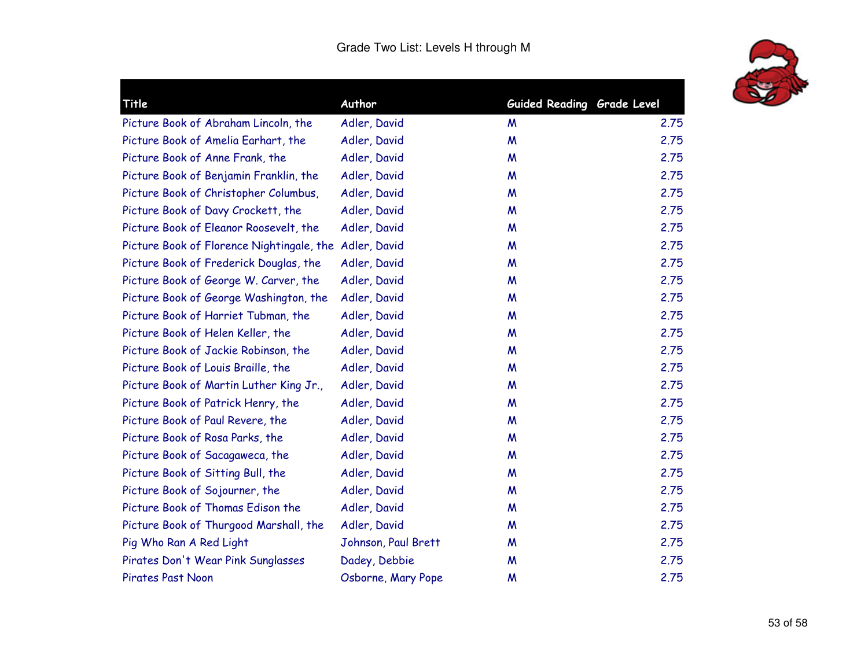

| <b>Title</b>                                           | Author              | Guided Reading Grade Level |      |
|--------------------------------------------------------|---------------------|----------------------------|------|
| Picture Book of Abraham Lincoln, the                   | Adler, David        | M                          | 2.75 |
| Picture Book of Amelia Earhart, the                    | Adler, David        | M                          | 2.75 |
| Picture Book of Anne Frank, the                        | Adler, David        | M                          | 2.75 |
| Picture Book of Benjamin Franklin, the                 | Adler, David        | M                          | 2.75 |
| Picture Book of Christopher Columbus,                  | Adler, David        | M                          | 2.75 |
| Picture Book of Davy Crockett, the                     | Adler, David        | M                          | 2.75 |
| Picture Book of Eleanor Roosevelt, the                 | Adler, David        | M                          | 2.75 |
| Picture Book of Florence Nightingale, the Adler, David |                     | M                          | 2.75 |
| Picture Book of Frederick Douglas, the                 | Adler, David        | W                          | 2.75 |
| Picture Book of George W. Carver, the                  | Adler, David        | M                          | 2.75 |
| Picture Book of George Washington, the                 | Adler, David        | W                          | 2.75 |
| Picture Book of Harriet Tubman, the                    | Adler, David        | M                          | 2.75 |
| Picture Book of Helen Keller, the                      | Adler, David        | M                          | 2.75 |
| Picture Book of Jackie Robinson, the                   | Adler, David        | M                          | 2.75 |
| Picture Book of Louis Braille, the                     | Adler, David        | M                          | 2.75 |
| Picture Book of Martin Luther King Jr.,                | Adler, David        | M                          | 2.75 |
| Picture Book of Patrick Henry, the                     | Adler, David        | M                          | 2.75 |
| Picture Book of Paul Revere, the                       | Adler, David        | M                          | 2.75 |
| Picture Book of Rosa Parks, the                        | Adler, David        | M                          | 2.75 |
| Picture Book of Sacagaweca, the                        | Adler, David        | M                          | 2.75 |
| Picture Book of Sitting Bull, the                      | Adler, David        | M                          | 2.75 |
| Picture Book of Sojourner, the                         | Adler, David        | M                          | 2.75 |
| Picture Book of Thomas Edison the                      | Adler, David        | M                          | 2.75 |
| Picture Book of Thurgood Marshall, the                 | Adler, David        | M                          | 2.75 |
| Pig Who Ran A Red Light                                | Johnson, Paul Brett | M                          | 2.75 |
| Pirates Don't Wear Pink Sunglasses                     | Dadey, Debbie       | M                          | 2.75 |
| Pirates Past Noon                                      | Osborne, Mary Pope  | M                          | 2.75 |
|                                                        |                     |                            |      |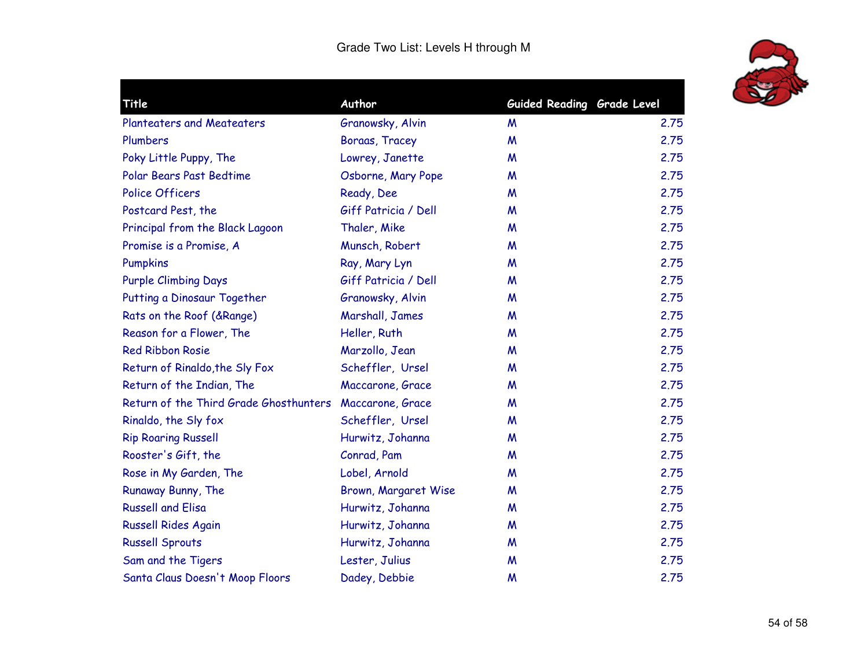

| Author                                                     |   |                            |
|------------------------------------------------------------|---|----------------------------|
| Granowsky, Alvin                                           | M | 2.75                       |
| Boraas, Tracey                                             | M | 2.75                       |
| Lowrey, Janette                                            | M | 2.75                       |
| Osborne, Mary Pope                                         | M | 2.75                       |
| Ready, Dee                                                 | M | 2.75                       |
| Giff Patricia / Dell                                       | M | 2.75                       |
| Thaler, Mike                                               | M | 2.75                       |
| Munsch, Robert                                             | M | 2.75                       |
| Ray, Mary Lyn                                              | M | 2.75                       |
| Giff Patricia / Dell                                       | M | 2.75                       |
| Granowsky, Alvin                                           | M | 2.75                       |
| Marshall, James                                            | M | 2.75                       |
| Heller, Ruth                                               | M | 2.75                       |
| Marzollo, Jean                                             | M | 2.75                       |
| Scheffler, Ursel                                           | M | 2.75                       |
| Maccarone, Grace                                           | M | 2.75                       |
| Return of the Third Grade Ghosthunters<br>Maccarone, Grace | M | 2.75                       |
| Scheffler, Ursel                                           | M | 2.75                       |
| Hurwitz, Johanna                                           | M | 2.75                       |
| Conrad, Pam                                                | M | 2.75                       |
| Lobel, Arnold                                              | M | 2.75                       |
| Brown, Margaret Wise                                       | M | 2.75                       |
| Hurwitz, Johanna                                           | M | 2.75                       |
| Hurwitz, Johanna                                           | M | 2.75                       |
| Hurwitz, Johanna                                           | M | 2.75                       |
| Lester, Julius                                             | M | 2.75                       |
| Dadey, Debbie                                              | M | 2.75                       |
|                                                            |   | Guided Reading Grade Level |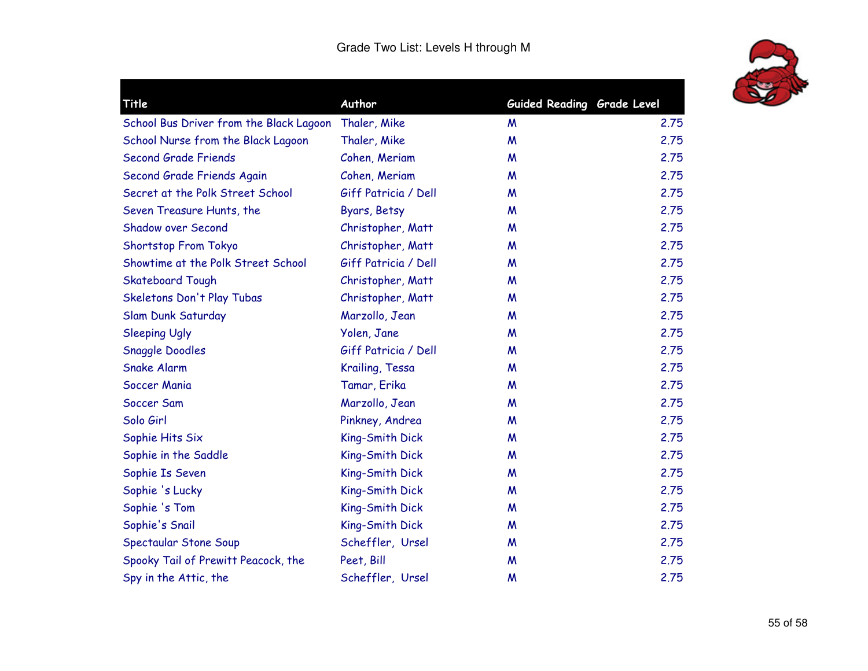

| Title                                   | Author               | Guided Reading Grade Level |      |
|-----------------------------------------|----------------------|----------------------------|------|
| School Bus Driver from the Black Lagoon | Thaler, Mike         | M                          | 2.75 |
| School Nurse from the Black Lagoon      | Thaler, Mike         | M                          | 2.75 |
| <b>Second Grade Friends</b>             | Cohen, Meriam        | M                          | 2.75 |
| Second Grade Friends Again              | Cohen, Meriam        | M                          | 2.75 |
| Secret at the Polk Street School        | Giff Patricia / Dell | W                          | 2.75 |
| Seven Treasure Hunts, the               | Byars, Betsy         | M                          | 2.75 |
| <b>Shadow over Second</b>               | Christopher, Matt    | M                          | 2.75 |
| Shortstop From Tokyo                    | Christopher, Matt    | M                          | 2.75 |
| Showtime at the Polk Street School      | Giff Patricia / Dell | M                          | 2.75 |
| <b>Skateboard Tough</b>                 | Christopher, Matt    | M                          | 2.75 |
| Skeletons Don't Play Tubas              | Christopher, Matt    | W                          | 2.75 |
| Slam Dunk Saturday                      | Marzollo, Jean       | M                          | 2.75 |
| <b>Sleeping Ugly</b>                    | Yolen, Jane          | M                          | 2.75 |
| <b>Snaggle Doodles</b>                  | Giff Patricia / Dell | M                          | 2.75 |
| <b>Snake Alarm</b>                      | Krailing, Tessa      | M                          | 2.75 |
| Soccer Mania                            | Tamar, Erika         | M                          | 2.75 |
| Soccer Sam                              | Marzollo, Jean       | M                          | 2.75 |
| Solo Girl                               | Pinkney, Andrea      | W                          | 2.75 |
| Sophie Hits Six                         | King-Smith Dick      | M                          | 2.75 |
| Sophie in the Saddle                    | King-Smith Dick      | W                          | 2.75 |
| Sophie Is Seven                         | King-Smith Dick      | M                          | 2.75 |
| Sophie 's Lucky                         | King-Smith Dick      | M                          | 2.75 |
| Sophie 's Tom                           | King-Smith Dick      | W                          | 2.75 |
| Sophie's Snail                          | King-Smith Dick      | M                          | 2.75 |
| Spectaular Stone Soup                   | Scheffler, Ursel     | W                          | 2.75 |
| Spooky Tail of Prewitt Peacock, the     | Peet, Bill           | M                          | 2.75 |
| Spy in the Attic, the                   | Scheffler, Ursel     | M                          | 2.75 |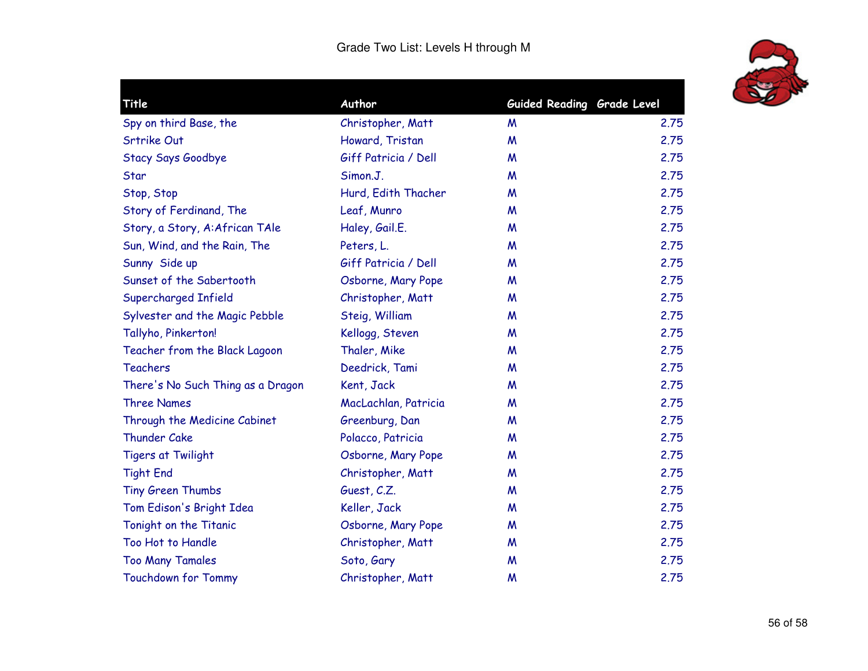

| Author               |                   |                            |
|----------------------|-------------------|----------------------------|
|                      | M                 | 2.75                       |
| Howard, Tristan      | M                 | 2.75                       |
| Giff Patricia / Dell | M                 | 2.75                       |
| Simon.J.             | M                 | 2.75                       |
| Hurd, Edith Thacher  | M                 | 2.75                       |
| Leaf, Munro          | M                 | 2.75                       |
| Haley, Gail.E.       | M                 | 2.75                       |
| Peters, L.           | M                 | 2.75                       |
| Giff Patricia / Dell | M                 | 2.75                       |
| Osborne, Mary Pope   | M                 | 2.75                       |
| Christopher, Matt    | M                 | 2.75                       |
| Steig, William       | M                 | 2.75                       |
| Kellogg, Steven      | M                 | 2.75                       |
| Thaler, Mike         | M                 | 2.75                       |
| Deedrick, Tami       | M                 | 2.75                       |
| Kent, Jack           | M                 | 2.75                       |
| MacLachlan, Patricia | M                 | 2.75                       |
| Greenburg, Dan       | M                 | 2.75                       |
| Polacco, Patricia    | M                 | 2.75                       |
| Osborne, Mary Pope   | M                 | 2.75                       |
| Christopher, Matt    | M                 | 2.75                       |
| Guest, C.Z.          | M                 | 2.75                       |
| Keller, Jack         | M                 | 2.75                       |
| Osborne, Mary Pope   | M                 | 2.75                       |
| Christopher, Matt    | M                 | 2.75                       |
| Soto, Gary           | M                 | 2.75                       |
| Christopher, Matt    | M                 | 2.75                       |
|                      | Christopher, Matt | Guided Reading Grade Level |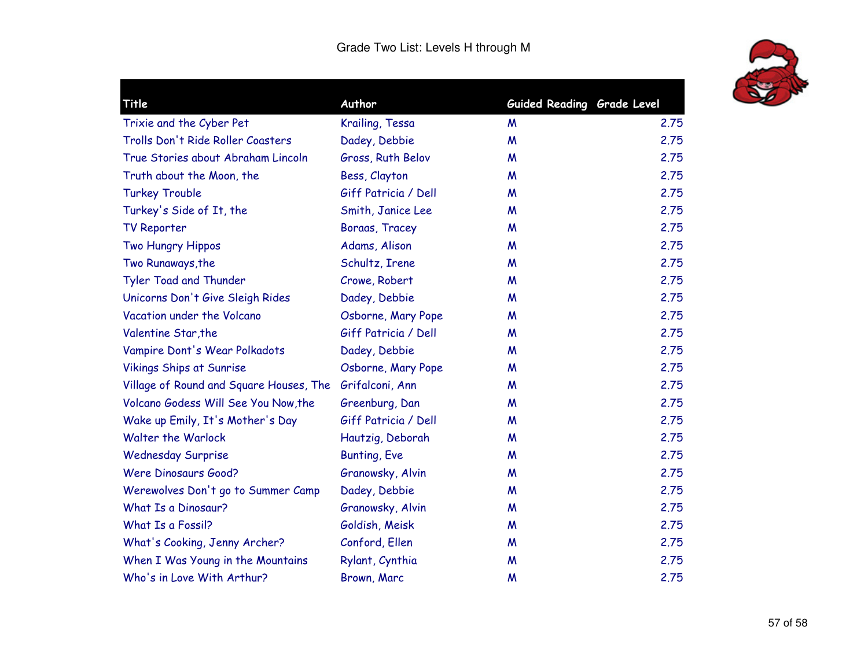

| Title                                   | Author               | Guided Reading Grade Level |      |
|-----------------------------------------|----------------------|----------------------------|------|
| Trixie and the Cyber Pet                | Krailing, Tessa      | M                          | 2.75 |
| Trolls Don't Ride Roller Coasters       | Dadey, Debbie        | M                          | 2.75 |
| True Stories about Abraham Lincoln      | Gross, Ruth Belov    | M                          | 2.75 |
| Truth about the Moon, the               | Bess, Clayton        | M                          | 2.75 |
| <b>Turkey Trouble</b>                   | Giff Patricia / Dell | M                          | 2.75 |
| Turkey's Side of It, the                | Smith, Janice Lee    | M                          | 2.75 |
| <b>TV Reporter</b>                      | Boraas, Tracey       | M                          | 2.75 |
| Two Hungry Hippos                       | Adams, Alison        | W                          | 2.75 |
| Two Runaways, the                       | Schultz, Irene       | M                          | 2.75 |
| Tyler Toad and Thunder                  | Crowe, Robert        | M                          | 2.75 |
| Unicorns Don't Give Sleigh Rides        | Dadey, Debbie        | M                          | 2.75 |
| Vacation under the Volcano              | Osborne, Mary Pope   | M                          | 2.75 |
| Valentine Star, the                     | Giff Patricia / Dell | M                          | 2.75 |
| Vampire Dont's Wear Polkadots           | Dadey, Debbie        | M                          | 2.75 |
| <b>Vikings Ships at Sunrise</b>         | Osborne, Mary Pope   | M                          | 2.75 |
| Village of Round and Square Houses, The | Grifalconi, Ann      | M                          | 2.75 |
| Volcano Godess Will See You Now, the    | Greenburg, Dan       | M                          | 2.75 |
| Wake up Emily, It's Mother's Day        | Giff Patricia / Dell | M                          | 2.75 |
| <b>Walter the Warlock</b>               | Hautzig, Deborah     | M                          | 2.75 |
| <b>Wednesday Surprise</b>               | <b>Bunting, Eve</b>  | M                          | 2.75 |
| <b>Were Dinosaurs Good?</b>             | Granowsky, Alvin     | M                          | 2.75 |
| Werewolves Don't go to Summer Camp      | Dadey, Debbie        | M                          | 2.75 |
| What Is a Dinosaur?                     | Granowsky, Alvin     | M                          | 2.75 |
| What Is a Fossil?                       | Goldish, Meisk       | M                          | 2.75 |
| What's Cooking, Jenny Archer?           | Conford, Ellen       | M                          | 2.75 |
| When I Was Young in the Mountains       | Rylant, Cynthia      | M                          | 2.75 |
| Who's in Love With Arthur?              | Brown, Marc          | M                          | 2.75 |